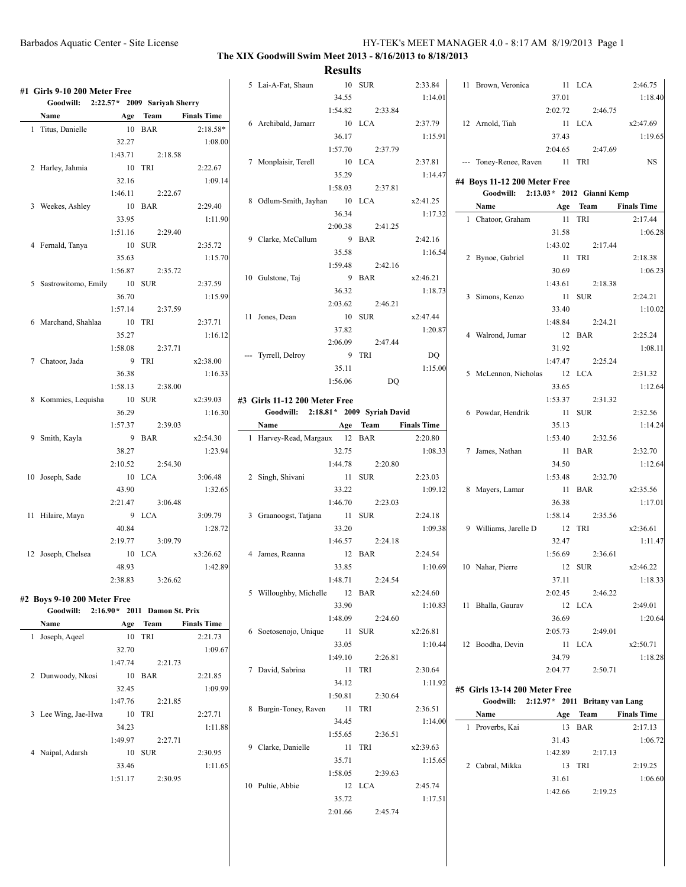## **The XIX Goodwill Swim Meet 2013 - 8/16/2013 to 8/18/2013**

| #1 Girls 9-10 200 Meter Free<br>Goodwill: 2:22.57* 2009 Sariyah Sherry |         |          |                    | 5 Lai-A-Fat, Shaun                    | 34.55   | 10 SUR   | 2:33.84<br>1:14.01 | 11 Brown, Veronica                       | 37.01   | 11 LCA   | 2:46.75<br>1:18.40 |
|------------------------------------------------------------------------|---------|----------|--------------------|---------------------------------------|---------|----------|--------------------|------------------------------------------|---------|----------|--------------------|
|                                                                        |         |          |                    |                                       | 1:54.82 | 2:33.84  |                    |                                          | 2:02.72 | 2:46.75  |                    |
| Name                                                                   |         | Age Team | <b>Finals Time</b> | 6 Archibald, Jamarr                   |         | 10 LCA   | 2:37.79            | 12 Arnold, Tiah                          |         | 11 LCA   | x2:47.69           |
| 1 Titus, Danielle                                                      |         | 10 BAR   | $2:18.58*$         |                                       | 36.17   |          | 1:15.91            |                                          | 37.43   |          | 1:19.65            |
|                                                                        | 32.27   |          | 1:08.00            |                                       | 1:57.70 | 2:37.79  |                    |                                          | 2:04.65 | 2:47.69  |                    |
|                                                                        | 1:43.71 | 2:18.58  |                    | 7 Monplaisir, Terell                  |         | 10 LCA   | 2:37.81            | --- Toney-Renee, Raven                   |         | 11 TRI   | <b>NS</b>          |
| 2 Harley, Jahmia                                                       |         | 10 TRI   | 2:22.67            |                                       | 35.29   |          | 1:14.47            |                                          |         |          |                    |
|                                                                        | 32.16   |          | 1:09.14            |                                       |         |          |                    | #4 Boys 11-12 200 Meter Free             |         |          |                    |
|                                                                        | 1:46.11 | 2:22.67  |                    |                                       | 1:58.03 | 2:37.81  |                    | Goodwill: 2:13.03 * 2012 Gianni Kemp     |         |          |                    |
| 3 Weekes, Ashley                                                       |         | 10 BAR   | 2:29.40            | 8 Odlum-Smith, Jayhan                 |         | 10 LCA   | x2:41.25           | Name                                     |         | Age Team | <b>Finals Time</b> |
|                                                                        | 33.95   |          | 1:11.90            |                                       | 36.34   |          | 1:17.32            | 1 Chatoor, Graham                        |         | 11 TRI   | 2:17.44            |
|                                                                        | 1:51.16 | 2:29.40  |                    |                                       | 2:00.38 | 2:41.25  |                    |                                          | 31.58   |          | 1:06.28            |
| 4 Fernald, Tanya                                                       |         | 10 SUR   | 2:35.72            | 9 Clarke, McCallum                    |         | 9 BAR    | 2:42.16            |                                          | 1:43.02 | 2:17.44  |                    |
|                                                                        | 35.63   |          | 1:15.70            |                                       | 35.58   |          | 1:16.54            | 2 Bynoe, Gabriel                         |         | 11 TRI   | 2:18.38            |
|                                                                        | 1:56.87 | 2:35.72  |                    |                                       | 1:59.48 | 2:42.16  |                    |                                          | 30.69   |          | 1:06.23            |
|                                                                        |         |          |                    | 10 Gulstone, Taj                      |         | 9 BAR    | x2:46.21           |                                          |         |          |                    |
| 5 Sastrowitomo, Emily                                                  |         | 10 SUR   | 2:37.59            |                                       | 36.32   |          | 1:18.73            |                                          | 1:43.61 | 2:18.38  |                    |
|                                                                        | 36.70   |          | 1:15.99            |                                       | 2:03.62 | 2:46.21  |                    | 3 Simons, Kenzo                          |         | 11 SUR   | 2:24.21            |
|                                                                        | 1:57.14 | 2:37.59  |                    | 11 Jones, Dean                        |         | 10 SUR   | x2:47.44           |                                          | 33.40   |          | 1:10.02            |
| 6 Marchand, Shahlaa                                                    |         | 10 TRI   | 2:37.71            |                                       | 37.82   |          | 1:20.87            |                                          | 1:48.84 | 2:24.21  |                    |
|                                                                        | 35.27   |          | 1:16.12            |                                       | 2:06.09 | 2:47.44  |                    | 4 Walrond, Jumar                         |         | 12 BAR   | 2:25.24            |
|                                                                        | 1:58.08 | 2:37.71  |                    |                                       |         |          |                    |                                          | 31.92   |          | 1:08.11            |
| 7 Chatoor, Jada                                                        |         | 9 TRI    | x2:38.00           | --- Tyrrell, Delroy                   |         | 9 TRI    | DQ                 |                                          | 1:47.47 | 2:25.24  |                    |
|                                                                        | 36.38   |          | 1:16.33            |                                       | 35.11   |          | 1:15.00            | 5 McLennon, Nicholas                     |         | 12 LCA   | 2:31.32            |
|                                                                        | 1:58.13 | 2:38.00  |                    |                                       | 1:56.06 | DQ       |                    |                                          | 33.65   |          | 1:12.64            |
| 8 Kommies, Lequisha                                                    |         | 10 SUR   | x2:39.03           | #3 Girls 11-12 200 Meter Free         |         |          |                    |                                          | 1:53.37 | 2:31.32  |                    |
|                                                                        | 36.29   |          | 1:16.30            | Goodwill: 2:18.81 * 2009 Syriah David |         |          |                    | 6 Powdar, Hendrik                        |         | 11 SUR   | 2:32.56            |
|                                                                        |         | 2:39.03  |                    | <b>Name</b>                           |         |          |                    |                                          |         |          |                    |
|                                                                        | 1:57.37 |          |                    |                                       |         | Age Team | <b>Finals Time</b> |                                          | 35.13   |          | 1:14.24            |
| 9 Smith, Kayla                                                         |         | 9 BAR    | x2:54.30           | 1 Harvey-Read, Margaux 12 BAR         |         |          | 2:20.80            |                                          | 1:53.40 | 2:32.56  |                    |
|                                                                        | 38.27   |          | 1:23.94            |                                       | 32.75   |          | 1:08.33            | 7 James, Nathan                          |         | 11 BAR   | 2:32.70            |
|                                                                        | 2:10.52 | 2:54.30  |                    |                                       | 1:44.78 | 2:20.80  |                    |                                          | 34.50   |          | 1:12.64            |
| 10 Joseph, Sade                                                        |         | 10 LCA   | 3:06.48            | 2 Singh, Shivani                      |         | 11 SUR   | 2:23.03            |                                          | 1:53.48 | 2:32.70  |                    |
|                                                                        | 43.90   |          | 1:32.65            |                                       | 33.22   |          | 1:09.12            | 8 Mayers, Lamar                          |         | 11 BAR   | x2:35.56           |
|                                                                        | 2:21.47 | 3:06.48  |                    |                                       | 1:46.70 | 2:23.03  |                    |                                          | 36.38   |          | 1:17.01            |
| 11 Hilaire, Maya                                                       |         | 9 LCA    | 3:09.79            | 3 Graanoogst, Tatjana                 |         | 11 SUR   | 2:24.18            |                                          | 1:58.14 | 2:35.56  |                    |
|                                                                        | 40.84   |          | 1:28.72            |                                       | 33.20   |          | 1:09.38            | 9 Williams, Jarelle D                    |         | 12 TRI   | x2:36.61           |
|                                                                        | 2:19.77 | 3:09.79  |                    |                                       | 1:46.57 | 2:24.18  |                    |                                          | 32.47   |          | 1:11.47            |
| 12 Joseph, Chelsea                                                     |         | 10 LCA   | x3:26.62           | 4 James, Reanna                       |         | 12 BAR   | 2:24.54            |                                          | 1:56.69 | 2:36.61  |                    |
|                                                                        | 48.93   |          | 1:42.89            |                                       | 33.85   |          | 1:10.69            | 10 Nahar, Pierre                         |         | 12 SUR   | x2:46.22           |
|                                                                        | 2:38.83 | 3:26.62  |                    |                                       | 1:48.71 | 2:24.54  |                    |                                          | 37.11   |          | 1:18.33            |
|                                                                        |         |          |                    |                                       |         | 12 BAR   |                    |                                          |         | 2:46.22  |                    |
| #2 Boys 9-10 200 Meter Free                                            |         |          |                    | 5 Willoughby, Michelle                |         |          | x2:24.60           |                                          | 2:02.45 |          |                    |
| Goodwill: 2:16.90* 2011 Damon St. Prix                                 |         |          |                    |                                       | 33.90   |          | 1:10.83            | 11 Bhalla, Gaurav                        |         | 12 LCA   | 2:49.01            |
| Name                                                                   |         | Age Team | <b>Finals Time</b> |                                       | 1:48.09 | 2:24.60  |                    |                                          | 36.69   |          | 1:20.64            |
| 1 Joseph, Aqeel                                                        |         | 10 TRI   | 2:21.73            | 6 Soetosenojo, Unique                 |         | 11 SUR   | x2:26.81           |                                          | 2:05.73 | 2:49.01  |                    |
|                                                                        | 32.70   |          | 1:09.67            |                                       | 33.05   |          | 1:10.44            | 12 Boodha, Devin                         |         | 11 LCA   | x2:50.71           |
|                                                                        | 1:47.74 | 2:21.73  |                    |                                       | 1:49.10 | 2:26.81  |                    |                                          | 34.79   |          | 1:18.28            |
|                                                                        |         |          |                    | 7 David, Sabrina                      |         | 11 TRI   | 2:30.64            |                                          | 2:04.77 | 2:50.71  |                    |
| 2 Dunwoody, Nkosi                                                      |         | 10 BAR   | 2:21.85            |                                       | 34.12   |          | 1:11.92            |                                          |         |          |                    |
|                                                                        | 32.45   |          | 1:09.99            |                                       | 1:50.81 | 2:30.64  |                    | #5 Girls 13-14 200 Meter Free            |         |          |                    |
|                                                                        | 1:47.76 | 2:21.85  |                    | 8 Burgin-Toney, Raven                 |         | 11 TRI   | 2:36.51            | Goodwill: 2:12.97* 2011 Britany van Lang |         |          |                    |
| 3 Lee Wing, Jae-Hwa                                                    |         | 10 TRI   | 2:27.71            |                                       | 34.45   |          | 1:14.00            | Name                                     |         | Age Team | <b>Finals Time</b> |
|                                                                        | 34.23   |          | 1:11.88            |                                       |         |          |                    | 1 Proverbs, Kai                          |         | 13 BAR   | 2:17.13            |
|                                                                        | 1:49.97 | 2:27.71  |                    |                                       | 1:55.65 | 2:36.51  |                    |                                          | 31.43   |          | 1:06.72            |
| 4 Naipal, Adarsh                                                       |         | 10 SUR   | 2:30.95            | 9 Clarke, Danielle                    |         | 11 TRI   | x2:39.63           |                                          | 1:42.89 | 2:17.13  |                    |
|                                                                        | 33.46   |          | 1:11.65            |                                       | 35.71   |          | 1:15.65            | 2 Cabral, Mikka                          |         | 13 TRI   | 2:19.25            |
|                                                                        | 1:51.17 | 2:30.95  |                    |                                       | 1:58.05 | 2:39.63  |                    |                                          | 31.61   |          | 1:06.60            |
|                                                                        |         |          |                    | 10 Pultie, Abbie                      |         | 12 LCA   | 2:45.74            |                                          | 1:42.66 | 2:19.25  |                    |
|                                                                        |         |          |                    |                                       | 35.72   |          | 1:17.51            |                                          |         |          |                    |
|                                                                        |         |          |                    |                                       | 2:01.66 | 2:45.74  |                    |                                          |         |          |                    |
|                                                                        |         |          |                    |                                       |         |          |                    |                                          |         |          |                    |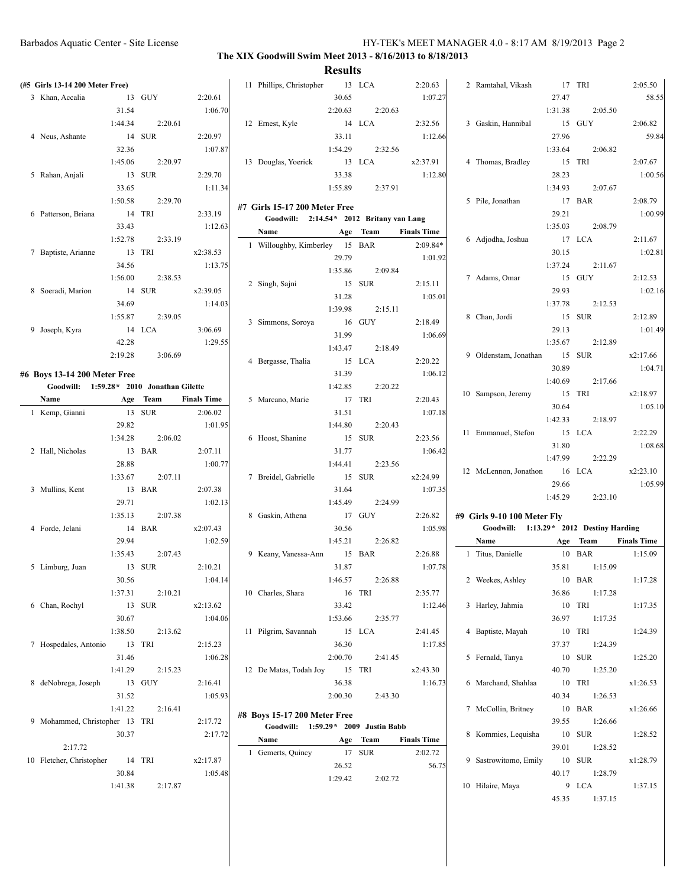| (#5 Girls 13-14 200 Meter Free)          |         |          |                    | 11 Phillips, Christopher                  | 13 LCA  |          | 2:20.63            | 2 Ramtahal, Vikash                       |         | 17 TRI                | 2:05.50            |
|------------------------------------------|---------|----------|--------------------|-------------------------------------------|---------|----------|--------------------|------------------------------------------|---------|-----------------------|--------------------|
| 3 Khan, Accalia                          |         | 13 GUY   | 2:20.61            |                                           | 30.65   |          | 1:07.27            |                                          | 27.47   |                       | 58.55              |
|                                          | 31.54   |          | 1:06.70            |                                           | 2:20.63 | 2:20.63  |                    |                                          | 1:31.38 | 2:05.50               |                    |
|                                          |         |          |                    |                                           |         |          |                    |                                          |         |                       |                    |
|                                          | 1:44.34 | 2:20.61  |                    | 12 Ernest, Kyle                           |         | 14 LCA   | 2:32.56            | 3 Gaskin, Hannibal                       |         | 15 GUY                | 2:06.82            |
| 4 Neus, Ashante                          |         | 14 SUR   | 2:20.97            |                                           | 33.11   |          | 1:12.66            |                                          | 27.96   |                       | 59.84              |
|                                          | 32.36   |          | 1:07.87            |                                           | 1:54.29 | 2:32.56  |                    |                                          | 1:33.64 | 2:06.82               |                    |
|                                          | 1:45.06 | 2:20.97  |                    | 13 Douglas, Yoerick                       | 13 LCA  |          | x2:37.91           | 4 Thomas, Bradley                        |         | 15 TRI                | 2:07.67            |
| 5 Rahan, Anjali                          |         | 13 SUR   | 2:29.70            |                                           | 33.38   |          | 1:12.80            |                                          | 28.23   |                       | 1:00.56            |
|                                          | 33.65   |          | 1:11.34            |                                           | 1:55.89 | 2:37.91  |                    |                                          | 1:34.93 | 2:07.67               |                    |
|                                          | 1:50.58 | 2:29.70  |                    |                                           |         |          |                    | 5 Pile, Jonathan                         |         | 17 BAR                | 2:08.79            |
| 6 Patterson, Briana                      |         | 14 TRI   | 2:33.19            | #7 Girls 15-17 200 Meter Free             |         |          |                    |                                          | 29.21   |                       | 1:00.99            |
|                                          | 33.43   |          | 1:12.63            | Goodwill: 2:14.54 * 2012 Britany van Lang |         |          |                    |                                          | 1:35.03 | 2:08.79               |                    |
|                                          | 1:52.78 | 2:33.19  |                    | Name                                      |         | Age Team | <b>Finals Time</b> | 6 Adjodha, Joshua                        |         | 17 LCA                | 2:11.67            |
| 7 Baptiste, Arianne                      |         | 13 TRI   | x2:38.53           | 1 Willoughby, Kimberley 15 BAR            |         |          | $2:09.84*$         |                                          | 30.15   |                       | 1:02.81            |
|                                          |         |          |                    |                                           | 29.79   |          | 1:01.92            |                                          |         |                       |                    |
|                                          | 34.56   |          | 1:13.75            |                                           | 1:35.86 | 2:09.84  |                    |                                          | 1:37.24 | 2:11.67               |                    |
|                                          | 1:56.00 | 2:38.53  |                    | 2 Singh, Sajni                            |         | 15 SUR   | 2:15.11            | 7 Adams, Omar                            |         | 15 GUY                | 2:12.53            |
| 8 Soeradi, Marion                        | 14 SUR  |          | x2:39.05           |                                           | 31.28   |          | 1:05.01            |                                          | 29.93   |                       | 1:02.16            |
|                                          | 34.69   |          | 1:14.03            |                                           | 1:39.98 | 2:15.11  |                    |                                          | 1:37.78 | 2:12.53               |                    |
|                                          | 1:55.87 | 2:39.05  |                    | 3 Simmons, Soroya                         |         | 16 GUY   | 2:18.49            | 8 Chan, Jordi                            |         | 15 SUR                | 2:12.89            |
| 9 Joseph, Kyra                           |         | 14 LCA   | 3:06.69            |                                           |         |          |                    |                                          | 29.13   |                       | 1:01.49            |
|                                          | 42.28   |          | 1:29.55            |                                           | 31.99   |          | 1:06.69            |                                          | 1:35.67 | 2:12.89               |                    |
|                                          | 2:19.28 | 3:06.69  |                    |                                           | 1:43.47 | 2:18.49  |                    | 9 Oldenstam, Jonathan                    |         | 15 SUR                | x2:17.66           |
|                                          |         |          |                    | 4 Bergasse, Thalia                        | 15 LCA  |          | 2:20.22            |                                          | 30.89   |                       | 1:04.71            |
| #6 Boys 13-14 200 Meter Free             |         |          |                    |                                           | 31.39   |          | 1:06.12            |                                          | 1:40.69 | 2:17.66               |                    |
| Goodwill: 1:59.28* 2010 Jonathan Gilette |         |          |                    |                                           | 1:42.85 | 2:20.22  |                    |                                          |         |                       |                    |
| Name                                     |         | Age Team | <b>Finals Time</b> | 5 Marcano, Marie                          | 17 TRI  |          | 2:20.43            | 10 Sampson, Jeremy                       |         | 15 TRI                | x2:18.97           |
| 1 Kemp, Gianni                           |         | 13 SUR   | 2:06.02            |                                           | 31.51   |          | 1:07.18            |                                          | 30.64   |                       | 1:05.10            |
|                                          | 29.82   |          | 1:01.95            |                                           | 1:44.80 | 2:20.43  |                    |                                          | 1:42.33 | 2:18.97               |                    |
|                                          | 1:34.28 | 2:06.02  |                    | 6 Hoost, Shanine                          | 15 SUR  |          | 2:23.56            | 11 Emmanuel, Stefon                      |         | 15 LCA                | 2:22.29            |
| 2 Hall, Nicholas                         |         | 13 BAR   | 2:07.11            |                                           | 31.77   |          | 1:06.42            |                                          | 31.80   |                       | 1:08.68            |
|                                          | 28.88   |          | 1:00.77            |                                           | 1:44.41 | 2:23.56  |                    |                                          | 1:47.99 | 2:22.29               |                    |
|                                          |         |          |                    |                                           |         |          |                    | 12 McLennon, Jonathon 16 LCA             |         |                       | x2:23.10           |
|                                          | 1:33.67 | 2:07.11  |                    | 7 Breidel, Gabrielle                      |         | 15 SUR   | x2:24.99           |                                          | 29.66   |                       | 1:05.99            |
| 3 Mullins, Kent                          |         | 13 BAR   | 2:07.38            |                                           | 31.64   |          | 1:07.35            |                                          | 1:45.29 | 2:23.10               |                    |
|                                          | 29.71   |          | 1:02.13            |                                           | 1:45.49 | 2:24.99  |                    |                                          |         |                       |                    |
|                                          | 1:35.13 | 2:07.38  |                    | 8 Gaskin, Athena                          |         | 17 GUY   | 2:26.82            | #9 Girls 9-10 100 Meter Fly              |         |                       |                    |
| 4 Forde, Jelani                          |         | 14 BAR   | x2:07.43           |                                           | 30.56   |          | 1:05.98            | Goodwill: 1:13.29 * 2012 Destiny Harding |         |                       |                    |
|                                          | 29.94   |          | 1:02.59            |                                           | 1:45.21 | 2:26.82  |                    | Name                                     |         | Age Team              | <b>Finals Time</b> |
|                                          | 1:35.43 | 2:07.43  |                    | 9 Keany, Vanessa-Ann                      |         | 15 BAR   | 2:26.88            | 1 Titus, Danielle                        |         | $10$ $\,$ BAR         | 1:15.09            |
| 5 Limburg, Juan                          |         | 13 SUR   | 2:10.21            |                                           | 31.87   |          | 1:07.78            |                                          | 35.81   | 1:15.09               |                    |
|                                          | 30.56   |          | 1:04.14            |                                           | 1:46.57 | 2:26.88  |                    | 2 Weekes, Ashley                         |         | $10\quad\mathrm{BAR}$ | 1:17.28            |
|                                          | 1:37.31 | 2:10.21  |                    | 10 Charles, Shara                         |         | 16 TRI   | 2:35.77            |                                          | 36.86   | 1:17.28               |                    |
| 6 Chan, Rochyl                           |         |          |                    |                                           |         |          |                    |                                          |         | $10$ TRI              |                    |
|                                          |         | 13 SUR   | x2:13.62           |                                           | 33.42   |          | 1:12.46            | 3 Harley, Jahmia                         |         |                       | 1:17.35            |
|                                          | 30.67   |          | 1:04.06            |                                           | 1:53.66 | 2:35.77  |                    |                                          | 36.97   | 1:17.35               |                    |
|                                          | 1:38.50 | 2:13.62  |                    | 11 Pilgrim, Savannah                      |         | 15 LCA   | 2:41.45            | 4 Baptiste, Mayah                        |         | $10$ $\,$ TRI         | 1:24.39            |
| 7 Hospedales, Antonio                    |         | 13 TRI   | 2:15.23            |                                           | 36.30   |          | 1:17.85            |                                          | 37.37   | 1:24.39               |                    |
|                                          | 31.46   |          | 1:06.28            |                                           | 2:00.70 | 2:41.45  |                    | 5 Fernald, Tanya                         |         | 10 SUR                | 1:25.20            |
|                                          | 1:41.29 |          |                    | 12 De Matas, Todah Joy                    |         | 15 TRI   | x2:43.30           |                                          | 40.70   | 1:25.20               |                    |
|                                          |         | 2:15.23  |                    |                                           |         |          |                    | 6 Marchand, Shahlaa                      |         |                       |                    |
| 8 deNobrega, Joseph                      |         | 13 GUY   | 2:16.41            |                                           | 36.38   |          | 1:16.73            |                                          |         | 10 TRI                |                    |
|                                          |         |          |                    |                                           |         |          |                    |                                          |         |                       | x1:26.53           |
|                                          | 31.52   |          | 1:05.93            |                                           | 2:00.30 | 2:43.30  |                    |                                          | 40.34   | 1:26.53               |                    |
|                                          | 1:41.22 | 2:16.41  |                    | #8 Boys 15-17 200 Meter Free              |         |          |                    | 7 McCollin, Britney                      |         | $10$ BAR              | x1:26.66           |
| 9 Mohammed, Christopher 13 TRI           |         |          | 2:17.72            | Goodwill: 1:59.29 * 2009 Justin Babb      |         |          |                    |                                          | 39.55   | 1:26.66               |                    |
|                                          | 30.37   |          | 2:17.72            | Name                                      |         | Age Team | <b>Finals Time</b> | 8 Kommies, Lequisha                      |         | $10$ $\,$ SUR         | 1:28.52            |
| 2:17.72                                  |         |          |                    | 1 Gemerts, Quincy                         |         | 17 SUR   | 2:02.72            |                                          | 39.01   | 1:28.52               |                    |
| 10 Fletcher, Christopher                 |         | 14 TRI   | x2:17.87           |                                           |         |          |                    | 9 Sastrowitomo, Emily                    |         | $10$ $\,$ SUR         | x1:28.79           |
|                                          | 30.84   |          | 1:05.48            |                                           | 26.52   |          | 56.75              |                                          | 40.17   | 1:28.79               |                    |
|                                          | 1:41.38 | 2:17.87  |                    |                                           | 1:29.42 | 2:02.72  |                    | 10 Hilaire, Maya                         |         | 9 LCA                 | 1:37.15            |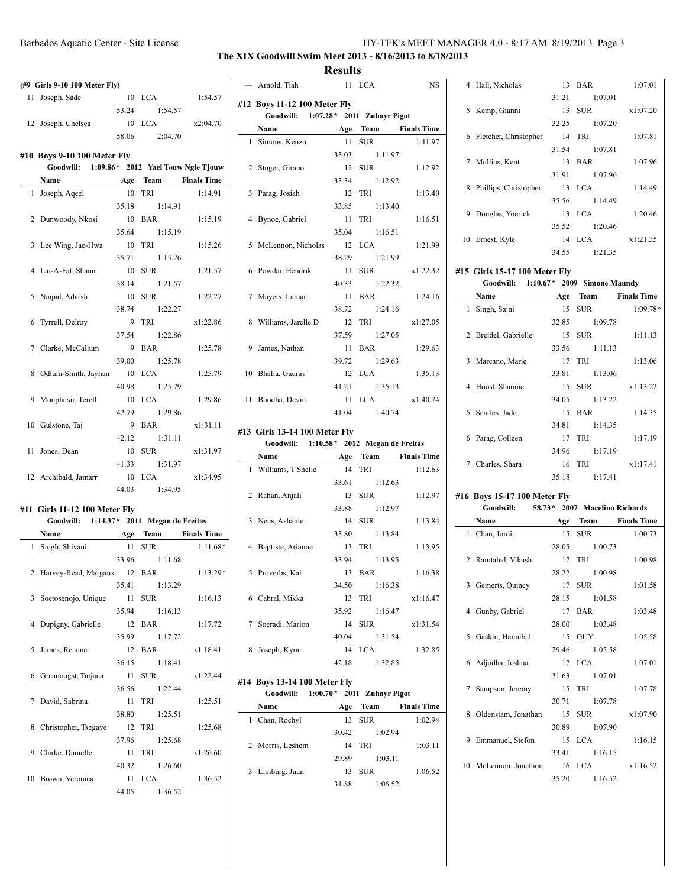## **The XIX Goodwill Swim Meet 2013 - 8/16/2013 to 8/18/2013**

## **Results**

|   | (#9 Girls 9-10 100 Meter Fly)                                               |        |                      |            |
|---|-----------------------------------------------------------------------------|--------|----------------------|------------|
|   | 11 Joseph, Sade                                                             |        | 10 LCA               | 1:54.57    |
|   |                                                                             | 53.24  | 1:54.57              |            |
|   | 12 Joseph, Chelsea                                                          |        | 10 LCA               | x2:04.70   |
|   |                                                                             | 58.06  | 2:04.70              |            |
|   |                                                                             |        |                      |            |
|   | #10 Boys 9-10 100 Meter Fly<br>Goodwill: 1:09.86* 2012 Yael Touw Ngie Tjouw |        |                      |            |
|   | Name                                                                        |        | Age Team Finals Time |            |
|   | 1 Joseph, Aqeel                                                             | 10     | TRI                  | 1:14.91    |
|   |                                                                             | 35.18  | 1:14.91              |            |
|   | 2 Dunwoody, Nkosi                                                           | 10     | <b>BAR</b>           | 1:15.19    |
|   |                                                                             | 35.64  | 1:15.19              |            |
|   | 3 Lee Wing, Jae-Hwa                                                         | 10     | TRI                  | 1:15.26    |
|   |                                                                             | 35.71  | 1:15.26              |            |
|   | 4 Lai-A-Fat, Shaun                                                          | 10     | <b>SUR</b>           | 1:21.57    |
|   |                                                                             | 38.14  | 1:21.57              |            |
|   | 5 Naipal, Adarsh                                                            | 10     | <b>SUR</b>           | 1:22.27    |
|   |                                                                             | 38.74  | 1:22.27              |            |
|   | 6 Tyrrell, Delroy                                                           |        | 9 TRI                | x1:22.86   |
|   |                                                                             | 37.54  | 1:22.86              |            |
|   | 7 Clarke, McCallum                                                          |        | 9 BAR                | 1:25.78    |
|   |                                                                             | 39.00  | 1:25.78              |            |
| 8 | Odlum-Smith, Jayhan                                                         |        | 10 LCA               | 1:25.79    |
|   |                                                                             | 40.98  | 1:25.79              |            |
|   | 9 Monplaisir, Terell                                                        |        | 10 LCA               | 1:29.86    |
|   |                                                                             | 42.79  | 1:29.86              |            |
|   | 10 Gulstone, Taj                                                            |        | 9 BAR                | x1:31.11   |
|   |                                                                             | 42.12  | 1:31.11              |            |
|   | 11 Jones, Dean                                                              |        | 10 SUR               | x1:31.97   |
|   |                                                                             | 41.33  | 1:31.97              |            |
|   | 12 Archibald, Jamarr                                                        |        | 10 LCA               | x1:34.95   |
|   |                                                                             |        | 44.03 1:34.95        |            |
|   |                                                                             |        |                      |            |
|   | #11 Girls 11-12 100 Meter Fly                                               |        |                      |            |
|   | Goodwill: 1:14.37* 2011 Megan de Freitas                                    |        |                      |            |
|   | Name Age Team Finals Time                                                   |        |                      |            |
|   | 1 Singh, Shivani                                                            | 11 SUR |                      | $1:11.68*$ |
|   |                                                                             |        | 33.96 1:11.68        |            |
|   | 2 Harvey-Read, Margaux 12 BAR                                               |        |                      | $1:13.29*$ |
|   |                                                                             | 35.41  | 1:13.29              |            |
|   | 3 Soetosenojo, Unique                                                       | 11     | <b>SUR</b>           | 1:16.13    |
|   |                                                                             | 35.94  | 1:16.13              |            |
| 4 | Dupigny, Gabrielle                                                          | 12     | BAR                  | 1:17.72    |
|   |                                                                             | 35.99  | 1:17.72              |            |
| 5 | James, Reanna                                                               | 12     | BAR                  | x1:18.41   |
|   |                                                                             | 36.15  | 1:18.41              |            |
| 6 | Graanoogst, Tatjana                                                         | 11     | <b>SUR</b>           | x1:22.44   |
|   |                                                                             | 36.56  | 1:22.44              |            |
| 7 | David, Sabrina                                                              | 11     | TRI                  | 1:25.51    |
|   |                                                                             | 38.80  | 1:25.51              |            |
| 8 | Christopher, Tsegaye                                                        | 12     | TRI                  | 1:25.68    |
|   |                                                                             | 37.96  | 1:25.68              |            |
|   | 9 Clarke, Danielle                                                          | 11     | TRI                  | x1:26.60   |
|   |                                                                             | 40.32  | 1:26.60              |            |
|   | 10 Brown, Veronica                                                          | 11     | <b>LCA</b>           | 1:36.52    |
|   |                                                                             | 44.05  | 1:36.52              |            |

|    | --- Arnold, Tiah                          |        | 11 LCA        | <b>NS</b>            |
|----|-------------------------------------------|--------|---------------|----------------------|
|    | #12 Boys 11-12 100 Meter Fly              |        |               |                      |
|    | Goodwill: 1:07.28* 2011 Zuhayr Pigot      |        |               |                      |
|    | Name                                      |        |               | Age Team Finals Time |
|    | 1 Simons, Kenzo                           |        | 11 SUR        | 1:11.97              |
|    |                                           |        | 33.03 1:11.97 |                      |
|    | 2 Stuger, Girano                          |        | 12 SUR        | 1:12.92              |
|    |                                           |        | 33.34 1:12.92 |                      |
|    | 3 Parag, Josiah                           |        | $12$ TRI      | 1:13.40              |
|    |                                           |        | 33.85 1:13.40 |                      |
| 4  | Bynoe, Gabriel                            |        | $11$ TRI      | 1:16.51              |
|    |                                           |        | 35.04 1:16.51 |                      |
|    | 5 McLennon, Nicholas                      |        | $12$ LCA      | 1:21.99              |
|    |                                           |        | 38.29 1:21.99 |                      |
|    | 6 Powdar, Hendrik                         |        | 11 SUR        | x1:22.32             |
|    |                                           |        | 40.33 1:22.32 |                      |
|    | 7 Mayers, Lamar                           |        | 11 BAR        | 1:24.16              |
|    |                                           |        | 38.72 1:24.16 |                      |
|    | 8 Williams, Jarelle D                     |        | 12 TRI        | x1:27.05             |
|    |                                           |        | 37.59 1:27.05 |                      |
| 9  | James, Nathan                             |        | 11 BAR        | 1:29.63              |
|    |                                           |        | 39.72 1:29.63 |                      |
|    | 10 Bhalla, Gaurav                         |        | $12$ LCA      | 1:35.13              |
|    |                                           |        | 41.21 1:35.13 |                      |
| 11 | Boodha, Devin                             |        | 11 LCA        | x1:40.74             |
|    |                                           |        | 41.04 1:40.74 |                      |
|    | #13 Girls 13-14 100 Meter Fly             |        |               |                      |
|    | Goodwill: 1:10.58 * 2012 Megan de Freitas |        |               |                      |
|    | Name                                      |        | Age Team      | <b>Finals Time</b>   |
|    | 1 Williams, T'Shelle                      | 14 TRI |               | 1:12.63              |
|    |                                           |        |               |                      |

|   | 1 Williams, I Shelle |       | 14 IKI        | 1:12.03  |
|---|----------------------|-------|---------------|----------|
|   |                      | 33.61 | 1:12.63       |          |
|   | 2 Rahan, Anjali      |       | 13 SUR        | 1:12.97  |
|   |                      | 33.88 | 1:12.97       |          |
|   | 3 Neus, Ashante      |       | 14 SUR        | 1:13.84  |
|   |                      | 33.80 | 1:13.84       |          |
|   | 4 Baptiste, Arianne  |       | 13 TRI        | 1:13.95  |
|   |                      |       | 33.94 1:13.95 |          |
|   | 5 Proverbs, Kai      |       | 13 BAR        | 1:16.38  |
|   |                      |       | 34.50 1:16.38 |          |
|   | 6 Cabral, Mikka      |       | 13 TRI        | x1:16.47 |
|   |                      | 35.92 | 1:16.47       |          |
|   | 7 Soeradi, Marion    |       | 14 SUR        | x1:31.54 |
|   |                      |       | 40.04 1:31.54 |          |
| 8 | Joseph, Kyra         |       | 14 LCA        | 1:32.85  |
|   |                      | 42.18 | 1:32.85       |          |

## **#14 Boys 13-14 100 Meter Fly Goodwill: 1:00.70\* 2011 Zuhayr Pigot**

|   | Name             | Age   | Team       | <b>Finals Time</b> |
|---|------------------|-------|------------|--------------------|
| 1 | Chan, Rochyl     | 13    | <b>SUR</b> | 1:02.94            |
|   |                  | 30.42 | 1:02.94    |                    |
|   | 2 Morris, Leshem | 14    | TRI        | 1:03.11            |
|   |                  | 29.89 | 1:03.11    |                    |
|   | 3 Limburg, Juan  | 13    | <b>SUR</b> | 1:06.52            |
|   |                  | 31.88 | 1:06.52    |                    |

|    | 4 Hall, Nicholas      |       | 13 BAR        | 1:07.01  |
|----|-----------------------|-------|---------------|----------|
|    |                       |       | 31.21 1:07.01 |          |
|    | 5 Kemp, Gianni        |       | 13 SUR        | x1:07.20 |
|    |                       | 32.25 | 1:07.20       |          |
| 6  | Fletcher, Christopher |       | 14 TRI        | 1:07.81  |
|    |                       |       | 31.54 1:07.81 |          |
|    | 7 Mullins, Kent       |       | 13 BAR        | 1:07.96  |
|    |                       |       | 31.91 1:07.96 |          |
| 8  | Phillips, Christopher |       | $13$ LCA      | 1:14.49  |
|    |                       | 35.56 | 1:14.49       |          |
| 9  | Douglas, Yoerick      |       | $13$ LCA      | 1:20.46  |
|    |                       | 35.52 | 1:20.46       |          |
| 10 | Ernest, Kyle          |       | $14$ LCA      | x1:21.35 |
|    |                       | 34.55 | 1:21.35       |          |
|    |                       |       |               |          |

### **#15 Girls 15-17 100 Meter Fly**

|              | Goodwill:          |       | 1:10.67 * 2009 Simone Maundy |                    |
|--------------|--------------------|-------|------------------------------|--------------------|
|              | Name               | Age   | Team                         | <b>Finals Time</b> |
| $\mathbf{1}$ | Singh, Sajni       | 15    | <b>SUR</b>                   | 1:09.78*           |
|              |                    | 32.85 | 1:09.78                      |                    |
| 2            | Breidel, Gabrielle | 15    | <b>SUR</b>                   | 1:11.13            |
|              |                    | 33.56 | 1:11.13                      |                    |
|              | 3 Marcano, Marie   |       | 17 TRI                       | 1:13.06            |
|              |                    | 33.81 | 1:13.06                      |                    |
|              | 4 Hoost, Shanine   |       | 15 SUR                       | x1:13.22           |
|              |                    | 34.05 | 1:13.22                      |                    |
|              | 5 Searles, Jade    | 15    | <b>BAR</b>                   | 1:14.35            |
|              |                    | 34.81 | 1:14.35                      |                    |
| 6            | Parag, Colleen     | 17    | TRI                          | 1:17.19            |
|              |                    | 34.96 | 1:17.19                      |                    |
| 7            | Charles, Shara     |       | 16 TRI                       | x1:17.41           |
|              |                    | 35.18 | 1:17.41                      |                    |

#### **#16 Boys 15-17 100 Meter Fly**

| Goodwill: 58.73* 2007 Macelino Richards |  |               |                      |
|-----------------------------------------|--|---------------|----------------------|
| Name                                    |  |               | Age Team Finals Time |
| 1 Chan, Jordi                           |  | 15 SUR        | 1:00.73              |
|                                         |  | 28.05 1:00.73 |                      |
| 2 Ramtahal, Vikash                      |  | 17 TRI        | 1:00.98              |
|                                         |  | 28.22 1:00.98 |                      |
| 3 Gemerts, Quincy                       |  | 17 SUR        | 1:01.58              |
|                                         |  | 28.15 1:01.58 |                      |
| 4 Gunby, Gabriel                        |  | 17 BAR        | 1:03.48              |
|                                         |  | 28.00 1:03.48 |                      |
| 5 Gaskin, Hannibal                      |  | 15 GUY        | 1:05.58              |
|                                         |  | 29.46 1:05.58 |                      |
| 6 Adjodha, Joshua                       |  | 17 LCA        | 1:07.01              |
|                                         |  | 31.63 1:07.01 |                      |
| 7 Sampson, Jeremy                       |  | 15 TRI        | 1:07.78              |
|                                         |  | 30.71 1:07.78 |                      |
| 8 Oldenstam, Jonathan                   |  | 15 SUR        | x1:07.90             |
|                                         |  | 30.89 1:07.90 |                      |
| 9 Emmanuel, Stefon                      |  | 15 LCA        | 1:16.15              |
|                                         |  | 33.41 1:16.15 |                      |
| 10 McLennon, Jonathon 16 LCA            |  |               | x1:16.52             |
|                                         |  | 35.20 1:16.52 |                      |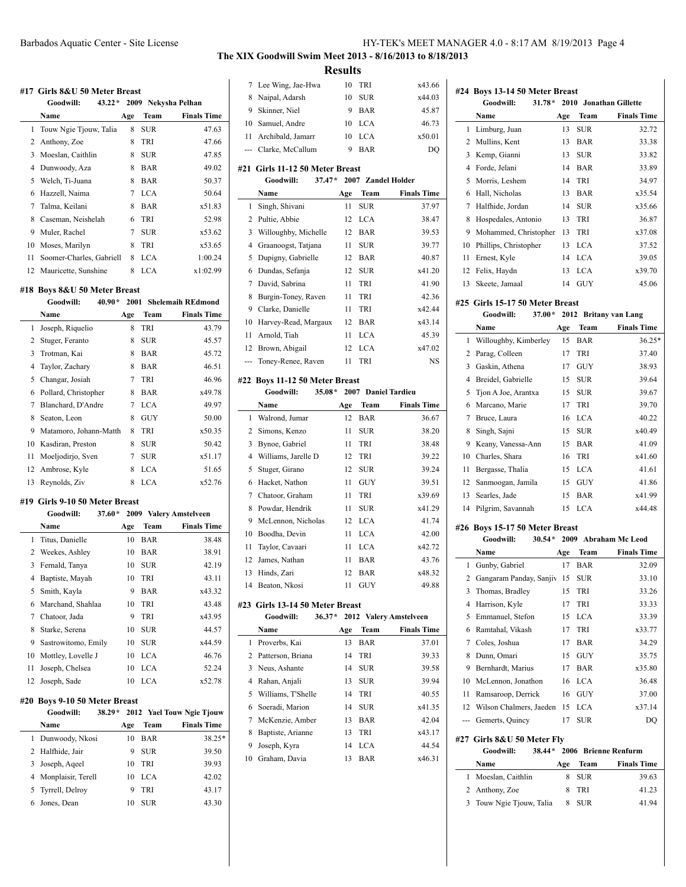#### **#17 Girls 8&U 50 Meter Breast**

|    | Goodwill:<br>$43.22*$    |     |            | 2009 Nekysha Pelhan |
|----|--------------------------|-----|------------|---------------------|
|    | Name                     | Age | Team       | <b>Finals Time</b>  |
| 1  | Touw Ngie Tjouw, Talia   | 8   | SUR        | 47.63               |
|    | 2 Anthony, Zoe           | 8   | TRI        | 47.66               |
| 3  | Moeslan, Caithlin        | 8   | <b>SUR</b> | 47.85               |
| 4  | Dunwoody, Aza            | 8   | BAR        | 49.02               |
| 5  | Welch, Ti-Juana          | 8   | <b>BAR</b> | 50.37               |
| 6  | Hazzell, Naima           | 7   | <b>LCA</b> | 50.64               |
| 7  | Talma, Keilani           | 8   | BAR        | x51.83              |
| 8  | Caseman, Neishelah       | 6   | TRI        | 52.98               |
| 9  | Muler, Rachel            | 7   | <b>SUR</b> | x53.62              |
| 10 | Moses, Marilyn           | 8   | TRI        | x53.65              |
| 11 | Soomer-Charles, Gabriell | 8   | <b>LCA</b> | 1:00.24             |
| 12 | Mauricette, Sunshine     | 8   | LCA        | x1:02.99            |

### **#18 Boys 8&U 50 Meter Breast**

|    | Goodwill:<br>$40.90*$  |     |            | 2001 Shelemaih REdmond |
|----|------------------------|-----|------------|------------------------|
|    | Name                   | Age | Team       | <b>Finals Time</b>     |
| 1  | Joseph, Riquelio       | 8   | <b>TRI</b> | 43.79                  |
| 2  | Stuger, Feranto        | 8   | <b>SUR</b> | 45.57                  |
| 3  | Trotman, Kai           | 8   | <b>BAR</b> | 45.72                  |
| 4  | Taylor, Zachary        | 8   | BAR        | 46.51                  |
| 5  | Changar, Josiah        | 7   | TRI        | 46.96                  |
| 6  | Pollard, Christopher   | 8   | BAR        | x49.78                 |
| 7  | Blanchard, D'Andre     | 7   | <b>LCA</b> | 49.97                  |
| 8  | Seaton, Leon           | 8   | GUY        | 50.00                  |
| 9  | Matamoro, Johann-Matth | 8   | TRI        | x50.35                 |
| 10 | Kasdiran, Preston      | 8   | SUR        | 50.42                  |
| 11 | Moeljodirjo, Sven      | 7   | SUR        | x51.17                 |
| 12 | Ambrose, Kyle          | 8   | <b>LCA</b> | 51.65                  |
| 13 | Reynolds, Ziv          | 8   | LCA        | x52.76                 |

#### **#19 Girls 9-10 50 Meter Breast**

|    | Goodwill:           | $37.60*$ |            | 2009 Valery Amstelveen |
|----|---------------------|----------|------------|------------------------|
|    | Name                | Age      | Team       | <b>Finals Time</b>     |
|    | 1 Titus, Danielle   | 10       | BAR        | 38.48                  |
| 2  | Weekes, Ashley      | 10       | BAR        | 38.91                  |
| 3  | Fernald, Tanya      | 10       | <b>SUR</b> | 42.19                  |
| 4  | Baptiste, Mayah     | 10       | TRI        | 43.11                  |
| 5  | Smith, Kayla        | 9        | BAR        | x43.32                 |
| 6  | Marchand, Shahlaa   | 10       | TRI        | 43.48                  |
| 7  | Chatoor, Jada       | 9        | TRI        | x43.95                 |
| 8  | Starke, Serena      | 10       | <b>SUR</b> | 44.57                  |
| 9  | Sastrowitomo, Emily | 10       | <b>SUR</b> | x44.59                 |
| 10 | Mottley, Lovelle J  | 10       | <b>LCA</b> | 46.76                  |
| 11 | Joseph, Chelsea     | 10       | <b>LCA</b> | 52.24                  |
| 12 | Joseph, Sade        | 10       | <b>LCA</b> | x52.78                 |

#### **#20 Boys 9-10 50 Meter Breast**

|    | Goodwill:<br>$38.29*$ |     |            | 2012 Yael Touw Ngie Tiouw |
|----|-----------------------|-----|------------|---------------------------|
|    | Name                  | Age | Team       | <b>Finals Time</b>        |
| 1  | Dunwoody, Nkosi       | 10  | BAR        | 38.25*                    |
|    | 2 Halfhide, Jair      | 9   | <b>SUR</b> | 39.50                     |
| 3. | Joseph, Aqeel         | 10  | <b>TRI</b> | 39.93                     |
|    | 4 Monplaisir, Terell  | 10  | LCA        | 42.02                     |
|    | 5 Tyrrell, Delroy     | 9   | <b>TRI</b> | 43.17                     |
|    | Jones, Dean           | 10  | SUR        | 43.30                     |

| 7              | Lee Wing, Jae-Hwa                                        | 10  | TRI         | x43.66                 |
|----------------|----------------------------------------------------------|-----|-------------|------------------------|
| 8              | Naipal, Adarsh                                           | 10  | <b>SUR</b>  | x44.03                 |
| 9              | Skinner, Niel                                            | 9   | <b>BAR</b>  | 45.87                  |
| 10             | Samuel, Andre                                            | 10  | <b>LCA</b>  | 46.73                  |
| 11             | Archibald, Jamarr                                        | 10  | <b>LCA</b>  | x50.01                 |
|                | --- Clarke, McCallum                                     | 9   | <b>BAR</b>  | DQ                     |
|                |                                                          |     |             |                        |
|                | #21 Girls 11-12 50 Meter Breast                          |     |             |                        |
|                | $37.47*$<br>Goodwill:                                    |     |             | 2007 Zandel Holder     |
|                | Name                                                     | Age | Team        | <b>Finals Time</b>     |
| 1              | Singh, Shivani                                           | 11  | <b>SUR</b>  | 37.97                  |
| 2              | Pultie, Abbie                                            | 12  | <b>LCA</b>  | 38.47                  |
| 3              | Willoughby, Michelle                                     | 12  | <b>BAR</b>  | 39.53                  |
| $\overline{4}$ | Graanoogst, Tatjana                                      | 11  | <b>SUR</b>  | 39.77                  |
| 5              | Dupigny, Gabrielle                                       | 12  | <b>BAR</b>  | 40.87                  |
| 6              | Dundas, Sefanja                                          | 12  | <b>SUR</b>  | x41.20                 |
| 7              | David, Sabrina                                           | 11  | TRI         | 41.90                  |
| 8              | Burgin-Toney, Raven                                      | 11  | TRI         | 42.36                  |
| 9              | Clarke, Danielle                                         | 11  | TRI         | x42.44                 |
| 10             | Harvey-Read, Margaux                                     | 12  | <b>BAR</b>  | x43.14                 |
| 11             | Arnold, Tiah                                             | 11  | <b>LCA</b>  | 45.39                  |
| 12             | Brown, Abigail                                           | 12  | <b>LCA</b>  | x47.02                 |
| ---            | Toney-Renee, Raven                                       | 11  | TRI         | NS                     |
|                | #22 Boys 11-12 50 Meter Breast                           |     |             |                        |
|                | $35.08*$<br>Goodwill:                                    |     |             | 2007 Daniel Tardieu    |
|                | Name                                                     | Age | <b>Team</b> | <b>Finals Time</b>     |
| 1              | Walrond, Jumar                                           | 12  | <b>BAR</b>  | 36.67                  |
| 2              | Simons, Kenzo                                            | 11  | <b>SUR</b>  | 38.20                  |
| 3              | Bynoe, Gabriel                                           | 11  | TRI         | 38.48                  |
| 4              | Williams, Jarelle D                                      | 12  | TRI         | 39.22                  |
| 5              | Stuger, Girano                                           | 12  | <b>SUR</b>  | 39.24                  |
| 6              | Hacket, Nathon                                           | 11  | <b>GUY</b>  | 39.51                  |
| 7              | Chatoor, Graham                                          | 11  | TRI         | x39.69                 |
| 8              | Powdar, Hendrik                                          | 11  | <b>SUR</b>  | x41.29                 |
| 9              | McLennon, Nicholas                                       | 12  | <b>LCA</b>  | 41.74                  |
| 10             | Boodha, Devin                                            | 11  | <b>LCA</b>  | 42.00                  |
| 11             | Taylor, Cavaari                                          | 11  | <b>LCA</b>  | x42.72                 |
| 12             | James, Nathan                                            | 11  | <b>BAR</b>  | 43.76                  |
| 13             | Hinds, Zari                                              | 12  | <b>BAR</b>  | x48.32                 |
| 14             | Beaton, Nkosi                                            | 11  | GUY         | 49.88                  |
|                |                                                          |     |             |                        |
|                | #23 Girls 13-14 50 Meter Breast<br>$36.37*$<br>Goodwill: |     |             | 2012 Valery Amstelveen |
|                | Name                                                     | Age | Team        | <b>Finals Time</b>     |
| 1              | Proverbs, Kai                                            | 13  | <b>BAR</b>  | 37.01                  |
| 2              | Patterson, Briana                                        | 14  | TRI         | 39.33                  |
| 3              | Neus, Ashante                                            | 14  | <b>SUR</b>  | 39.58                  |
| 4              | Rahan, Anjali                                            | 13  | <b>SUR</b>  | 39.94                  |
| 5              | Williams, T'Shelle                                       | 14  | TRI         | 40.55                  |
| 6              | Soeradi, Marion                                          | 14  | <b>SUR</b>  | x41.35                 |
| 7              | McKenzie, Amber                                          | 13  | <b>BAR</b>  | 42.04                  |
| 8              | Baptiste, Arianne                                        | 13  | TRI         | x43.17                 |
| 9              | Joseph, Kyra                                             | 14  | LCA         | 44.54                  |
| 10             | Graham, Davia                                            | 13  | BAR         | x46.31                 |
|                |                                                          |     |             |                        |
|                |                                                          |     |             |                        |
|                |                                                          |     |             |                        |
|                |                                                          |     |             |                        |

|     | Goodwill:<br>$31.78*$                                   |      |            | 2010 Jonathan Gillette  |
|-----|---------------------------------------------------------|------|------------|-------------------------|
|     | Name                                                    | Age  | Team       | <b>Finals Time</b>      |
| 1   | Limburg, Juan                                           | 13   | SUR        | 32.72                   |
| 2   | Mullins, Kent                                           | 13   | <b>BAR</b> | 33.38                   |
| 3   | Kemp, Gianni                                            | 13   | <b>SUR</b> | 33.82                   |
| 4   | Forde, Jelani                                           | 14   | <b>BAR</b> | 33.89                   |
| 5   | Morris, Leshem                                          | 14   | TRI        | 34.97                   |
| 6   | Hall, Nicholas                                          | 13   | BAR        | x35.54                  |
| 7   | Halfhide, Jordan                                        | 14   | <b>SUR</b> | x35.66                  |
| 8   | Hospedales, Antonio                                     | 13   | TRI        | 36.87                   |
| 9   | Mohammed, Christopher                                   | 13   | TRI        | x37.08                  |
| 10  | Phillips, Christopher                                   | 13   | <b>LCA</b> | 37.52                   |
| 11  | Ernest, Kyle                                            | 14   | <b>LCA</b> | 39.05                   |
| 12  | Felix, Haydn                                            | 13   | <b>LCA</b> | x39.70                  |
|     |                                                         | 14   |            | 45.06                   |
| 13  | Skeete, Jamaal                                          |      | GUY        |                         |
|     | #25 Girls 15-17 50 Meter Breast                         |      |            |                         |
|     | 37.00*<br>Goodwill:                                     | 2012 |            | <b>Britany van Lang</b> |
|     | Name                                                    | Age  | Team       | <b>Finals Time</b>      |
| 1   | Willoughby, Kimberley                                   | 15   | <b>BAR</b> | $36.25*$                |
| 2   | Parag, Colleen                                          | 17   | TRI        | 37.40                   |
|     | 3 Gaskin, Athena                                        | 17   | <b>GUY</b> | 38.93                   |
| 4   | Breidel, Gabrielle                                      | 15   | <b>SUR</b> | 39.64                   |
| 5   | Tion A Joe, Arantxa                                     | 15   | <b>SUR</b> | 39.67                   |
| 6   | Marcano, Marie                                          | 17   | TRI        | 39.70                   |
| 7   | Bruce, Laura                                            | 16   | <b>LCA</b> | 40.22                   |
| 8   | Singh, Sajni                                            | 15   | <b>SUR</b> | x40.49                  |
| 9   | Keany, Vanessa-Ann                                      | 15   | <b>BAR</b> | 41.09                   |
| 10  | Charles, Shara                                          | 16   | TRI        | x41.60                  |
| 11  | Bergasse, Thalia                                        | 15   | <b>LCA</b> | 41.61                   |
| 12  | Sanmoogan, Jamila                                       | 15   | GUY        | 41.86                   |
| 13  | Searles, Jade                                           | 15   | BAR        | x41.99                  |
| 14  | Pilgrim, Savannah                                       | 15   | <b>LCA</b> | x44.48                  |
|     |                                                         |      |            |                         |
|     | #26 Boys 15-17 50 Meter Breast<br>$30.54*$<br>Goodwill: |      |            | 2009 Abraham Mc Leod    |
|     | Name                                                    | Age  | Team       | <b>Finals Time</b>      |
| 1   | Gunby, Gabriel                                          | 17   | <b>BAR</b> | 32.09                   |
|     | 2 Gangaram Panday, Sanjiv 15 SUR                        |      |            | 33.10                   |
| 3   | Thomas, Bradley                                         | 15   | TRI        | 33.26                   |
| 4   | Harrison, Kyle                                          | 17   | TRI        | 33.33                   |
| 5   | Emmanuel, Stefon                                        | 15   | <b>LCA</b> | 33.39                   |
|     | 6 Ramtahal, Vikash                                      | 17   | TRI        | x33.77                  |
|     | 7 Coles, Joshua                                         | 17   | BAR        | 34.29                   |
| 8   | Dunn, Omari                                             | 15   | GUY        | 35.75                   |
| 9   | Bernhardt, Marius                                       | 17   | BAR        | x35.80                  |
| 10  | McLennon, Jonathon                                      | 16   | <b>LCA</b> | 36.48                   |
| 11  | Ramsaroop, Derrick                                      | 16   | GUY        | 37.00                   |
| 12  | Wilson Chalmers, Jaeden                                 | 15   | LCA        | x37.14                  |
|     |                                                         |      |            |                         |
| --- | Gemerts, Quincy                                         | 17   | SUR        | DQ                      |
|     | #27 Girls 8&U 50 Meter Fly                              |      |            |                         |
|     | 38.44*<br>Goodwill:                                     |      |            | 2006 Brienne Renfurm    |
|     | Name                                                    | Age  | Team       | <b>Finals Time</b>      |
| 1   | Moeslan, Caithlin                                       | 8    | SUR        | 39.63                   |
| 2   | Anthony, Zoe                                            | 8    | TRI        | 41.23                   |
|     |                                                         |      |            |                         |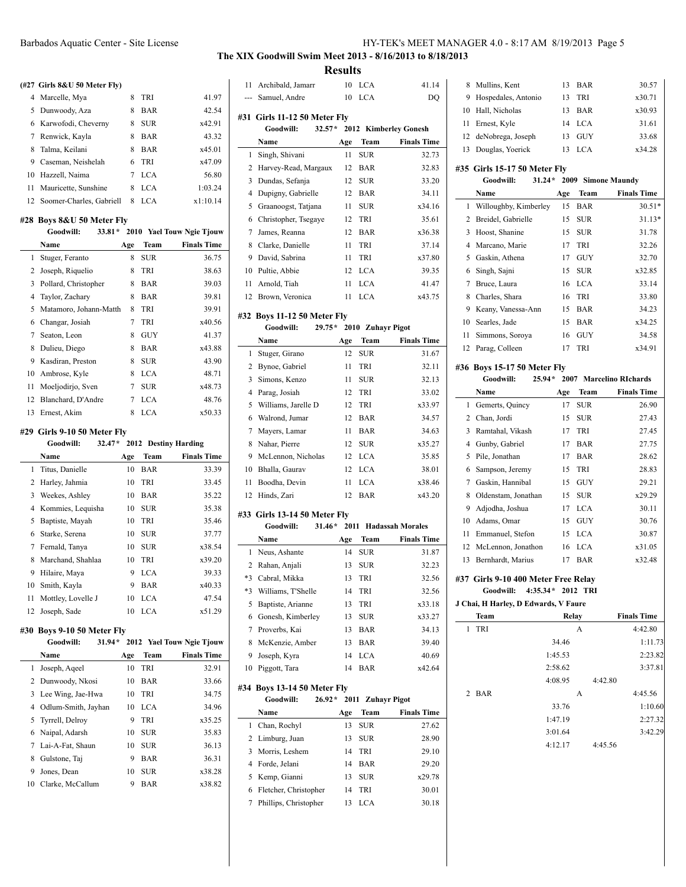#### **(#27 Girls 8&U 50 Meter Fly)**

|   | 4 Marcelle, Mya             | 8 | <b>TRI</b> | 41.97    |
|---|-----------------------------|---|------------|----------|
|   | 5 Dunwoody, Aza             | 8 | BAR        | 42.54    |
|   | 6 Karwofodi, Cheverny       | 8 | <b>SUR</b> | x42.91   |
|   | 7 Renwick, Kayla            | 8 | BAR        | 43.32    |
|   | 8 Talma, Keilani            | 8 | <b>BAR</b> | x45.01   |
| 9 | Caseman, Neishelah          | 6 | <b>TRI</b> | x47.09   |
|   | 10 Hazzell, Naima           | 7 | <b>LCA</b> | 56.80    |
|   | 11 Mauricette, Sunshine     | 8 | <b>LCA</b> | 1:03.24  |
|   | 12 Soomer-Charles, Gabriell | 8 | LCA.       | x1:10.14 |

 $\overline{a}$ 

#### **#28 Boys 8&U 50 Meter Fly**

|    | Goodwill:<br>$33.81*$  |     |            | 2010 Yael Touw Ngie Tjouw |
|----|------------------------|-----|------------|---------------------------|
|    | Name                   | Age | Team       | <b>Finals Time</b>        |
| 1  | Stuger, Feranto        | 8   | <b>SUR</b> | 36.75                     |
| 2  | Joseph, Riquelio       | 8   | TRI        | 38.63                     |
| 3  | Pollard, Christopher   | 8   | BAR        | 39.03                     |
| 4  | Taylor, Zachary        | 8   | BAR        | 39.81                     |
| 5  | Matamoro, Johann-Matth | 8   | TRI        | 39.91                     |
| 6  | Changar, Josiah        | 7   | TRI        | x40.56                    |
| 7  | Seaton, Leon           | 8   | GUY        | 41.37                     |
| 8  | Dulieu, Diego          | 8   | BAR        | x43.88                    |
| 9  | Kasdiran, Preston      | 8   | <b>SUR</b> | 43.90                     |
| 10 | Ambrose, Kyle          | 8   | <b>LCA</b> | 48.71                     |
| 11 | Moeljodirjo, Sven      | 7   | <b>SUR</b> | x48.73                    |
| 12 | Blanchard, D'Andre     | 7   | <b>LCA</b> | 48.76                     |
| 13 | Ernest, Akim           | 8   | LCA        | x50.33                    |

#### **#29 Girls 9-10 50 Meter Fly**

|              | Goodwill:<br>$32.47*$ |     |            | 2012 Destiny Harding |
|--------------|-----------------------|-----|------------|----------------------|
|              | <b>Name</b>           | Age | Team       | <b>Finals Time</b>   |
| $\mathbf{1}$ | Titus, Danielle       | 10  | BAR        | 33.39                |
| 2            | Harley, Jahmia        | 10  | <b>TRI</b> | 33.45                |
| 3            | Weekes, Ashley        | 10  | <b>BAR</b> | 35.22                |
| 4            | Kommies, Lequisha     | 10  | SUR        | 35.38                |
| 5            | Baptiste, Mayah       | 10  | TRI        | 35.46                |
| 6            | Starke, Serena        | 10  | <b>SUR</b> | 37.77                |
| 7            | Fernald, Tanya        | 10  | <b>SUR</b> | x38.54               |
| 8            | Marchand, Shahlaa     | 10  | TRI        | x39.20               |
| 9            | Hilaire, Maya         | 9   | LCA        | 39.33                |
| 10           | Smith, Kayla          | 9   | <b>BAR</b> | x40.33               |
| 11           | Mottley, Lovelle J    | 10  | LCA        | 47.54                |
| 12           | Joseph, Sade          | 10  | LCA        | x51.29               |

### **#30 Boys 9-10 50 Meter Fly**

|    | <b>Goodwill:</b><br>$31.94*$ |     |            | 2012 Yael Touw Ngie Tjouw |
|----|------------------------------|-----|------------|---------------------------|
|    | <b>Name</b>                  | Age | Team       | <b>Finals Time</b>        |
| 1  | Joseph, Ageel                | 10  | <b>TRI</b> | 32.91                     |
|    | 2 Dunwoody, Nkosi            | 10  | <b>BAR</b> | 33.66                     |
|    | 3 Lee Wing, Jae-Hwa          | 10  | <b>TRI</b> | 34.75                     |
|    | 4 Odlum-Smith, Jayhan        | 10  | LCA.       | 34.96                     |
|    | 5 Tyrrell, Delroy            | 9   | <b>TRI</b> | x35.25                    |
|    | 6 Naipal, Adarsh             | 10  | <b>SUR</b> | 35.83                     |
|    | 7 Lai-A-Fat, Shaun           | 10  | <b>SUR</b> | 36.13                     |
| 8  | Gulstone, Taj                | 9   | <b>BAR</b> | 36.31                     |
| 9  | Jones, Dean                  | 10  | <b>SUR</b> | x38.28                    |
| 10 | Clarke, McCallum             | 9   | BAR        | x38.82                    |

## **The XIX Goodwill Swim Meet 2013 - 8/16/2013 to 8/18/2013**

| 11             | Archibald, Jamarr            | 10   | LCA        | 41.14                   |
|----------------|------------------------------|------|------------|-------------------------|
|                | --- Samuel, Andre            | 10   | LCA        | DQ                      |
|                |                              |      |            |                         |
|                | #31 Girls 11-12 50 Meter Fly |      |            |                         |
|                | $32.57*$<br>Goodwill:        |      |            | 2012 Kimberley Gonesh   |
|                | Name                         | Age  | Team       | <b>Finals Time</b>      |
| 1              | Singh, Shivani               | 11   | <b>SUR</b> | 32.73                   |
| 2              | Harvey-Read, Margaux         | 12   | BAR        | 32.83                   |
| 3              | Dundas, Sefanja              | 12   | <b>SUR</b> | 33.20                   |
| 4              | Dupigny, Gabrielle           | 12   | BAR        | 34.11                   |
| 5              | Graanoogst, Tatjana          | 11   | <b>SUR</b> | x34.16                  |
| 6              | Christopher, Tsegaye         | 12   | TRI        | 35.61                   |
| 7              |                              | 12   | BAR        | x36.38                  |
|                | James, Reanna                |      |            |                         |
| 8              | Clarke, Danielle             | 11   | TRI        | 37.14                   |
| 9              | David, Sabrina               | 11   | TRI        | x37.80                  |
| 10             | Pultie, Abbie                | 12   | LCA        | 39.35                   |
| 11             | Arnold, Tiah                 | 11   | <b>LCA</b> | 41.47                   |
|                | 12 Brown, Veronica           | 11   | <b>LCA</b> | x43.75                  |
|                | #32 Boys 11-12 50 Meter Fly  |      |            |                         |
|                | Goodwill:<br>$29.75*$        | 2010 |            | <b>Zuhayr Pigot</b>     |
|                | Name                         | Age  | Team       | <b>Finals Time</b>      |
| 1              | Stuger, Girano               | 12   | <b>SUR</b> | 31.67                   |
| 2              | Bynoe, Gabriel               | 11   | TRI        | 32.11                   |
| 3              | Simons, Kenzo                | 11   | <b>SUR</b> | 32.13                   |
| $\overline{4}$ | Parag, Josiah                | 12   | TRI        | 33.02                   |
| 5              | Williams, Jarelle D          | 12   | TRI        | x33.97                  |
| 6              |                              | 12   |            |                         |
|                | Walrond, Jumar               |      | BAR        | 34.57                   |
| 7              | Mayers, Lamar                | 11   | <b>BAR</b> | 34.63                   |
| 8              | Nahar, Pierre                | 12   | <b>SUR</b> | x35.27                  |
| 9              | McLennon, Nicholas           | 12   | <b>LCA</b> | 35.85                   |
| 10             | Bhalla, Gaurav               | 12   | <b>LCA</b> | 38.01                   |
| 11             | Boodha, Devin                | 11   | LCA        | x38.46                  |
| 12             | Hinds, Zari                  | 12   | BAR        | x43.20                  |
|                | #33 Girls 13-14 50 Meter Fly |      |            |                         |
|                | Goodwill:<br>$31.46*$        | 2011 |            | <b>Hadassah Morales</b> |
|                | Name                         | Age  | Team       | <b>Finals Time</b>      |
| 1              | Neus, Ashante                | 14   | <b>SUR</b> | 31.87                   |
| 2              | Rahan, Anjali                | 13   | <b>SUR</b> | 32.23                   |
|                | *3 Cabral, Mikka             | 13   | TRI        | 32.56                   |
| *3             | Williams, T'Shelle           | 14   | TRI        | 32.56                   |
| 5              | Baptiste, Arianne            | 13   | TRI        | x33.18                  |
| 6              | Gonesh, Kimberley            | 13   | <b>SUR</b> | x33.27                  |
| 7              | Proverbs, Kai                | 13   | BAR        | 34.13                   |
| 8              | McKenzie, Amber              | 13   | <b>BAR</b> | 39.40                   |
| 9              | Joseph, Kyra                 | 14   | LCA        | 40.69                   |
| 10             | Piggott, Tara                | 14   | BAR        | x42.64                  |
|                |                              |      |            |                         |
|                | #34 Boys 13-14 50 Meter Fly  |      |            |                         |
|                | $26.92*$<br>Goodwill:        | 2011 |            | Zuhayr Pigot            |
|                | Name                         | Age  | Team       | <b>Finals Time</b>      |
| 1              | Chan, Rochyl                 | 13   | SUR        | 27.62                   |
| 2              | Limburg, Juan                | 13   | SUR        | 28.90                   |
| 3              | Morris, Leshem               | 14   | TRI        | 29.10                   |
| 4              | Forde, Jelani                | 14   | BAR        | 29.20                   |
| 5              | Kemp, Gianni                 | 13   | <b>SUR</b> | x29.78                  |
| 6              | Fletcher, Christopher        | 14   | TRI        | 30.01                   |
| 7              | Phillips, Christopher        | 13   | LCA        | 30.18                   |
|                |                              |      |            |                         |

| 8                                                                            | Mullins, Kent                             | 13               | BAR                      | 30.57              |  |  |  |  |  |  |  |
|------------------------------------------------------------------------------|-------------------------------------------|------------------|--------------------------|--------------------|--|--|--|--|--|--|--|
| 9                                                                            | Hospedales, Antonio                       | 13               | TRI                      | x30.71             |  |  |  |  |  |  |  |
| 10                                                                           | Hall, Nicholas                            | 13               | <b>BAR</b>               | x30.93             |  |  |  |  |  |  |  |
| 11                                                                           | Ernest, Kyle                              | 14               | <b>LCA</b>               | 31.61              |  |  |  |  |  |  |  |
| 12                                                                           | deNobrega, Joseph                         | 13               | <b>GUY</b>               | 33.68              |  |  |  |  |  |  |  |
| 13                                                                           | Douglas, Yoerick                          | 13               | <b>LCA</b>               | x34.28             |  |  |  |  |  |  |  |
|                                                                              |                                           |                  |                          |                    |  |  |  |  |  |  |  |
|                                                                              | #35 Girls 15-17 50 Meter Fly<br>Goodwill: | $31.24*$<br>2009 | <b>Simone Maundy</b>     |                    |  |  |  |  |  |  |  |
|                                                                              | Name                                      | Age              | Team                     | <b>Finals Time</b> |  |  |  |  |  |  |  |
| 1                                                                            | Willoughby, Kimberley                     | 15               | <b>BAR</b>               | $30.51*$           |  |  |  |  |  |  |  |
| 2                                                                            | Breidel, Gabrielle                        | 15               | <b>SUR</b>               | 31.13*             |  |  |  |  |  |  |  |
| 3                                                                            | Hoost, Shanine                            | 15               | <b>SUR</b>               | 31.78              |  |  |  |  |  |  |  |
| 4                                                                            | Marcano, Marie                            | 17               | TRI                      | 32.26              |  |  |  |  |  |  |  |
| 5                                                                            | Gaskin, Athena                            | 17               | <b>GUY</b>               | 32.70              |  |  |  |  |  |  |  |
| 6                                                                            | Singh, Sajni                              | 15               | <b>SUR</b>               | x32.85             |  |  |  |  |  |  |  |
| 7                                                                            | Bruce, Laura                              | 16               | <b>LCA</b>               | 33.14              |  |  |  |  |  |  |  |
| 8                                                                            | Charles, Shara                            | 16               | TRI                      | 33.80              |  |  |  |  |  |  |  |
| 9                                                                            | Keany, Vanessa-Ann                        | 15               | <b>BAR</b>               | 34.23              |  |  |  |  |  |  |  |
| 10                                                                           | Searles, Jade                             | 15               | <b>BAR</b>               | x34.25             |  |  |  |  |  |  |  |
| 11                                                                           | Simmons, Soroya                           | 16               | <b>GUY</b>               | 34.58              |  |  |  |  |  |  |  |
| 12                                                                           | Parag, Colleen                            | 17               | TRI                      | x34.91             |  |  |  |  |  |  |  |
|                                                                              |                                           |                  |                          |                    |  |  |  |  |  |  |  |
| #36 Boys 15-17 50 Meter Fly<br>$25.94*$<br>2007<br><b>Marcelino RIchards</b> |                                           |                  |                          |                    |  |  |  |  |  |  |  |
|                                                                              | <b>Goodwill:</b>                          |                  |                          |                    |  |  |  |  |  |  |  |
|                                                                              | Name                                      | Age              | <b>Team</b>              | <b>Finals Time</b> |  |  |  |  |  |  |  |
| 1                                                                            | Gemerts, Quincy                           | 17               | <b>SUR</b>               | 26.90              |  |  |  |  |  |  |  |
| 2                                                                            | Chan, Jordi                               | 15               | <b>SUR</b>               | 27.43              |  |  |  |  |  |  |  |
| 3                                                                            | Ramtahal, Vikash                          | 17               | TRI                      | 27.45              |  |  |  |  |  |  |  |
| 4                                                                            | Gunby, Gabriel                            | 17               | <b>BAR</b>               | 27.75              |  |  |  |  |  |  |  |
| 5                                                                            | Pile, Jonathan                            | 17               | <b>BAR</b>               | 28.62              |  |  |  |  |  |  |  |
| 6                                                                            | Sampson, Jeremy                           | 15               | TRI                      | 28.83              |  |  |  |  |  |  |  |
| 7                                                                            | Gaskin, Hannibal                          | 15               | <b>GUY</b>               | 29.21              |  |  |  |  |  |  |  |
| 8                                                                            | Oldenstam, Jonathan                       | 15               | <b>SUR</b>               | x29.29             |  |  |  |  |  |  |  |
| 9<br>10                                                                      | Adjodha, Joshua<br>Adams, Omar            | 17<br>15         | <b>LCA</b>               | 30.11<br>30.76     |  |  |  |  |  |  |  |
|                                                                              |                                           |                  | <b>GUY</b>               |                    |  |  |  |  |  |  |  |
| 11<br>12                                                                     | Emmanuel, Stefon                          | 15               | <b>LCA</b>               | 30.87              |  |  |  |  |  |  |  |
| 13                                                                           | McLennon, Jonathon<br>Bernhardt, Marius   | 16<br>17         | <b>LCA</b><br><b>BAR</b> | x31.05<br>x32.48   |  |  |  |  |  |  |  |
|                                                                              |                                           |                  |                          |                    |  |  |  |  |  |  |  |
|                                                                              | #37 Girls 9-10 400 Meter Free Relay       |                  |                          |                    |  |  |  |  |  |  |  |
|                                                                              | Goodwill: 4:35.34* 2012 TRI               |                  |                          |                    |  |  |  |  |  |  |  |
|                                                                              | J Chai, H Harley, D Edwards, V Faure      |                  |                          |                    |  |  |  |  |  |  |  |
|                                                                              | Team                                      |                  | Relay                    | <b>Finals Time</b> |  |  |  |  |  |  |  |
| 1                                                                            | TRI                                       |                  | А                        | 4:42.80            |  |  |  |  |  |  |  |
|                                                                              |                                           | 34.46            |                          | 1:11.73            |  |  |  |  |  |  |  |
|                                                                              |                                           | 1:45.53          |                          | 2:23.82            |  |  |  |  |  |  |  |
|                                                                              |                                           | 2:58.62          |                          | 3:37.81            |  |  |  |  |  |  |  |
|                                                                              |                                           | 4:08.95          | 4:42.80                  |                    |  |  |  |  |  |  |  |
| 2                                                                            | BAR                                       |                  | А                        | 4:45.56            |  |  |  |  |  |  |  |
|                                                                              |                                           | 33.76            |                          | 1:10.60            |  |  |  |  |  |  |  |
|                                                                              |                                           | 1:47.19          |                          | 2:27.32            |  |  |  |  |  |  |  |
|                                                                              |                                           | 3:01.64          |                          | 3:42.29            |  |  |  |  |  |  |  |
|                                                                              |                                           | 4:12.17          | 4:45.56                  |                    |  |  |  |  |  |  |  |
|                                                                              |                                           |                  |                          |                    |  |  |  |  |  |  |  |
|                                                                              |                                           |                  |                          |                    |  |  |  |  |  |  |  |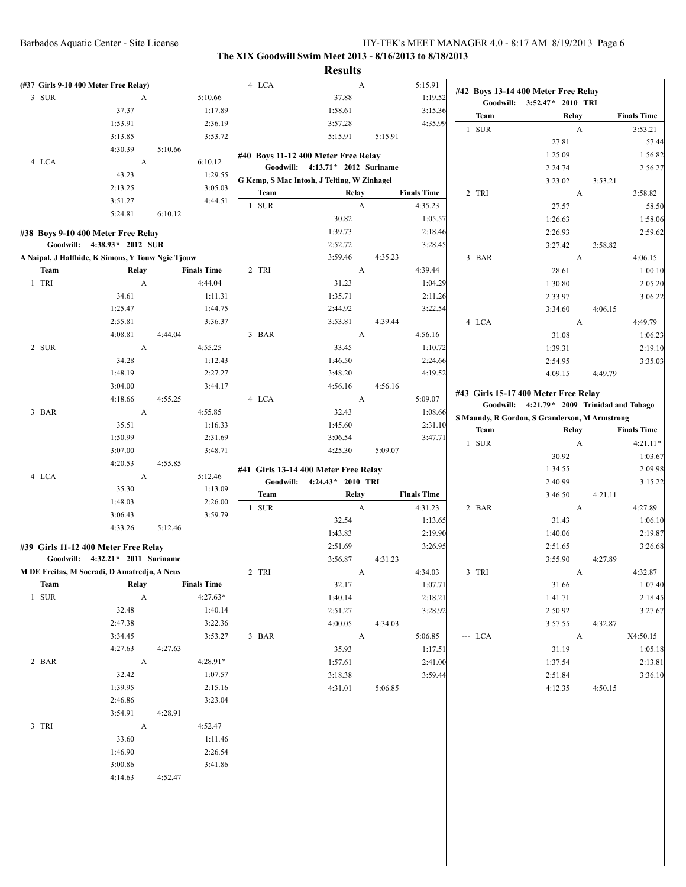| (#37 Girls 9-10 400 Meter Free Relay)             |                                  |         |                    | 4 LCA | A                                           |         | 5:15.91            |         | #42 Boys 13-14 400 Meter Free Relay           |                    |
|---------------------------------------------------|----------------------------------|---------|--------------------|-------|---------------------------------------------|---------|--------------------|---------|-----------------------------------------------|--------------------|
| 3 SUR                                             | A                                |         | 5:10.66            |       | 37.88                                       |         | 1:19.52            |         | Goodwill: 3:52.47* 2010 TRI                   |                    |
|                                                   | 37.37                            |         | 1:17.89            |       | 1:58.61                                     |         | 3:15.36            | Team    | Relay                                         | <b>Finals Time</b> |
|                                                   | 1:53.91                          |         | 2:36.19            |       | 3:57.28                                     |         | 4:35.99            | 1 SUR   | A                                             | 3:53.21            |
|                                                   | 3:13.85                          |         | 3:53.72            |       | 5:15.91                                     | 5:15.91 |                    |         | 27.81                                         | 57.44              |
|                                                   | 4:30.39                          | 5:10.66 |                    |       | #40 Boys 11-12 400 Meter Free Relay         |         |                    |         | 1:25.09                                       | 1:56.82            |
| 4 LCA                                             | A                                |         | 6:10.12            |       | Goodwill: 4:13.71* 2012 Suriname            |         |                    |         | 2:24.74                                       | 2:56.27            |
|                                                   | 43.23                            |         | 1:29.55            |       | G Kemp, S Mac Intosh, J Telting, W Zinhagel |         |                    |         | 3:23.02                                       | 3:53.21            |
|                                                   | 2:13.25                          |         | 3:05.03            | Team  | Relay                                       |         | <b>Finals Time</b> | 2 TRI   | A                                             | 3:58.82            |
|                                                   | 3:51.27                          |         | 4:44.51            | 1 SUR | A                                           |         | 4:35.23            |         | 27.57                                         | 58.50              |
|                                                   | 5:24.81                          | 6:10.12 |                    |       | 30.82                                       |         | 1:05.57            |         | 1:26.63                                       | 1:58.06            |
| #38 Boys 9-10 400 Meter Free Relay                |                                  |         |                    |       | 1:39.73                                     |         | 2:18.46            |         | 2:26.93                                       | 2:59.62            |
|                                                   | Goodwill: 4:38.93* 2012 SUR      |         |                    |       | 2:52.72                                     |         | 3:28.45            |         | 3:27.42                                       | 3:58.82            |
| A Naipal, J Halfhide, K Simons, Y Touw Ngie Tjouw |                                  |         |                    |       | 3:59.46                                     | 4:35.23 |                    | 3 BAR   | A                                             | 4:06.15            |
| Team                                              | Relay                            |         | <b>Finals Time</b> | 2 TRI | A                                           |         | 4:39.44            |         | 28.61                                         | 1:00.10            |
| 1 TRI                                             | A                                |         | 4:44.04            |       | 31.23                                       |         | 1:04.29            |         | 1:30.80                                       | 2:05.20            |
|                                                   | 34.61                            |         | 1:11.31            |       | 1:35.71                                     |         | 2:11.26            |         | 2:33.97                                       | 3:06.22            |
|                                                   | 1:25.47                          |         | 1:44.75            |       | 2:44.92                                     |         | 3:22.54            |         | 3:34.60                                       | 4:06.15            |
|                                                   | 2:55.81                          |         | 3:36.37            |       | 3:53.81                                     | 4:39.44 |                    | 4 LCA   | A                                             | 4:49.79            |
|                                                   | 4:08.81                          | 4:44.04 |                    | 3 BAR | $\boldsymbol{A}$                            |         | 4:56.16            |         | 31.08                                         | 1:06.23            |
| 2 SUR                                             | A                                |         | 4:55.25            |       | 33.45                                       |         | 1:10.72            |         | 1:39.31                                       | 2:19.10            |
|                                                   | 34.28                            |         | 1:12.43            |       | 1:46.50                                     |         | 2:24.66            |         | 2:54.95                                       | 3:35.03            |
|                                                   | 1:48.19                          |         | 2:27.27            |       | 3:48.20                                     |         | 4:19.52            |         | 4:09.15                                       | 4:49.79            |
|                                                   | 3:04.00                          |         | 3:44.17            |       | 4:56.16                                     | 4:56.16 |                    |         |                                               |                    |
|                                                   | 4:18.66                          | 4:55.25 |                    | 4 LCA | A                                           |         | 5:09.07            |         | #43 Girls 15-17 400 Meter Free Relay          |                    |
| 3 BAR                                             | A                                |         | 4:55.85            |       | 32.43                                       |         | 1:08.66            |         | Goodwill: 4:21.79 * 2009 Trinidad and Tobago  |                    |
|                                                   | 35.51                            |         | 1:16.33            |       | 1:45.60                                     |         | 2:31.10            |         | S Maundy, R Gordon, S Granderson, M Armstrong |                    |
|                                                   | 1:50.99                          |         | 2:31.69            |       | 3:06.54                                     |         | 3:47.71            | Team    | Relay                                         | <b>Finals Time</b> |
|                                                   | 3:07.00                          |         | 3:48.71            |       | 4:25.30                                     | 5:09.07 |                    | 1 SUR   | $\mathbf{A}$                                  | $4:21.11*$         |
|                                                   | 4:20.53                          | 4:55.85 |                    |       |                                             |         |                    |         | 30.92                                         | 1:03.67            |
| 4 LCA                                             | A                                |         | 5:12.46            |       | #41 Girls 13-14 400 Meter Free Relay        |         |                    |         | 1:34.55                                       | 2:09.98            |
|                                                   | 35.30                            |         | 1:13.09            |       | Goodwill: 4:24.43* 2010 TRI                 |         |                    |         | 2:40.99                                       | 3:15.22            |
|                                                   |                                  |         |                    | Team  | Relay                                       |         | <b>Finals Time</b> |         | 3:46.50                                       | 4:21.11            |
|                                                   | 1:48.03                          |         | 2:26.00            | 1 SUR | A                                           |         | 4:31.23            | 2 BAR   | A                                             | 4:27.89            |
|                                                   | 3:06.43                          |         | 3:59.79            |       | 32.54                                       |         | 1:13.65            |         | 31.43                                         | 1:06.10            |
|                                                   | 4:33.26                          | 5:12.46 |                    |       | 1:43.83                                     |         | 2:19.90            |         | 1:40.06                                       | 2:19.87            |
| #39 Girls 11-12 400 Meter Free Relay              |                                  |         |                    |       | 2:51.69                                     |         | 3:26.95            |         | 2:51.65                                       | 3:26.68            |
|                                                   | Goodwill: 4:32.21* 2011 Suriname |         |                    |       | 3:56.87                                     | 4:31.23 |                    |         | 3:55.90                                       | 4:27.89            |
| M DE Freitas, M Soeradi, D Amatredjo, A Neus      |                                  |         |                    | 2 TRI | A                                           |         | 4:34.03            | 3 TRI   | A                                             | 4:32.87            |
| Team                                              | Relay                            |         | <b>Finals Time</b> |       | 32.17                                       |         | 1:07.71            |         | 31.66                                         | 1:07.40            |
| 1 SUR                                             | $\mathbf{A}$                     |         | $4:27.63*$         |       | 1:40.14                                     |         | 2:18.21            |         | 1:41.71                                       | 2:18.45            |
|                                                   | 32.48                            |         | 1:40.14            |       | 2:51.27                                     |         | 3:28.92            |         | 2:50.92                                       | 3:27.67            |
|                                                   | 2:47.38                          |         | 3:22.36            |       | 4:00.05                                     | 4:34.03 |                    |         | 3:57.55                                       | 4:32.87            |
|                                                   | 3:34.45                          |         | 3:53.27            | 3 BAR | $\overline{A}$                              |         | 5:06.85            | --- LCA | $\mathbf{A}$                                  | X4:50.15           |
|                                                   | 4:27.63                          | 4:27.63 |                    |       | 35.93                                       |         | 1:17.51            |         | 31.19                                         | 1:05.18            |
| 2 BAR                                             | A                                |         | 4:28.91*           |       | 1:57.61                                     |         | 2:41.00            |         | 1:37.54                                       | 2:13.81            |
|                                                   | 32.42                            |         | 1:07.57            |       | 3:18.38                                     |         | 3:59.44            |         | 2:51.84                                       | 3:36.10            |
|                                                   | 1:39.95                          |         | 2:15.16            |       | 4:31.01                                     | 5:06.85 |                    |         | 4:12.35                                       | 4:50.15            |
|                                                   | 2:46.86                          |         | 3:23.04            |       |                                             |         |                    |         |                                               |                    |
|                                                   | 3:54.91                          | 4:28.91 |                    |       |                                             |         |                    |         |                                               |                    |
| 3 TRI                                             | $\mathbf{A}$                     |         | 4:52.47            |       |                                             |         |                    |         |                                               |                    |
|                                                   | 33.60                            |         | 1:11.46            |       |                                             |         |                    |         |                                               |                    |
|                                                   | 1:46.90                          |         | 2:26.54            |       |                                             |         |                    |         |                                               |                    |
|                                                   | 3:00.86                          |         | 3:41.86            |       |                                             |         |                    |         |                                               |                    |
|                                                   | 4:14.63                          | 4:52.47 |                    |       |                                             |         |                    |         |                                               |                    |
|                                                   |                                  |         |                    |       |                                             |         |                    |         |                                               |                    |
|                                                   |                                  |         |                    |       |                                             |         |                    |         |                                               |                    |
|                                                   |                                  |         |                    |       |                                             |         |                    |         |                                               |                    |
|                                                   |                                  |         |                    |       |                                             |         |                    |         |                                               |                    |
|                                                   |                                  |         |                    |       |                                             |         |                    |         |                                               |                    |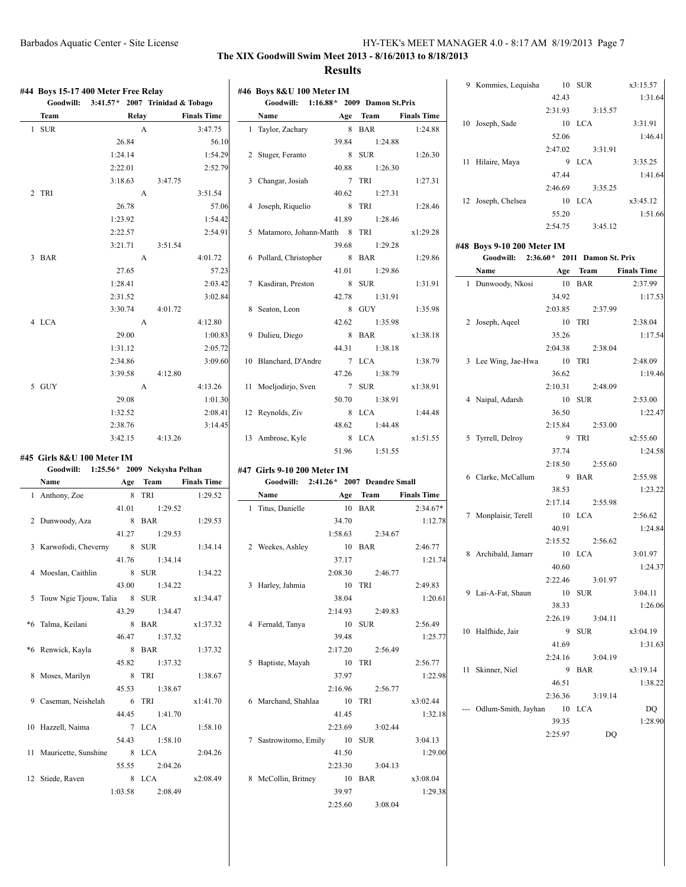| #44 Boys 15-17 400 Meter Free Relay         |         |                    |                    | #46 Boys 8&U 100 Meter IM             |                 |                  |                    |                                                                      | 42.43   |          | x3:15.57<br>1:31.64                                                                                                                |
|---------------------------------------------|---------|--------------------|--------------------|---------------------------------------|-----------------|------------------|--------------------|----------------------------------------------------------------------|---------|----------|------------------------------------------------------------------------------------------------------------------------------------|
| Goodwill: $3:41.57*$ 2007 Trinidad & Tobago |         |                    |                    | Goodwill: 1:16.88* 2009 Damon St.Prix |                 |                  |                    |                                                                      | 2:31.93 | 3:15.57  |                                                                                                                                    |
| <b>Team</b>                                 | Relay   |                    | <b>Finals Time</b> | Name                                  |                 | Age Team         | <b>Finals Time</b> | 10 Joseph, Sade                                                      |         | 10 LCA   | 3:31.91                                                                                                                            |
| 1 SUR                                       |         | $\mathbf{A}$       | 3:47.75            | 1 Taylor, Zachary                     |                 | 8 BAR            | 1:24.88            |                                                                      | 52.06   |          | 1:46.41                                                                                                                            |
|                                             | 26.84   |                    | 56.10              |                                       | 39.84           | 1:24.88          |                    |                                                                      | 2:47.02 | 3:31.91  |                                                                                                                                    |
|                                             | 1:24.14 |                    | 1:54.29            | 2 Stuger, Feranto                     |                 | 8 SUR            | 1:26.30            | 11 Hilaire, Maya                                                     |         | 9 LCA    | 3:35.25                                                                                                                            |
|                                             | 2:22.01 |                    | 2:52.79            |                                       | 40.88           | 1:26.30          |                    |                                                                      | 47.44   |          | 1:41.64                                                                                                                            |
| 2 TRI                                       | 3:18.63 | 3:47.75<br>A       | 3:51.54            | 3 Changar, Josiah                     | 40.62           | 7 TRI<br>1:27.31 | 1:27.31            |                                                                      | 2:46.69 | 3:35.25  |                                                                                                                                    |
|                                             | 26.78   |                    | 57.06              |                                       |                 | 8 TRI            | 1:28.46            | 12 Joseph, Chelsea                                                   |         | 10 LCA   | x3:45.12                                                                                                                           |
|                                             | 1:23.92 |                    | 1:54.42            | 4 Joseph, Riquelio                    | 41.89           | 1:28.46          |                    |                                                                      | 55.20   |          | 1:51.66                                                                                                                            |
|                                             | 2:22.57 |                    | 2:54.91            | 5 Matamoro, Johann-Matth 8 TRI        |                 |                  | x1:29.28           |                                                                      | 2:54.75 | 3:45.12  |                                                                                                                                    |
|                                             | 3:21.71 | 3:51.54            |                    |                                       | 39.68           | 1:29.28          |                    |                                                                      |         |          |                                                                                                                                    |
| 3 BAR                                       |         | $\mathbf{A}$       | 4:01.72            | 6 Pollard, Christopher                |                 | 8 BAR            | 1:29.86            | #48 Boys 9-10 200 Meter IM<br>Goodwill: 2:36.60* 2011 Damon St. Prix |         |          |                                                                                                                                    |
|                                             | 27.65   |                    | 57.23              |                                       | 41.01           | 1:29.86          |                    | Name                                                                 |         | Age Team | <b>Finals Time</b>                                                                                                                 |
|                                             | 1:28.41 |                    | 2:03.42            | 7 Kasdiran, Preston                   |                 | 8 SUR            | 1:31.91            | 1 Dunwoody, Nkosi                                                    |         | 10 BAR   | 2:37.99                                                                                                                            |
|                                             | 2:31.52 |                    | 3:02.84            |                                       | 42.78           | 1:31.91          |                    |                                                                      | 34.92   |          | 1:17.53                                                                                                                            |
|                                             | 3:30.74 | 4:01.72            |                    | 8 Seaton, Leon                        |                 | 8 GUY            | 1:35.98            |                                                                      | 2:03.85 | 2:37.99  |                                                                                                                                    |
| 4 LCA                                       |         | $\mathbf{A}$       | 4:12.80            |                                       | 42.62           | 1:35.98          |                    | 2 Joseph, Aqeel                                                      |         | 10 TRI   | 2:38.04                                                                                                                            |
|                                             | 29.00   |                    | 1:00.83            | 9 Dulieu, Diego                       |                 | 8 BAR            | x1:38.18           |                                                                      | 35.26   |          | 1:17.54                                                                                                                            |
|                                             | 1:31.12 |                    | 2:05.72            |                                       | 44.31           | 1:38.18          |                    |                                                                      | 2:04.38 | 2:38.04  |                                                                                                                                    |
|                                             | 2:34.86 |                    | 3:09.60            | 10 Blanchard, D'Andre                 |                 | 7 LCA            | 1:38.79            | 3 Lee Wing, Jae-Hwa                                                  |         | 10 TRI   | 2:48.09                                                                                                                            |
|                                             | 3:39.58 | 4:12.80            |                    |                                       | 47.26           | 1:38.79          |                    |                                                                      | 36.62   |          | 1:19.46                                                                                                                            |
| 5 GUY                                       |         | A                  | 4:13.26            | 11 Moeljodirjo, Sven                  |                 | 7 SUR            | x1:38.91           |                                                                      | 2:10.31 | 2:48.09  |                                                                                                                                    |
|                                             | 29.08   |                    | 1:01.30            |                                       | 50.70           | 1:38.91          |                    | 4 Naipal, Adarsh                                                     |         | 10 SUR   | 2:53.00                                                                                                                            |
|                                             | 1:32.52 |                    | 2:08.41            | 12 Reynolds, Ziv                      |                 | 8 LCA            | 1:44.48            |                                                                      | 36.50   |          | 1:22.47                                                                                                                            |
|                                             | 2:38.76 |                    | 3:14.45            |                                       | 48.62           | 1:44.48          |                    |                                                                      | 2:15.84 | 2:53.00  |                                                                                                                                    |
|                                             |         |                    |                    |                                       |                 |                  |                    |                                                                      |         |          |                                                                                                                                    |
|                                             |         |                    |                    |                                       |                 |                  |                    |                                                                      |         |          |                                                                                                                                    |
|                                             | 3:42.15 | 4:13.26            |                    | 13 Ambrose, Kyle                      |                 | 8 LCA            | x1:51.55           | 5 Tyrrell, Delroy                                                    |         | 9 TRI    | x2:55.60                                                                                                                           |
| #45 Girls 8&U 100 Meter IM                  |         |                    |                    |                                       | 51.96           | 1:51.55          |                    |                                                                      | 37.74   |          |                                                                                                                                    |
| Goodwill: 1:25.56* 2009 Nekysha Pelhan      |         |                    |                    | #47 Girls 9-10 200 Meter IM           |                 |                  |                    |                                                                      | 2:18.50 | 2:55.60  |                                                                                                                                    |
| Name                                        |         | Age Team           | <b>Finals Time</b> | Goodwill: 2:41.26* 2007 Deandre Small |                 |                  |                    | 6 Clarke, McCallum                                                   |         | 9 BAR    | 2:55.98                                                                                                                            |
| 1 Anthony, Zoe                              |         | 8 TRI              | 1:29.52            | Name                                  |                 | Age Team         | <b>Finals Time</b> |                                                                      | 38.53   |          |                                                                                                                                    |
|                                             | 41.01   | 1:29.52            |                    | 1 Titus, Danielle                     |                 | 10 BAR           | $2:34.67*$         |                                                                      | 2:17.14 | 2:55.98  |                                                                                                                                    |
| 2 Dunwoody, Aza                             |         | 8 BAR              | 1:29.53            |                                       | 34.70           |                  | 1:12.78            | 7 Monplaisir, Terell                                                 |         | 10 LCA   | 2:56.62                                                                                                                            |
|                                             | 41.27   | 1:29.53            |                    |                                       | 1:58.63         | 2:34.67          |                    |                                                                      | 40.91   |          |                                                                                                                                    |
| 3 Karwofodi, Cheverny                       |         | 8 SUR              | 1:34.14            | 2 Weekes, Ashley                      |                 | 10 BAR           | 2:46.77            |                                                                      | 2:15.52 | 2:56.62  |                                                                                                                                    |
|                                             | 41.76   | 1:34.14            |                    |                                       | 37.17           |                  | 1:21.74            | 8 Archibald, Jamarr                                                  |         | 10 LCA   |                                                                                                                                    |
| 4 Moeslan, Caithlin                         |         | 8 SUR              | 1:34.22            |                                       | 2:08.30         | 2:46.77          |                    |                                                                      | 40.60   |          |                                                                                                                                    |
|                                             | 43.00   | 1:34.22            |                    | 3 Harley, Jahmia                      | 10 TRI          |                  | 2:49.83            |                                                                      | 2:22.46 | 3:01.97  |                                                                                                                                    |
| 5 Touw Ngie Tjouw, Talia 8 SUR              |         |                    | x1:34.47           |                                       | 38.04           |                  | 1:20.61            | 9 Lai-A-Fat, Shaun                                                   |         | 10 SUR   |                                                                                                                                    |
|                                             | 43.29   | 1:34.47            |                    |                                       | 2:14.93         | 2:49.83          |                    |                                                                      | 38.33   |          |                                                                                                                                    |
| *6 Talma, Keilani                           |         | 8 BAR              | x1:37.32           | 4 Fernald, Tanya                      | 10 SUR          |                  | 2:56.49            |                                                                      | 2:26.19 | 3:04.11  |                                                                                                                                    |
|                                             | 46.47   | 1:37.32            |                    |                                       | 39.48           |                  | 1:25.77            | 10 Halfhide, Jair                                                    |         | 9 SUR    |                                                                                                                                    |
| *6 Renwick, Kayla                           |         | 8 BAR              | 1:37.32            |                                       | 2:17.20         | 2:56.49          |                    |                                                                      | 41.69   |          |                                                                                                                                    |
|                                             | 45.82   | 1:37.32            |                    | 5 Baptiste, Mayah                     | 10 TRI          |                  | 2:56.77            |                                                                      | 2:24.16 | 3:04.19  |                                                                                                                                    |
| 8 Moses, Marilyn                            |         | 8 TRI              | 1:38.67            |                                       | 37.97           |                  | 1:22.98            | 11 Skinner, Niel                                                     |         | 9 BAR    |                                                                                                                                    |
|                                             | 45.53   | 1:38.67            |                    |                                       | 2:16.96         | 2:56.77          |                    |                                                                      | 46.51   |          |                                                                                                                                    |
| 9 Caseman, Neishelah                        |         | 6 TRI              | x1:41.70           | 6 Marchand, Shahlaa                   | 10 TRI          |                  | x3:02.44           |                                                                      | 2:36.36 | 3:19.14  |                                                                                                                                    |
|                                             | 44.45   | 1:41.70            |                    |                                       | 41.45           |                  | 1:32.18            | --- Odlum-Smith, Jayhan                                              | 10 LCA  |          | DQ                                                                                                                                 |
| 10 Hazzell, Naima                           |         | 7 LCA              | 1:58.10            |                                       | 2:23.69         | 3:02.44          |                    |                                                                      | 39.35   |          |                                                                                                                                    |
|                                             | 54.43   | 1:58.10            |                    | 7 Sastrowitomo, Emily                 | 10 SUR          |                  | 3:04.13            |                                                                      | 2:25.97 | DQ       |                                                                                                                                    |
| 11 Mauricette, Sunshine                     |         | 8 LCA              | 2:04.26            |                                       | 41.50           |                  | 1:29.00            |                                                                      |         |          |                                                                                                                                    |
|                                             | 55.55   | 2:04.26            |                    |                                       | 2:23.30         | 3:04.13          |                    |                                                                      |         |          | 1:24.58<br>1:23.22<br>1:24.84<br>3:01.97<br>1:24.37<br>3:04.11<br>1:26.06<br>x3:04.19<br>1:31.63<br>x3:19.14<br>1:38.22<br>1:28.90 |
| 12 Stiede, Raven                            |         |                    | x2:08.49           | 8 McCollin, Britney                   |                 |                  | x3:08.04           |                                                                      |         |          |                                                                                                                                    |
|                                             | 1:03.58 | $8$ LCA<br>2:08.49 |                    |                                       | 10 BAR<br>39.97 |                  | 1:29.38            |                                                                      |         |          |                                                                                                                                    |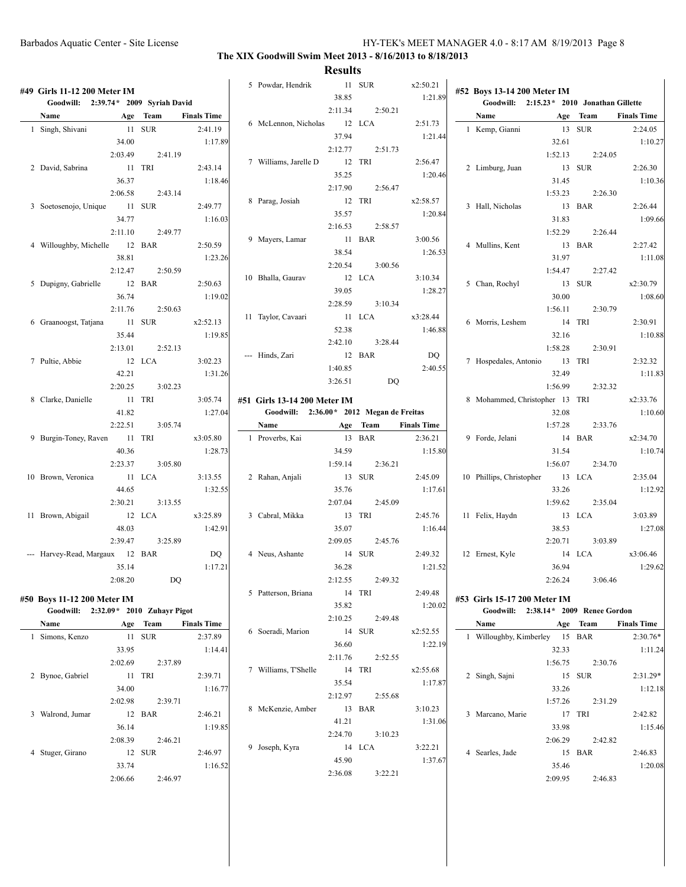| #49 Girls 11-12 200 Meter IM         |         |          |                    | 5 Powdar, Hendrik                        | 38.85   | 11 SUR   | x2:50.21<br>1:21.89 | #52 Boys 13-14 200 Meter IM                |         |          |                    |
|--------------------------------------|---------|----------|--------------------|------------------------------------------|---------|----------|---------------------|--------------------------------------------|---------|----------|--------------------|
| Goodwill: 2:39.74* 2009 Syriah David |         |          |                    |                                          | 2:11.34 | 2:50.21  |                     | Goodwill: 2:15.23 * 2010 Jonathan Gillette |         |          |                    |
| Name                                 |         | Age Team | <b>Finals Time</b> |                                          |         | 12 LCA   | 2:51.73             | Name                                       | Age     | Team     | <b>Finals Time</b> |
| 1 Singh, Shivani                     |         | 11 SUR   | 2:41.19            | 6 McLennon, Nicholas                     | 37.94   |          | 1:21.44             | 1 Kemp, Gianni                             |         | 13 SUR   | 2:24.05            |
|                                      | 34.00   |          | 1:17.89            |                                          |         |          |                     |                                            | 32.61   |          | 1:10.27            |
|                                      | 2:03.49 | 2:41.19  |                    |                                          | 2:12.77 | 2:51.73  |                     |                                            | 1:52.13 | 2:24.05  |                    |
| 2 David, Sabrina                     |         | 11 TRI   | 2:43.14            | 7 Williams, Jarelle D                    |         | 12 TRI   | 2:56.47             | 2 Limburg, Juan                            |         | 13 SUR   | 2:26.30            |
|                                      | 36.37   |          | 1:18.46            |                                          | 35.25   |          | 1:20.46             |                                            | 31.45   |          | 1:10.36            |
|                                      | 2:06.58 | 2:43.14  |                    |                                          | 2:17.90 | 2:56.47  |                     |                                            | 1:53.23 | 2:26.30  |                    |
| 3 Soetosenojo, Unique                | 11 SUR  |          | 2:49.77            | 8 Parag, Josiah                          |         | 12 TRI   | x2:58.57            | 3 Hall, Nicholas                           |         | 13 BAR   | 2:26.44            |
|                                      | 34.77   |          | 1:16.03            |                                          | 35.57   |          | 1:20.84             |                                            | 31.83   |          | 1:09.66            |
|                                      | 2:11.10 | 2:49.77  |                    |                                          | 2:16.53 | 2:58.57  |                     |                                            | 1:52.29 | 2:26.44  |                    |
| 4 Willoughby, Michelle               |         | 12 BAR   | 2:50.59            | 9 Mayers, Lamar                          |         | 11 BAR   | 3:00.56             | 4 Mullins, Kent                            |         | 13 BAR   | 2:27.42            |
|                                      | 38.81   |          | 1:23.26            |                                          | 38.54   |          | 1:26.53             |                                            | 31.97   |          | 1:11.08            |
|                                      | 2:12.47 | 2:50.59  |                    |                                          | 2:20.54 | 3:00.56  |                     |                                            | 1:54.47 | 2:27.42  |                    |
|                                      |         |          |                    | 10 Bhalla, Gaurav                        |         | 12 LCA   | 3:10.34             |                                            |         |          |                    |
| 5 Dupigny, Gabrielle                 |         | 12 BAR   | 2:50.63            |                                          | 39.05   |          | 1:28.27             | 5 Chan, Rochyl                             |         | 13 SUR   | x2:30.79           |
|                                      | 36.74   |          | 1:19.02            |                                          | 2:28.59 | 3:10.34  |                     |                                            | 30.00   |          | 1:08.60            |
|                                      | 2:11.76 | 2:50.63  |                    | 11 Taylor, Cavaari                       |         | 11 LCA   | x3:28.44            |                                            | 1:56.11 | 2:30.79  |                    |
| 6 Graanoogst, Tatjana                |         | 11 SUR   | x2:52.13           |                                          | 52.38   |          | 1:46.88             | 6 Morris, Leshem                           |         | 14 TRI   | 2:30.91            |
|                                      | 35.44   |          | 1:19.85            |                                          | 2:42.10 | 3:28.44  |                     |                                            | 32.16   |          | 1:10.88            |
|                                      | 2:13.01 | 2:52.13  |                    | --- Hinds, Zari                          |         | 12 BAR   | DQ                  |                                            | 1:58.28 | 2:30.91  |                    |
| 7 Pultie, Abbie                      |         | 12 LCA   | 3:02.23            |                                          | 1:40.85 |          | 2:40.55             | 7 Hospedales, Antonio                      | 13 TRI  |          | 2:32.32            |
|                                      | 42.21   |          | 1:31.26            |                                          |         |          |                     |                                            | 32.49   |          | 1:11.83            |
|                                      | 2:20.25 | 3:02.23  |                    |                                          | 3:26.51 | DQ       |                     |                                            | 1:56.99 | 2:32.32  |                    |
| 8 Clarke, Danielle                   |         | 11 TRI   | 3:05.74            | #51 Girls 13-14 200 Meter IM             |         |          |                     | 8 Mohammed, Christopher 13 TRI             |         |          | x2:33.76           |
|                                      | 41.82   |          | 1:27.04            | Goodwill: 2:36.00* 2012 Megan de Freitas |         |          |                     |                                            | 32.08   |          | 1:10.60            |
|                                      | 2:22.51 | 3:05.74  |                    | Name                                     |         | Age Team | <b>Finals Time</b>  |                                            | 1:57.28 | 2:33.76  |                    |
| 9 Burgin-Toney, Raven                | 11 TRI  |          | x3:05.80           | 1 Proverbs, Kai                          |         | 13 BAR   | 2:36.21             | 9 Forde, Jelani                            |         | 14 BAR   | x2:34.70           |
|                                      | 40.36   |          | 1:28.73            |                                          | 34.59   |          | 1:15.80             |                                            | 31.54   |          | 1:10.74            |
|                                      | 2:23.37 | 3:05.80  |                    |                                          | 1:59.14 | 2:36.21  |                     |                                            | 1:56.07 | 2:34.70  |                    |
| 10 Brown, Veronica                   | 11 LCA  |          | 3:13.55            | 2 Rahan, Anjali                          |         | 13 SUR   | 2:45.09             | 10 Phillips, Christopher                   |         | 13 LCA   | 2:35.04            |
|                                      | 44.65   |          | 1:32.55            |                                          | 35.76   |          | 1:17.61             |                                            | 33.26   |          | 1:12.92            |
|                                      | 2:30.21 | 3:13.55  |                    |                                          | 2:07.04 | 2:45.09  |                     |                                            | 1:59.62 | 2:35.04  |                    |
|                                      | 12 LCA  |          |                    |                                          |         | 13 TRI   |                     |                                            |         |          |                    |
| 11 Brown, Abigail                    |         |          | x3:25.89           | 3 Cabral, Mikka                          |         |          | 2:45.76             | 11 Felix, Haydn                            |         | 13 LCA   | 3:03.89            |
|                                      | 48.03   |          | 1:42.91            |                                          | 35.07   |          | 1:16.44             |                                            | 38.53   |          | 1:27.08            |
|                                      | 2:39.47 | 3:25.89  |                    |                                          | 2:09.05 | 2:45.76  |                     |                                            | 2:20.71 | 3:03.89  |                    |
| --- Harvey-Read, Margaux 12 BAR      |         |          | DQ                 | 4 Neus, Ashante                          |         | 14 SUR   | 2:49.32             | 12 Ernest, Kyle                            |         | 14 LCA   | x3:06.46           |
|                                      | 35.14   |          | 1:17.21            |                                          | 36.28   |          | 1:21.52             |                                            | 36.94   |          | 1:29.62            |
|                                      | 2:08.20 | DQ       |                    |                                          | 2:12.55 | 2:49.32  |                     |                                            | 2:26.24 | 3:06.46  |                    |
| #50 Boys 11-12 200 Meter IM          |         |          |                    | 5 Patterson, Briana                      |         | 14 TRI   | 2:49.48             | #53 Girls 15-17 200 Meter IM               |         |          |                    |
| Goodwill: 2:32.09* 2010 Zuhayr Pigot |         |          |                    |                                          | 35.82   |          | 1:20.02             | Goodwill: 2:38.14* 2009 Renee Gordon       |         |          |                    |
| Name                                 |         | Age Team | <b>Finals Time</b> |                                          | 2:10.25 | 2:49.48  |                     | Name                                       |         | Age Team | <b>Finals Time</b> |
| 1 Simons, Kenzo                      |         | 11 SUR   | 2:37.89            | 6 Soeradi, Marion                        |         | 14 SUR   | x2:52.55            | 1 Willoughby, Kimberley 15 BAR             |         |          | $2:30.76*$         |
|                                      |         |          |                    |                                          | 36.60   |          | 1:22.19             |                                            |         |          |                    |
|                                      | 33.95   |          | 1:14.41            |                                          | 2:11.76 | 2:52.55  |                     |                                            | 32.33   |          | 1:11.24            |
|                                      | 2:02.69 | 2:37.89  |                    | 7 Williams, T'Shelle                     |         | 14 TRI   | x2:55.68            |                                            | 1:56.75 | 2:30.76  |                    |
| 2 Bynoe, Gabriel                     |         | 11 TRI   | 2:39.71            |                                          | 35.54   |          | 1:17.87             | 2 Singh, Sajni                             |         | 15 SUR   | $2:31.29*$         |
|                                      | 34.00   |          | 1:16.77            |                                          | 2:12.97 | 2:55.68  |                     |                                            | 33.26   |          | 1:12.18            |
|                                      | 2:02.98 | 2:39.71  |                    | 8 McKenzie, Amber                        |         |          |                     |                                            | 1:57.26 | 2:31.29  |                    |
| 3 Walrond, Jumar                     |         | 12 BAR   | 2:46.21            |                                          |         | 13 BAR   | 3:10.23             | 3 Marcano, Marie                           |         | 17 TRI   | 2:42.82            |
|                                      | 36.14   |          | 1:19.85            |                                          | 41.21   |          | 1:31.06             |                                            | 33.98   |          | 1:15.46            |
|                                      | 2:08.39 | 2:46.21  |                    |                                          | 2:24.70 | 3:10.23  |                     |                                            | 2:06.29 | 2:42.82  |                    |
| 4 Stuger, Girano                     |         | 12 SUR   | 2:46.97            | 9 Joseph, Kyra                           |         | 14 LCA   | 3:22.21             | 4 Searles, Jade                            |         | 15 BAR   | 2:46.83            |
|                                      | 33.74   |          | 1:16.52            |                                          | 45.90   |          | 1:37.67             |                                            | 35.46   |          | 1:20.08            |
|                                      | 2:06.66 | 2:46.97  |                    |                                          | 2:36.08 | 3:22.21  |                     |                                            | 2:09.95 | 2:46.83  |                    |
|                                      |         |          |                    |                                          |         |          |                     |                                            |         |          |                    |
|                                      |         |          |                    |                                          |         |          |                     |                                            |         |          |                    |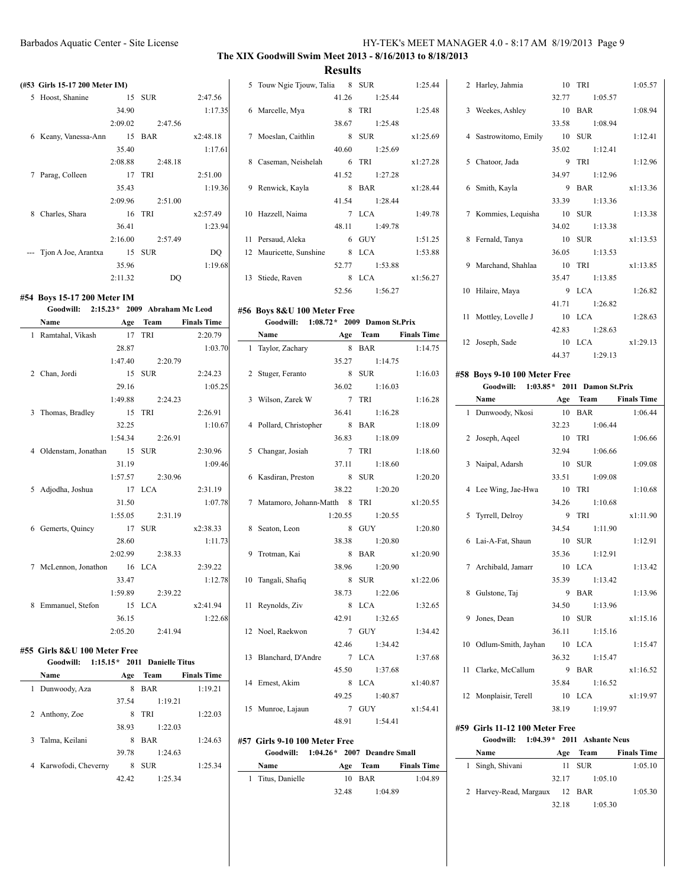**Results**

|   | (#53 Girls 15-17 200 Meter IM) |         |            |          |
|---|--------------------------------|---------|------------|----------|
| 5 | Hoost, Shanine                 | 15      | <b>SUR</b> | 2:47.56  |
|   |                                | 34.90   |            | 1:17.35  |
|   |                                | 2:09.02 | 2:47.56    |          |
| 6 | Keany, Vanessa-Ann             |         | 15 BAR     | x2:48.18 |
|   |                                | 35.40   |            | 1:17.61  |
|   |                                | 2:08.88 | 2:48.18    |          |
| 7 | Parag, Colleen                 | 17      | TRI        | 2:51.00  |
|   |                                | 35.43   |            | 1:19.36  |
|   |                                | 2:09.96 | 2:51.00    |          |
| 8 | Charles, Shara                 |         | 16 TRI     | x2:57.49 |
|   |                                | 36.41   |            | 1:23.94  |
|   |                                | 2:16.00 | 2:57.49    |          |
|   | --- Tion A Joe, Arantxa        |         | 15 SUR     | DO       |
|   |                                | 35.96   |            | 1:19.68  |
|   |                                | 2:11.32 | DO         |          |
|   |                                |         |            |          |

#### **#54 Boys 15-17 200 Meter IM**

#### **Goodwill: 2:15.23\* 2009 Abraham Mc Leod Name Age Team Finals Time**

|   | ivame                   | Age     | ream            | rinais lime |
|---|-------------------------|---------|-----------------|-------------|
|   | 1 Ramtahal, Vikash      | 17      | TRI             | 2:20.79     |
|   |                         | 28.87   |                 | 1:03.70     |
|   |                         | 1:47.40 | 2:20.79         |             |
|   | 2 Chan, Jordi           | 15      | <b>SUR</b>      | 2:24.23     |
|   |                         | 29.16   |                 | 1:05.25     |
|   |                         |         | 1:49.88 2:24.23 |             |
|   | 3 Thomas, Bradley       | 15 TRI  |                 | 2:26.91     |
|   |                         | 32.25   |                 | 1:10.67     |
|   |                         |         | 1:54.34 2:26.91 |             |
|   | 4 Oldenstam, Jonathan   | 15 SUR  |                 | 2:30.96     |
|   |                         | 31.19   |                 | 1:09.46     |
|   |                         | 1:57.57 | 2:30.96         |             |
| 5 | Adjodha, Joshua         | 17      | <b>LCA</b>      | 2:31.19     |
|   |                         | 31.50   |                 | 1:07.78     |
|   |                         | 1:55.05 | 2:31.19         |             |
|   | 6 Gemerts, Quincy       | 17      | SUR             | x2:38.33    |
|   |                         | 28.60   |                 | 1:11.73     |
|   |                         |         | 2:02.99 2:38.33 |             |
|   | 7 McLennon, Jonathon 16 |         | <b>LCA</b>      | 2:39.22     |
|   |                         | 33.47   |                 | 1:12.78     |
|   |                         | 1:59.89 | 2:39.22         |             |
| 8 | Emmanuel, Stefon 15     |         | <b>LCA</b>      | x2:41.94    |
|   |                         | 36.15   |                 | 1:22.68     |
|   |                         | 2:05.20 | 2:41.94         |             |

#### **#55 Girls 8&U 100 Meter Free**

|   | Goodwill:             | $1:15.15*$ 2011 Danielle Titus |            |                    |
|---|-----------------------|--------------------------------|------------|--------------------|
|   | Name                  | Age                            | Team       | <b>Finals Time</b> |
| 1 | Dunwoody, Aza         | 8                              | <b>BAR</b> | 1:19.21            |
|   |                       | 37.54                          |            | 1:19.21            |
|   | 2 Anthony, Zoe        | 8                              | <b>TRI</b> | 1:22.03            |
|   |                       | 38.93                          |            | 1:22.03            |
|   | 3 Talma, Keilani      | 8                              | <b>BAR</b> | 1:24.63            |
|   |                       | 39.78                          |            | 1:24.63            |
|   | 4 Karwofodi, Cheverny | 8                              | <b>SUR</b> | 1:25.34            |
|   |                       | 42.42                          |            | 1.25.34            |

| 5  | Touw Ngie Tjouw, Talia  |       | 8 SUR         | 1:25.44  |
|----|-------------------------|-------|---------------|----------|
|    |                         | 41.26 | 1:25.44       |          |
|    | 6 Marcelle, Mya         | 8     | TRI           | 1:25.48  |
|    |                         | 38.67 | 1:25.48       |          |
| 7  | Moeslan, Caithlin       | 8     | <b>SUR</b>    | x1:25.69 |
|    |                         | 40.60 | 1:25.69       |          |
| 8  | Caseman, Neishelah      | 6     | TRI           | x1:27.28 |
|    |                         |       | 41.52 1:27.28 |          |
| 9  | Renwick, Kayla          | 8     | <b>BAR</b>    | x1:28.44 |
|    |                         |       | 41.54 1:28.44 |          |
|    | 10 Hazzell, Naima       |       | 7 I.CA        | 1:49.78  |
|    |                         |       | 48.11 1:49.78 |          |
| 11 | Persaud, Aleka          | 6     | <b>GUY</b>    | 1:51.25  |
|    | 12 Mauricette, Sunshine | 8     | <b>LCA</b>    | 1:53.88  |
|    |                         | 52.77 | 1:53.88       |          |
| 13 | Stiede, Raven           | 8     | <b>LCA</b>    | x1:56.27 |
|    |                         | 52.56 | 1:56.27       |          |

### **#56 Boys 8&U 100 Meter Free**

### **Goodwill: 1:08.72\* 2009 Damon St.Prix**

| Name                           |                     | Age Team Finals Time |
|--------------------------------|---------------------|----------------------|
| 1 Taylor, Zachary              | 8 BAR               | 1:14.75              |
|                                | 35.27 1:14.75       |                      |
| 2 Stuger, Feranto              | 8 SUR               | 1:16.03              |
|                                | 36.02 1:16.03       |                      |
| 3 Wilson, Zarek W              | 7 TRI               | 1:16.28              |
|                                | 36.41 1:16.28       |                      |
| 4 Pollard, Christopher         | 8 BAR               | 1:18.09              |
|                                | 36.83 1:18.09       |                      |
| 5 Changar, Josiah              | 7 TRI               | 1:18.60              |
|                                | 37.11 1:18.60       |                      |
| 6 Kasdiran, Preston            | 8 SUR               | 1:20.20              |
|                                | 38.22 1:20.20       |                      |
| 7 Matamoro, Johann-Matth 8 TRI |                     | x1:20.55             |
|                                | $1:20.55$ $1:20.55$ |                      |
| 8 Seaton, Leon                 | 8 GUY               | 1:20.80              |
|                                | 38.38 1:20.80       |                      |
| 9 Trotman, Kai                 | 8 BAR               | x1:20.90             |
|                                | 38.96 1:20.90       |                      |
| 10 Tangali, Shafiq             | 8 SUR               | x1:22.06             |
|                                | 38.73 1:22.06       |                      |
| 11 Reynolds, Ziv               | 8 LCA               | 1:32.65              |
|                                | 42.91 1:32.65       |                      |
| 12 Noel, Raekwon               | 7 GUY               | 1:34.42              |
|                                | 42.46 1:34.42       |                      |
| 13 Blanchard, D'Andre          | 7 LCA               | 1:37.68              |
|                                | 45.50 1:37.68       |                      |
| 14 Ernest, Akim                | 8 LCA               | x1:40.87             |
|                                | 49.25 1:40.87       |                      |
| 15 Munroe, Lajaun              |                     | 7 GUY x1:54.41       |
|                                | 48.91 1:54.41       |                      |

#### **#57 Girls 9-10 100 Meter Free Goodwill: 1:04.26\* 2007 Deandre Small**

| <b>Name</b>       |       | Age Team | <b>Finals Time</b> |
|-------------------|-------|----------|--------------------|
| 1 Titus, Danielle |       | 10 BAR   | 1:04.89            |
|                   | 32.48 | 1:04.89  |                    |

| 2 Harley, Jahmia      | 10 TRI         | 1:05.57  |
|-----------------------|----------------|----------|
|                       | 32.77 1:05.57  |          |
| 3 Weekes, Ashley      | 10 BAR         | 1:08.94  |
|                       | 33.58 1:08.94  |          |
| 4 Sastrowitomo, Emily | 10 SUR         | 1:12.41  |
|                       | 35.02 1:12.41  |          |
| 5 Chatoor, Jada       | 9 TRI          | 1:12.96  |
|                       | 34.97 1:12.96  |          |
| 6 Smith, Kayla        | $9$ BAR        | x1:13.36 |
|                       | 33.39 1:13.36  |          |
| 7 Kommies, Lequisha   | 10 SUR         | 1:13.38  |
|                       | 34.02 1:13.38  |          |
| 8 Fernald, Tanya      | 10 SUR         | x1:13.53 |
|                       | 36.05 1:13.53  |          |
| 9 Marchand, Shahlaa   | 10 TRI         | x1:13.85 |
|                       | 35.47 1:13.85  |          |
| 10 Hilaire, Maya      | 9 LCA          | 1:26.82  |
|                       | 41.71 1:26.82  |          |
| 11 Mottley, Lovelle J | 10 LCA         | 1:28.63  |
|                       | 42.83 1:28.63  |          |
| 12 Joseph, Sade       | 10 LCA         | x1:29.13 |
|                       | $4437$ 1.29 13 |          |

#### **#58 Boys 9-10 100 Meter Free Goodwill: 1:03.85\* 2011 Damon St.Prix**

| Name                   | Age Team      | <b>Finals Time</b> |
|------------------------|---------------|--------------------|
| 1 Dunwoody, Nkosi      | 10 BAR        | 1:06.44            |
|                        | 32.23 1:06.44 |                    |
| 2 Joseph, Aqeel        | 10 TRI        | 1:06.66            |
|                        | 32.94 1:06.66 |                    |
| 3 Naipal, Adarsh       | 10 SUR        | 1:09.08            |
|                        | 33.51 1:09.08 |                    |
| 4 Lee Wing, Jae-Hwa    | 10 TRI        | 1:10.68            |
|                        | 34.26 1:10.68 |                    |
| 5 Tyrrell, Delroy      | 9 TRI         | x1:11.90           |
|                        | 34.54 1:11.90 |                    |
| 6 Lai-A-Fat, Shaun     | 10 SUR        | 1:12.91            |
|                        | 35.36 1:12.91 |                    |
| 7 Archibald, Jamarr    | 10 LCA        | 1:13.42            |
|                        | 35.39 1:13.42 |                    |
| 8 Gulstone, Taj        | 9 BAR         | 1:13.96            |
|                        | 34.50 1:13.96 |                    |
| 9 Jones, Dean          | 10 SUR        | x1:15.16           |
|                        | 36.11 1:15.16 |                    |
| 10 Odlum-Smith, Jayhan | $10$ LCA      | 1:15.47            |
|                        | 36.32 1:15.47 |                    |
| 11 Clarke, McCallum    | 9 BAR         | x1:16.52           |
|                        | 35.84 1:16.52 |                    |
| 12 Monplaisir, Terell  | 10 LCA        | x1:19.97           |
|                        | 38.19 1:19.97 |                    |

#### **#59 Girls 11-12 100 Meter Free**

 $\overline{\phantom{0}}$ 

#### **Goodwill: 1:04.39\* 2011 Ashante Neus**

| Name                          | Age   | Team    | <b>Finals Time</b> |
|-------------------------------|-------|---------|--------------------|
| 1 Singh, Shivani              |       | 11 SUR  | 1:05.10            |
|                               | 32.17 | 1:05.10 |                    |
| 2 Harvey-Read, Margaux 12 BAR |       |         | 1:05.30            |
|                               | 32.18 | 1:05.30 |                    |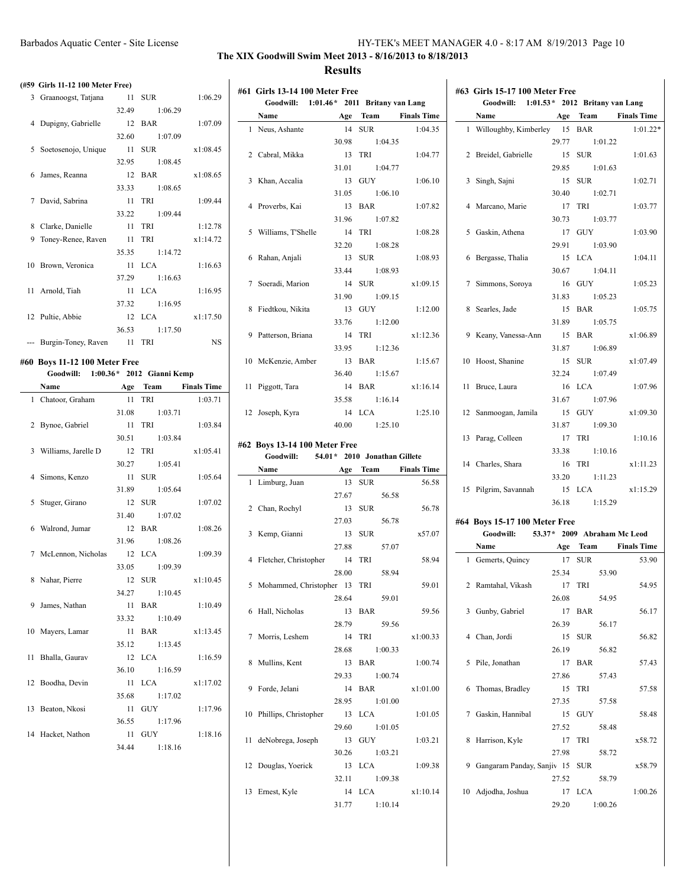## **The XIX Goodwill Swim Meet 2013 - 8/16/2013 to 8/18/2013 Results**

**#61 Girls 13-14 100 Meter Free**

#### **(#59 Girls 11-12 100 Meter Free)**

|   | 3 Graanoogst, Tatjana   | 11    | <b>SUR</b>      | 1:06.29   |
|---|-------------------------|-------|-----------------|-----------|
|   |                         | 32.49 | 1:06.29         |           |
|   | 4 Dupigny, Gabrielle    |       | 12 BAR          | 1:07.09   |
|   |                         |       | 32.60 1:07.09   |           |
|   | 5 Soetosenojo, Unique   | 11    | <b>SUR</b>      | x1:08.45  |
|   |                         |       | 32.95 1:08.45   |           |
|   | 6 James, Reanna         |       | 12 BAR          | x1:08.65  |
|   |                         | 33.33 | 1:08.65         |           |
|   | 7 David, Sabrina        | 11    | TRI             | 1:09.44   |
|   |                         |       | 33.22 1:09.44   |           |
| 8 | Clarke, Danielle        | 11    | TRI             | 1:12.78   |
| 9 | Toney-Renee, Raven      | 11    | TRI             | x1:14.72  |
|   |                         |       | 35.35 1:14.72   |           |
|   | 10 Brown, Veronica      |       | $11$ LCA        | 1:16.63   |
|   |                         |       | $37.29$ 1:16.63 |           |
|   | 11 Arnold, Tiah         | 11    | LCA 7           | 1:16.95   |
|   |                         |       | 37.32 1:16.95   |           |
|   | 12 Pultie, Abbie        |       | 12 LCA          | x1:17.50  |
|   |                         |       | 36.53 1:17.50   |           |
|   | --- Burgin-Toney, Raven |       | 11 TRI          | <b>NS</b> |

### **#60 Boys 11-12 100 Meter Free**

|    | Goodwill: 1:00.36* 2012 Gianni Kemp |               |                      |
|----|-------------------------------------|---------------|----------------------|
|    | Name                                |               | Age Team Finals Time |
|    | 1 Chatoor, Graham                   | 11 TRI        | 1:03.71              |
|    |                                     | 31.08 1:03.71 |                      |
|    | 2 Bynoe, Gabriel                    | 11 TRI        | 1:03.84              |
|    |                                     | 30.51 1:03.84 |                      |
|    | 3 Williams, Jarelle D               | 12 TRI        | x1:05.41             |
|    |                                     | 30.27 1:05.41 |                      |
|    | 4 Simons, Kenzo                     | 11 SUR        | 1:05.64              |
|    |                                     | 31.89 1:05.64 |                      |
|    | 5 Stuger, Girano                    | 12 SUR        | 1:07.02              |
|    |                                     | 31.40 1:07.02 |                      |
|    | 6 Walrond, Jumar                    | 12 BAR        | 1:08.26              |
|    |                                     | 31.96 1:08.26 |                      |
|    | 7 McLennon, Nicholas                | 12 LCA        | 1:09.39              |
|    |                                     | 33.05 1:09.39 |                      |
|    | 8 Nahar, Pierre                     | 12 SUR        | x1:10.45             |
|    |                                     | 34.27 1:10.45 |                      |
|    | 9 James, Nathan                     | 11 BAR        | 1:10.49              |
|    |                                     | 33.32 1:10.49 |                      |
|    | 10 Mayers, Lamar                    | 11 BAR        | x1:13.45             |
|    |                                     | 35.12 1:13.45 |                      |
|    | 11 Bhalla, Gaurav                   | 12 LCA        | 1:16.59              |
|    |                                     | 36.10 1:16.59 |                      |
|    | 12 Boodha, Devin                    | 11 LCA        | x1:17.02             |
|    |                                     | 35.68 1:17.02 |                      |
| 13 | Beaton, Nkosi                       | 11 GUY        | 1:17.96              |
|    |                                     | 36.55 1:17.96 |                      |
|    | 14 Hacket, Nathon                   | 11 GUY        | 1:18.16              |
|    |                                     | 34.44 1:18.16 |                      |
|    |                                     |               |                      |

| Goodwill: 1:01.46 * 2011 Britany van Lang |  |               |                      |
|-------------------------------------------|--|---------------|----------------------|
| Name                                      |  |               | Age Team Finals Time |
| 1 Neus, Ashante                           |  | 14 SUR        | 1:04.35              |
|                                           |  | 30.98 1:04.35 |                      |
| 2 Cabral, Mikka                           |  | 13 TRI        | 1:04.77              |
|                                           |  | 31.01 1:04.77 |                      |
| 3 Khan, Accalia                           |  | 13 GUY        | 1:06.10              |
|                                           |  | 31.05 1:06.10 |                      |
| 4 Proverbs, Kai                           |  | 13 BAR        | 1:07.82              |
|                                           |  | 31.96 1:07.82 |                      |
| 5 Williams, T'Shelle                      |  | 14 TRI        | 1:08.28              |
|                                           |  | 32.20 1:08.28 |                      |
| 6 Rahan, Anjali                           |  | 13 SUR        | 1:08.93              |
|                                           |  | 33.44 1:08.93 |                      |
| 7 Soeradi, Marion                         |  | 14 SUR        | x1:09.15             |
|                                           |  | 31.90 1:09.15 |                      |
| 8 Fiedtkou, Nikita                        |  | 13 GUY        | 1:12.00              |
|                                           |  | 33.76 1:12.00 |                      |
| 9 Patterson, Briana                       |  | 14 TRI        | x1:12.36             |
|                                           |  | 33.95 1:12.36 |                      |
| 10 McKenzie, Amber                        |  | 13 BAR        | 1:15.67              |
|                                           |  | 36.40 1:15.67 |                      |
| 11 Piggott, Tara                          |  |               | 14 BAR x1:16.14      |
|                                           |  | 35.58 1:16.14 |                      |
| 12 Joseph, Kyra                           |  | 14 LCA        | 1:25.10              |
|                                           |  | 40.00 1:25.10 |                      |
|                                           |  |               |                      |

### **#62 Boys 13-14 100 Meter Free Goodwill: 54.01\* 2010 Jonathan Gillete**

| Name                           |                | Age Team Finals Time |
|--------------------------------|----------------|----------------------|
| 1 Limburg, Juan                | 13 SUR         | 56.58                |
|                                | 56.58<br>27.67 |                      |
| 2 Chan, Rochyl                 | 13 SUR         | 56.78                |
|                                | 27.03 56.78    |                      |
| 3 Kemp, Gianni                 | 13 SUR         | x57.07               |
|                                | 27.88 57.07    |                      |
| 4 Fletcher, Christopher 14 TRI |                | 58.94                |
|                                | 28.00 58.94    |                      |
| 5 Mohammed, Christopher 13 TRI |                | 59.01                |
|                                | 28.64 59.01    |                      |
| 6 Hall, Nicholas               | 13 BAR         | 59.56                |
|                                | 28.79 59.56    |                      |
| 7 Morris, Leshem               | 14 TRI         | x1:00.33             |
|                                | 28.68 1:00.33  |                      |
| 8 Mullins, Kent                | 13 BAR         | 1:00.74              |
|                                | 29.33 1:00.74  |                      |
| 9 Forde, Jelani                | 14 BAR         | x1:01.00             |
|                                | 28.95 1:01.00  |                      |
| 10 Phillips, Christopher       | 13 LCA         | 1:01.05              |
|                                | 29.60 1:01.05  |                      |
| 11 deNobrega, Joseph 13 GUY    |                | 1:03.21              |
|                                | 30.26 1:03.21  |                      |
| 12 Douglas, Yoerick            | 13 LCA         | 1:09.38              |
|                                | 32.11 1:09.38  |                      |
| 13 Ernest, Kyle                | 14 LCA         | x1:10.14             |
|                                | 31.77 1:10.14  |                      |

| #63 Girls 15-17 100 Meter Free           |               |            |
|------------------------------------------|---------------|------------|
| Goodwill: 1:01.53* 2012 Britany van Lang |               |            |
| Name Age Team Finals Time                |               |            |
| 1 Willoughby, Kimberley 15 BAR           |               | $1:01.22*$ |
|                                          | 29.77 1:01.22 |            |
| 2 Breidel, Gabrielle 15 SUR              |               | 1:01.63    |
|                                          | 29.85 1:01.63 |            |
| 3 Singh, Sajni                           | 15 SUR        | 1:02.71    |
|                                          | 30.40 1:02.71 |            |
| 4 Marcano, Marie                         | 17 TRI        | 1:03.77    |
|                                          | 30.73 1:03.77 |            |
| 5 Gaskin, Athena                         | 17 GUY        | 1:03.90    |
|                                          | 29.91 1:03.90 |            |
| 6 Bergasse, Thalia                       | 15 LCA        | 1:04.11    |
|                                          | 30.67 1:04.11 |            |
| 7 Simmons, Soroya                        | 16 GUY        | 1:05.23    |
|                                          | 31.83 1:05.23 |            |
| 8 Searles, Jade                          | 15 BAR        | 1:05.75    |
|                                          | 31.89 1:05.75 |            |
| 9 Keany, Vanessa-Ann                     | 15 BAR        | x1:06.89   |
|                                          | 31.87 1:06.89 |            |
| 10 Hoost, Shanine                        | 15 SUR        | x1:07.49   |
|                                          | 32.24 1:07.49 |            |
| 11 Bruce, Laura                          | 16 LCA        | 1:07.96    |
|                                          | 31.67 1:07.96 |            |
| 12 Sanmoogan, Jamila                     | 15 GUY        | x1:09.30   |
|                                          | 31.87 1:09.30 |            |
| 13 Parag, Colleen                        | 17 TRI        | 1:10.16    |
|                                          | 33.38 1:10.16 |            |
| 14 Charles, Shara                        | 16 TRI        | x1:11.23   |
|                                          | 33.20 1:11.23 |            |
| 15 Pilgrim, Savannah 15 LCA              |               | x1:15.29   |
|                                          | 36.18 1:15.29 |            |
|                                          |               |            |

# **#64 Boys 15-17 100 Meter Free**

| Goodwill:                        |       |        | 53.37* 2009 Abraham Mc Leod |
|----------------------------------|-------|--------|-----------------------------|
| Name                             |       |        | Age Team Finals Time        |
| 1 Gemerts, Quincy                |       | 17 SUR | 53.90                       |
|                                  | 25.34 |        | 53.90                       |
| 2 Ramtahal, Vikash               |       | 17 TRI | 54.95                       |
|                                  |       | 26.08  | 54.95                       |
| 3 Gunby, Gabriel                 |       | 17 BAR | 56.17                       |
|                                  | 26.39 |        | 56.17                       |
| 4 Chan, Jordi                    |       | 15 SUR | 56.82                       |
|                                  | 26.19 |        | 56.82                       |
| 5 Pile, Jonathan                 |       | 17 BAR | 57.43                       |
|                                  | 27.86 |        | 57.43                       |
| 6 Thomas, Bradley                |       | 15 TRI | 57.58                       |
|                                  | 27.35 |        | 57.58                       |
| 7 Gaskin, Hannibal               |       | 15 GUY | 58.48                       |
|                                  | 27.52 |        | 58.48                       |
| 8 Harrison, Kyle                 |       | 17 TRI | x58.72                      |
|                                  | 27.98 |        | 58.72                       |
| 9 Gangaram Panday, Sanjiv 15 SUR |       |        | x58.79                      |
|                                  | 27.52 |        | 58.79                       |
| 10 Adjodha, Joshua               |       | 17 LCA | 1:00.26                     |
|                                  | 29.20 |        | 1:00.26                     |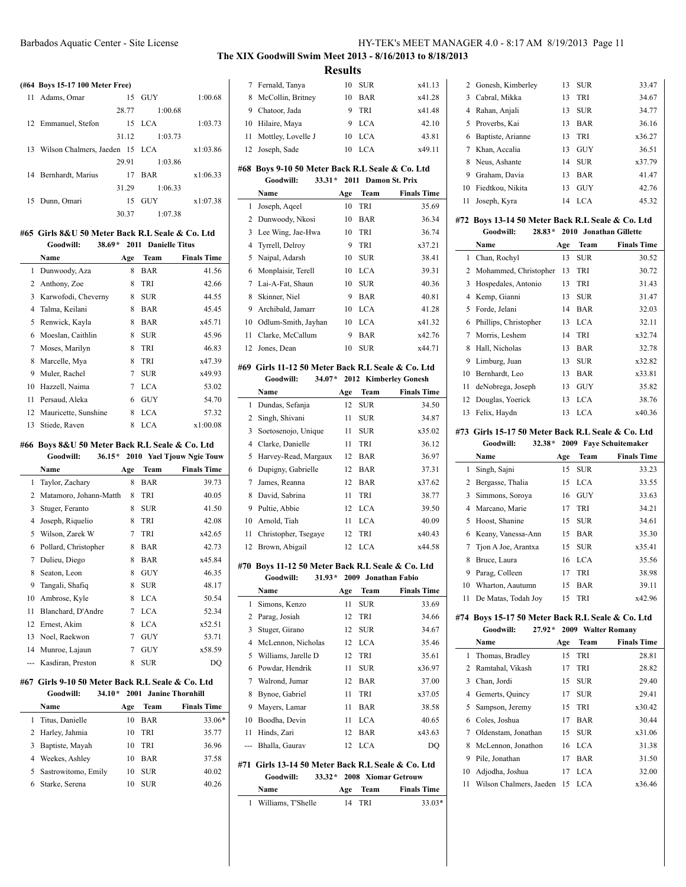# **(#64 Boys 15-17 100 Meter Free)**

| $H04$ DOVS 13-17 TOO Meter Free)  |       |            |          |
|-----------------------------------|-------|------------|----------|
| 11 Adams, Omar                    |       | 15 GUY     | 1:00.68  |
|                                   | 28.77 | 1:00.68    |          |
| 12 Emmanuel, Stefon               |       | 15 LCA     | 1:03.73  |
|                                   | 31.12 | 1:03.73    |          |
| 13 Wilson Chalmers, Jaeden 15 LCA |       |            | x1:03.86 |
|                                   | 29.91 | 1:03.86    |          |
| 14 Bernhardt, Marius              |       | 17 BAR     | x1:06.33 |
|                                   | 31.29 | 1:06.33    |          |
| 15 Dunn, Omari                    | 15    | <b>GUY</b> | x1:07.38 |
|                                   | 30.37 | 1:07.38    |          |

## **#65 Girls 8&U 50 Meter Back R.L Seale & Co. Ltd**

|    | 38.69*<br>Goodwill:  |     |            | 2011 Danielle Titus |  |
|----|----------------------|-----|------------|---------------------|--|
|    | Name                 | Age | Team       | <b>Finals Time</b>  |  |
| 1  | Dunwoody, Aza        | 8   | BAR        | 41.56               |  |
| 2  | Anthony, Zoe         | 8   | TRI        | 42.66               |  |
| 3  | Karwofodi, Cheverny  | 8   | <b>SUR</b> | 44.55               |  |
| 4  | Talma, Keilani       | 8   | BAR        | 45.45               |  |
| 5  | Renwick, Kayla       | 8   | BAR        | x45.71              |  |
| 6  | Moeslan, Caithlin    | 8   | <b>SUR</b> | 45.96               |  |
| 7  | Moses, Marilyn       | 8   | TRI        | 46.83               |  |
| 8  | Marcelle, Mya        | 8   | TRI        | x47.39              |  |
| 9  | Muler, Rachel        | 7   | <b>SUR</b> | x49.93              |  |
| 10 | Hazzell, Naima       | 7   | <b>LCA</b> | 53.02               |  |
| 11 | Persaud, Aleka       | 6   | GUY        | 54.70               |  |
| 12 | Mauricette, Sunshine | 8   | LCA        | 57.32               |  |
| 13 | Stiede, Raven        | 8   | LCA        | x1:00.08            |  |

#### **#66 Boys 8&U 50 Meter Back R.L Seale & Co. Ltd**

|     | Goodwill:<br>$36.15*$  |     |            | 2010 Yael Tjouw Ngie Touw |
|-----|------------------------|-----|------------|---------------------------|
|     | Name                   | Age | Team       | <b>Finals Time</b>        |
| 1   | Taylor, Zachary        | 8   | BAR        | 39.73                     |
| 2   | Matamoro, Johann-Matth | 8   | TRI        | 40.05                     |
| 3   | Stuger, Feranto        | 8   | SUR        | 41.50                     |
| 4   | Joseph, Riquelio       | 8   | TRI        | 42.08                     |
| 5   | Wilson, Zarek W        | 7   | TRI        | x42.65                    |
| 6   | Pollard, Christopher   | 8   | <b>BAR</b> | 42.73                     |
| 7   | Dulieu, Diego          | 8   | BAR        | x45.84                    |
| 8   | Seaton, Leon           | 8   | <b>GUY</b> | 46.35                     |
| 9   | Tangali, Shafiq        | 8   | SUR        | 48.17                     |
| 10  | Ambrose, Kyle          | 8   | <b>LCA</b> | 50.54                     |
| 11  | Blanchard, D'Andre     | 7   | <b>LCA</b> | 52.34                     |
| 12  | Ernest, Akim           | 8   | <b>LCA</b> | x52.51                    |
| 13  | Noel, Raekwon          | 7   | GUY        | 53.71                     |
| 14  | Munroe, Lajaun         | 7   | <b>GUY</b> | x58.59                    |
| --- | Kasdiran. Preston      | 8   | <b>SUR</b> | DO                        |

#### **#67 Girls 9-10 50 Meter Back R.L Seale & Co. Ltd Goodwill: 34.10\* 2001 Janine Thornhill**

| Name                  | Age | <b>Team</b> | <b>Finals Time</b> |
|-----------------------|-----|-------------|--------------------|
| Titus, Danielle       | 10  | BAR         | 33.06*             |
| 2 Harley, Jahmia      | 10  | TRI         | 35.77              |
| 3 Baptiste, Mayah     | 10  | <b>TRI</b>  | 36.96              |
| 4 Weekes, Ashley      | 10  | <b>BAR</b>  | 37.58              |
| 5 Sastrowitomo, Emily | 10  | <b>SUR</b>  | 40.02              |
| 6 Starke, Serena      | 10  | SUR-        | 40 26              |

## **The XIX Goodwill Swim Meet 2013 - 8/16/2013 to 8/18/2013 Results**

| 7              | Fernald, Tanya                                                              | 10        | SUR                 | x41.13                |
|----------------|-----------------------------------------------------------------------------|-----------|---------------------|-----------------------|
| 8              | McCollin, Britney                                                           | 10        | BAR                 | x41.28                |
| 9              | Chatoor, Jada                                                               | 9         | TRI                 | x41.48                |
| 10             | Hilaire, Maya                                                               | 9         | <b>LCA</b>          | 42.10                 |
| 11             | Mottley, Lovelle J                                                          | 10        | <b>LCA</b>          | 43.81                 |
| 12             | Joseph, Sade                                                                | 10        | <b>LCA</b>          | x49.11                |
|                | #68 Boys 9-10 50 Meter Back R.L Seale & Co. Ltd                             |           |                     |                       |
|                | $33.31*$<br>Goodwill:                                                       |           | 2011 Damon St. Prix |                       |
|                | Name                                                                        | Age       | Team                | <b>Finals Time</b>    |
| 1              | Joseph, Aqeel                                                               | 10        | TRI                 | 35.69                 |
| 2              | Dunwoody, Nkosi                                                             | 10        | <b>BAR</b>          | 36.34                 |
| 3              | Lee Wing, Jae-Hwa                                                           | 10        | TRI                 | 36.74                 |
| $\overline{4}$ | Tyrrell, Delroy                                                             | 9         | TRI                 | x37.21                |
| 5              | Naipal, Adarsh                                                              | 10        | <b>SUR</b>          | 38.41                 |
| 6              | Monplaisir, Terell                                                          | 10        | <b>LCA</b>          | 39.31                 |
| 7              | Lai-A-Fat, Shaun                                                            | 10        | <b>SUR</b>          | 40.36                 |
| 8              | Skinner, Niel                                                               | 9         | <b>BAR</b>          | 40.81                 |
| 9              | Archibald, Jamarr                                                           | 10        | <b>LCA</b>          | 41.28                 |
| 10             | Odlum-Smith, Jayhan                                                         | 10        | <b>LCA</b>          | x41.32                |
| 11             | Clarke, McCallum                                                            | 9         | <b>BAR</b>          | x42.76                |
| 12             | Jones, Dean                                                                 | 10        | <b>SUR</b>          | x44.71                |
|                |                                                                             |           |                     |                       |
|                | #69  Girls 11-12 50 Meter Back R.L Seale & Co. Ltd<br>Goodwill:<br>$34.07*$ |           |                     | 2012 Kimberley Gonesh |
|                | Name                                                                        |           | Team                | <b>Finals Time</b>    |
| 1              | Dundas, Sefanja                                                             | Age<br>12 | <b>SUR</b>          | 34.50                 |
| 2              | Singh, Shivani                                                              | 11        | <b>SUR</b>          | 34.87                 |
| 3              | Soetosenojo, Unique                                                         | 11        | <b>SUR</b>          | x35.02                |
| 4              | Clarke, Danielle                                                            | 11        | TRI                 | 36.12                 |
| 5              | Harvey-Read, Margaux                                                        | 12        | BAR                 | 36.97                 |
| 6              | Dupigny, Gabrielle                                                          | 12        | <b>BAR</b>          | 37.31                 |
| 7              | James, Reanna                                                               | 12        | BAR                 | x37.62                |
| 8              | David, Sabrina                                                              | 11        | TRI                 | 38.77                 |
| 9              | Pultie, Abbie                                                               | 12        | <b>LCA</b>          | 39.50                 |
| 10             | Arnold, Tiah                                                                | 11        | <b>LCA</b>          | 40.09                 |
| 11             | Christopher, Tsegaye                                                        | 12        | TRI                 | x40.43                |
| 12             | Brown, Abigail                                                              | 12        | <b>LCA</b>          | x44.58                |
|                |                                                                             |           |                     |                       |
|                | #70 Boys 11-12 50 Meter Back R.L Seale & Co. Ltd                            |           |                     |                       |
|                | Goodwill: 31.93 * 2009 Jonathan Fabio                                       |           |                     |                       |
|                | Name                                                                        | Age       | Team                | <b>Finals Time</b>    |
| 1<br>2         | Simons, Kenzo<br>Parag, Josiah                                              | 11<br>12  | <b>SUR</b><br>TRI   | 33.69<br>34.66        |
| 3              | Stuger, Girano                                                              | 12        | <b>SUR</b>          | 34.67                 |
| 4              | McLennon, Nicholas                                                          | 12        | LCA                 | 35.46                 |
| 5              | Williams, Jarelle D                                                         | 12        | TRI                 | 35.61                 |
| 6              | Powdar, Hendrik                                                             | 11        | <b>SUR</b>          | x36.97                |
| 7              | Walrond. Jumar                                                              | 12        | <b>BAR</b>          | 37.00                 |
| 8              | Bynoe, Gabriel                                                              | 11        | TRI                 | x37.05                |
| 9              | Mayers, Lamar                                                               | 11        | BAR                 | 38.58                 |
| 10             | Boodha, Devin                                                               | 11        | <b>LCA</b>          | 40.65                 |
| 11             | Hinds, Zari                                                                 | 12        | BAR                 | x43.63                |
| ---            | Bhalla, Gaurav                                                              | 12        | LCA                 | DQ                    |
|                |                                                                             |           |                     |                       |
| #71            | Girls 13-14 50 Meter Back R.L Seale & Co. Ltd                               |           |                     |                       |
|                | Goodwill:<br>$33.32*$                                                       |           |                     | 2008 Xiomar Getrouw   |
|                | Name                                                                        | Age       | Team                | <b>Finals Time</b>    |
| 1              | Williams, T'Shelle                                                          | 14        | TRI                 | 33.03*                |

|    | 2 Gonesh, Kimberley | 13 | <b>SUR</b> | 33.47  |
|----|---------------------|----|------------|--------|
| 3  | Cabral, Mikka       | 13 | <b>TRI</b> | 34.67  |
| 4  | Rahan, Anjali       | 13 | <b>SUR</b> | 34.77  |
|    | 5 Proverbs, Kai     | 13 | <b>BAR</b> | 36.16  |
|    | 6 Baptiste, Arianne | 13 | <b>TRI</b> | x36.27 |
|    | Khan, Accalia       | 13 | <b>GUY</b> | 36.51  |
| 8  | Neus, Ashante       | 14 | <b>SUR</b> | x37.79 |
| 9  | Graham, Davia       | 13 | <b>BAR</b> | 41.47  |
| 10 | Fiedtkou, Nikita    | 13 | <b>GUY</b> | 42.76  |
| 11 | Joseph, Kyra        | 14 | LCA.       | 45.32  |

#### **#72 Boys 13-14 50 Meter Back R.L Seale & Co. Ltd Goodwill: 28.83\* 2010 Jonathan Gillette**

|    | Name                  | Age | Team       | <b>Finals Time</b> |
|----|-----------------------|-----|------------|--------------------|
| 1  | Chan, Rochyl          | 13  | <b>SUR</b> | 30.52              |
| 2  | Mohammed, Christopher | 13  | <b>TRI</b> | 30.72              |
| 3  | Hospedales, Antonio   | 13  | <b>TRI</b> | 31.43              |
| 4  | Kemp, Gianni          | 13  | <b>SUR</b> | 31.47              |
| 5  | Forde, Jelani         | 14  | <b>BAR</b> | 32.03              |
| 6  | Phillips, Christopher | 13  | LCA.       | 32.11              |
| 7  | Morris, Leshem        | 14  | <b>TRI</b> | x32.74             |
| 8  | Hall, Nicholas        | 13  | <b>BAR</b> | 32.78              |
| 9  | Limburg, Juan         | 13  | <b>SUR</b> | x32.82             |
| 10 | Bernhardt, Leo        | 13  | <b>BAR</b> | x33.81             |
| 11 | deNobrega, Joseph     | 13  | GUY        | 35.82              |
| 12 | Douglas, Yoerick      | 13  | <b>LCA</b> | 38.76              |
| 13 | Felix, Haydn          | 13  | <b>LCA</b> | x40.36             |

## **#73 Girls 15-17 50 Meter Back R.L Seale & Co. Ltd**

|    | Goodwill:            | $32.38*$ |     |            | 2009 Faye Schuitemaker |
|----|----------------------|----------|-----|------------|------------------------|
|    | Name                 |          | Age | Team       | <b>Finals Time</b>     |
| 1  | Singh, Sajni         |          | 15  | <b>SUR</b> | 33.23                  |
|    | 2 Bergasse, Thalia   |          | 15  | <b>LCA</b> | 33.55                  |
|    | 3 Simmons, Soroya    |          |     | 16 GUY     | 33.63                  |
|    | 4 Marcano, Marie     |          | 17  | TRI        | 34.21                  |
|    | 5 Hoost, Shanine     |          | 15  | <b>SUR</b> | 34.61                  |
|    | 6 Keany, Vanessa-Ann |          | 15  | <b>BAR</b> | 35.30                  |
| 7  | Tion A Joe, Arantxa  |          | 15  | <b>SUR</b> | x35.41                 |
| 8  | Bruce, Laura         |          | 16  | LCA.       | 35.56                  |
| 9  | Parag, Colleen       |          | 17  | <b>TRI</b> | 38.98                  |
|    | 10 Wharton, Aautumn  |          | 15  | <b>BAR</b> | 39.11                  |
| 11 | De Matas, Todah Joy  |          | 15  | <b>TRI</b> | x42.96                 |

## **#74 Boys 15-17 50 Meter Back R.L Seale & Co. Ltd**

|    | Goodwill:               |     | 27.92* 2009 Walter Romany |                    |
|----|-------------------------|-----|---------------------------|--------------------|
|    | Name                    | Age | Team                      | <b>Finals Time</b> |
|    | 1 Thomas, Bradley       | 15  | TRI                       | 28.81              |
|    | 2 Ramtahal, Vikash      | 17  | TRI                       | 28.82              |
| 3  | Chan, Jordi             | 15  | <b>SUR</b>                | 29.40              |
|    | 4 Gemerts, Quincy       | 17  | <b>SUR</b>                | 29.41              |
| 5  | Sampson, Jeremy         | 15  | <b>TRI</b>                | x30.42             |
| 6  | Coles, Joshua           | 17  | <b>BAR</b>                | 30.44              |
|    | 7 Oldenstam, Jonathan   | 15  | <b>SUR</b>                | x31.06             |
|    | 8 McLennon, Jonathon    | 16  | LCA                       | 31.38              |
| 9  | Pile, Jonathan          | 17  | <b>BAR</b>                | 31.50              |
| 10 | Adjodha, Joshua         | 17  | <b>LCA</b>                | 32.00              |
| 11 | Wilson Chalmers, Jaeden |     | 15 LCA                    | x36.46             |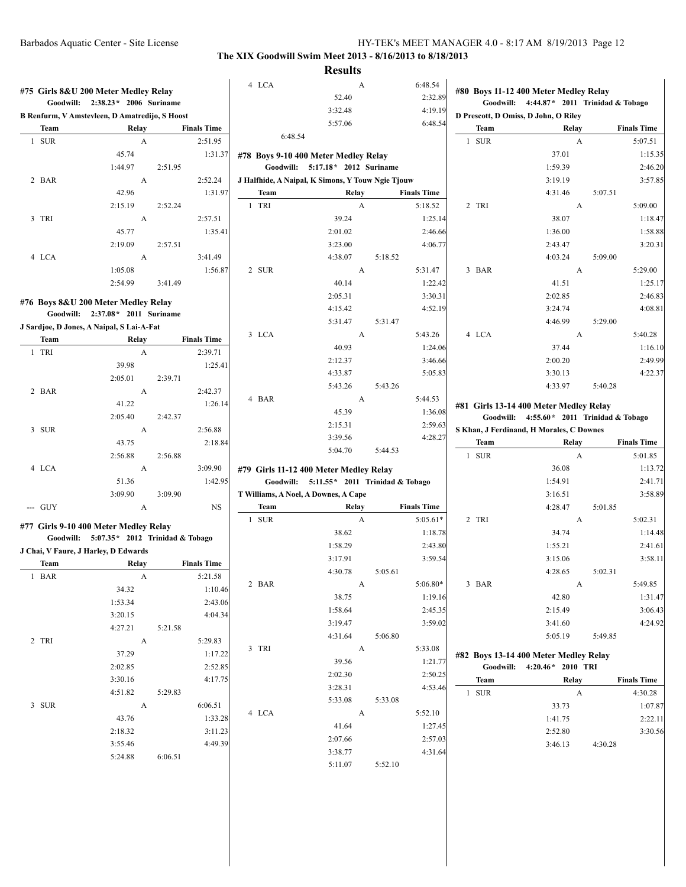|                                     | #75 Girls 8&U 200 Meter Medley Relay           |         |                               | 4 LCA   | A<br>52.40                                        |         | 6:48.54<br>2:32.89 |                                                                                   | #80 Boys 11-12 400 Meter Medley Relay       |                               |
|-------------------------------------|------------------------------------------------|---------|-------------------------------|---------|---------------------------------------------------|---------|--------------------|-----------------------------------------------------------------------------------|---------------------------------------------|-------------------------------|
|                                     | Goodwill: 2:38.23* 2006 Suriname               |         |                               |         | 3:32.48                                           |         | 4:19.19            | Goodwill: 4:44.87* 2011 Trinidad & Tobago<br>D Prescott, D Omiss, D John, O Riley |                                             |                               |
|                                     | B Renfurm, V Amstevleen, D Amatredijo, S Hoost |         |                               |         | 5:57.06                                           |         | 6:48.54            |                                                                                   |                                             |                               |
| Team<br>1 SUR                       | Relay<br>$\mathbf{A}$                          |         | <b>Finals Time</b><br>2:51.95 | 6:48.54 |                                                   |         |                    | Team<br>1 SUR                                                                     | Relay<br>A                                  | <b>Finals Time</b><br>5:07.51 |
|                                     |                                                |         |                               |         |                                                   |         |                    |                                                                                   |                                             |                               |
|                                     | 45.74                                          |         | 1:31.37                       |         | #78 Boys 9-10 400 Meter Medley Relay              |         |                    |                                                                                   | 37.01                                       | 1:15.35                       |
|                                     | 1:44.97                                        | 2:51.95 |                               |         | Goodwill: 5:17.18* 2012 Suriname                  |         |                    |                                                                                   | 1:59.39                                     | 2:46.20                       |
| 2 BAR                               | A                                              |         | 2:52.24                       |         | J Halfhide, A Naipal, K Simons, Y Touw Ngie Tjouw |         |                    |                                                                                   | 3:19.19                                     | 3:57.85                       |
|                                     | 42.96                                          |         | 1:31.97                       | Team    | Relay                                             |         | <b>Finals Time</b> |                                                                                   | 4:31.46                                     | 5:07.51                       |
|                                     | 2:15.19                                        | 2:52.24 |                               | 1 TRI   | A                                                 |         | 5:18.52            | 2 TRI                                                                             | A                                           | 5:09.00                       |
| 3 TRI                               | A                                              |         | 2:57.51                       |         | 39.24                                             |         | 1:25.14            |                                                                                   | 38.07                                       | 1:18.47                       |
|                                     | 45.77                                          |         | 1:35.41                       |         | 2:01.02                                           |         | 2:46.66            |                                                                                   | 1:36.00                                     | 1:58.88                       |
|                                     | 2:19.09                                        | 2:57.51 |                               |         | 3:23.00                                           |         | 4:06.77            |                                                                                   | 2:43.47                                     | 3:20.31                       |
| 4 LCA                               | $\mathbf{A}$                                   |         | 3:41.49                       |         | 4:38.07                                           | 5:18.52 |                    |                                                                                   | 4:03.24                                     | 5:09.00                       |
|                                     | 1:05.08                                        |         | 1:56.87                       | 2 SUR   | A                                                 |         | 5:31.47            | 3 BAR                                                                             | A                                           | 5:29.00                       |
|                                     | 2:54.99                                        | 3:41.49 |                               |         | 40.14                                             |         | 1:22.42            |                                                                                   | 41.51                                       | 1:25.17                       |
| #76 Boys 8&U 200 Meter Medley Relay |                                                |         |                               |         | 2:05.31                                           |         | 3:30.31            |                                                                                   | 2:02.85                                     | 2:46.83                       |
|                                     | Goodwill: 2:37.08* 2011 Suriname               |         |                               |         | 4:15.42                                           |         | 4:52.19            |                                                                                   | 3:24.74                                     | 4:08.81                       |
|                                     | J Sardjoe, D Jones, A Naipal, S Lai-A-Fat      |         |                               |         | 5:31.47                                           | 5:31.47 |                    |                                                                                   | 4:46.99                                     | 5:29.00                       |
| Team                                |                                                |         | <b>Finals Time</b>            | 3 LCA   | A                                                 |         | 5:43.26            | 4 LCA                                                                             | A                                           | 5:40.28                       |
| 1 TRI                               | Relay<br>$\mathbf{A}$                          |         | 2:39.71                       |         | 40.93                                             |         | 1:24.06            |                                                                                   | 37.44                                       | 1:16.10                       |
|                                     |                                                |         |                               |         | 2:12.37                                           |         | 3:46.66            |                                                                                   | 2:00.20                                     | 2:49.99                       |
|                                     | 39.98                                          |         | 1:25.41                       |         | 4:33.87                                           |         | 5:05.83            |                                                                                   | 3:30.13                                     | 4:22.37                       |
|                                     | 2:05.01                                        | 2:39.71 |                               |         | 5:43.26                                           | 5:43.26 |                    |                                                                                   | 4:33.97                                     | 5:40.28                       |
| 2 BAR                               | A                                              |         | 2:42.37                       | 4 BAR   | A                                                 |         | 5:44.53            |                                                                                   |                                             |                               |
|                                     | 41.22                                          |         | 1:26.14                       |         | 45.39                                             |         | 1:36.08            |                                                                                   | #81 Girls 13-14 400 Meter Medley Relay      |                               |
|                                     | 2:05.40                                        | 2:42.37 |                               |         | 2:15.31                                           |         | 2:59.63            |                                                                                   | Goodwill: $4:55.60*$ 2011 Trinidad & Tobago |                               |
| 3 SUR                               | A                                              |         | 2:56.88                       |         | 3:39.56                                           |         | 4:28.27            |                                                                                   | S Khan, J Ferdinand, H Morales, C Downes    |                               |
|                                     | 43.75                                          |         | 2:18.84                       |         | 5:04.70                                           | 5:44.53 |                    | <b>Team</b>                                                                       | Relay                                       | <b>Finals Time</b>            |
|                                     | 2:56.88                                        | 2:56.88 |                               |         |                                                   |         |                    | 1 SUR                                                                             | A                                           | 5:01.85                       |
| 4 LCA                               | A                                              |         | 3:09.90                       |         | #79 Girls 11-12 400 Meter Medley Relay            |         |                    |                                                                                   | 36.08                                       | 1:13.72                       |
|                                     | 51.36                                          |         | 1:42.95                       |         | Goodwill: 5:11.55 * 2011 Trinidad & Tobago        |         |                    |                                                                                   | 1:54.91                                     | 2:41.71                       |
|                                     | 3:09.90                                        | 3:09.90 |                               |         | T Williams, A Noel, A Downes, A Cape              |         |                    |                                                                                   | 3:16.51                                     | 3:58.89                       |
| --- GUY                             | A                                              |         | <b>NS</b>                     | Team    | Relay                                             |         | <b>Finals Time</b> |                                                                                   | 4:28.47                                     | 5:01.85                       |
|                                     |                                                |         |                               | 1 SUR   | A                                                 |         | $5:05.61*$         | 2 TRI                                                                             | A                                           | 5:02.31                       |
|                                     | #77 Girls 9-10 400 Meter Medley Relay          |         |                               |         | 38.62                                             |         | 1:18.78            |                                                                                   | 34.74                                       | 1:14.48                       |
|                                     | Goodwill: 5:07.35* 2012 Trinidad & Tobago      |         |                               |         | 1:58.29                                           |         | 2:43.80            |                                                                                   | 1:55.21                                     | 2:41.61                       |
|                                     | J Chai, V Faure, J Harley, D Edwards           |         |                               |         | 3:17.91                                           |         | 3:59.54            |                                                                                   | 3:15.06                                     | 3:58.11                       |
| <b>Team</b>                         | Relay                                          |         | <b>Finals Time</b>            |         | 4:30.78                                           | 5:05.61 |                    |                                                                                   | 4:28.65                                     | 5:02.31                       |
| 1 BAR                               | A                                              |         | 5:21.58                       | 2 BAR   | A                                                 |         | $5:06.80*$         | 3 BAR                                                                             | A                                           | 5:49.85                       |
|                                     | 34.32                                          |         | 1:10.46                       |         | 38.75                                             |         | 1:19.16            |                                                                                   | 42.80                                       | 1:31.47                       |
|                                     | 1:53.34                                        |         | 2:43.06                       |         | 1:58.64                                           |         | 2:45.35            |                                                                                   | 2:15.49                                     | 3:06.43                       |
|                                     | 3:20.15                                        |         | 4:04.34                       |         | 3:19.47                                           |         | 3:59.02            |                                                                                   | 3:41.60                                     | 4:24.92                       |
|                                     | 4:27.21                                        | 5:21.58 |                               |         | 4:31.64                                           | 5:06.80 |                    |                                                                                   | 5:05.19                                     | 5:49.85                       |
| 2 TRI                               | $\mathbf{A}$                                   |         | 5:29.83                       | 3 TRI   |                                                   |         |                    |                                                                                   |                                             |                               |
|                                     | 37.29                                          |         | 1:17.22                       |         | $\mathbf{A}$                                      |         | 5:33.08            |                                                                                   | #82 Boys 13-14 400 Meter Medley Relay       |                               |
|                                     | 2:02.85                                        |         | 2:52.85                       |         | 39.56                                             |         | 1:21.77            |                                                                                   | Goodwill: 4:20.46* 2010 TRI                 |                               |
|                                     | 3:30.16                                        |         | 4:17.75                       |         | 2:02.30                                           |         | 2:50.25            | Team                                                                              | Relay                                       | <b>Finals Time</b>            |
|                                     | 4:51.82                                        | 5:29.83 |                               |         | 3:28.31                                           |         | 4:53.46            | 1 SUR                                                                             | $\mathbf{A}$                                | 4:30.28                       |
| 3 SUR                               | $\mathbf{A}$                                   |         | 6:06.51                       |         | 5:33.08                                           | 5:33.08 |                    |                                                                                   | 33.73                                       | 1:07.87                       |
|                                     | 43.76                                          |         | 1:33.28                       | 4 LCA   | A                                                 |         | 5:52.10            |                                                                                   | 1:41.75                                     | 2:22.11                       |
|                                     | 2:18.32                                        |         | 3:11.23                       |         | 41.64                                             |         | 1:27.45            |                                                                                   | 2:52.80                                     | 3:30.56                       |
|                                     | 3:55.46                                        |         | 4:49.39                       |         | 2:07.66                                           |         | 2:57.03            |                                                                                   | 3:46.13                                     | 4:30.28                       |
|                                     | 5:24.88                                        | 6:06.51 |                               |         | 3:38.77                                           |         | 4:31.64            |                                                                                   |                                             |                               |
|                                     |                                                |         |                               |         | 5:11.07                                           | 5:52.10 |                    |                                                                                   |                                             |                               |
|                                     |                                                |         |                               |         |                                                   |         |                    |                                                                                   |                                             |                               |
|                                     |                                                |         |                               |         |                                                   |         |                    |                                                                                   |                                             |                               |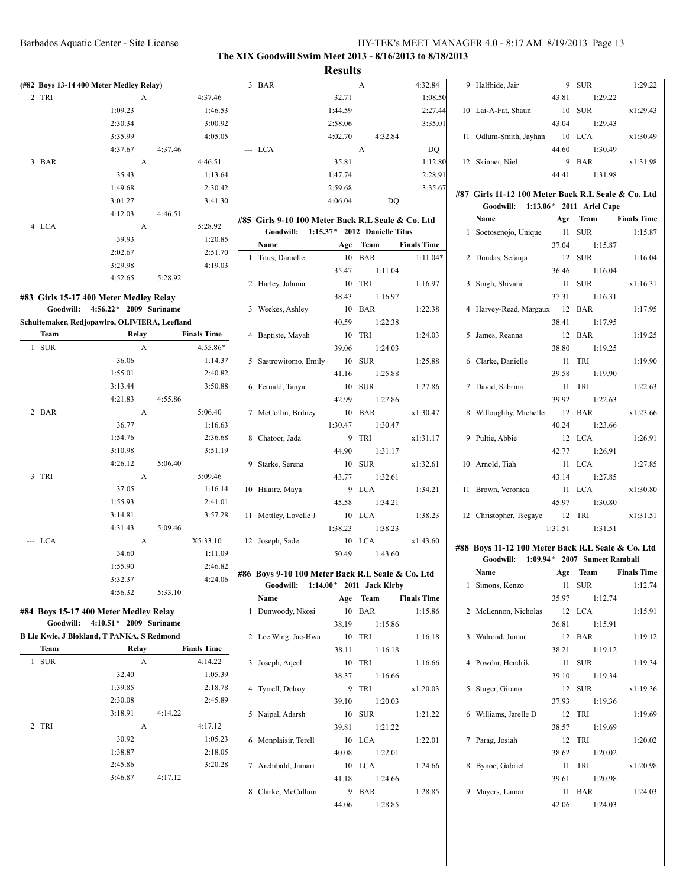$4:32.84$ 1:08.50 2:27.44 3:35.01

> 35.81 1:12.80 2:28.91 3:35.67

> > $\overline{a}$

## **The XIX Goodwill Swim Meet 2013 - 8/16/2013 to 8/18/2013**

**Results**

| 9 | Halfhide, Jair         | 9     | <b>SUR</b> | 1:29.22  |
|---|------------------------|-------|------------|----------|
|   |                        | 43.81 | 1:29.22    |          |
|   | 10 Lai-A-Fat, Shaun    | 10    | <b>SUR</b> | x1:29.43 |
|   |                        | 43.04 | 1:29.43    |          |
|   | 11 Odlum-Smith, Jayhan | 10    | LCA.       | x1:30.49 |
|   |                        | 44.60 | 1:30.49    |          |
|   | 12 Skinner, Niel       | 9     | <b>BAR</b> | x1:31.98 |
|   |                        | 44 41 | 1:31.98    |          |

#### **#87 Girls 11-12 100 Meter Back R.L Seale & Co. Ltd Goodwill: 1:13.06\* 2011 Ariel Cape**

| G000WIII: 1:15.00 " 2011 Ariel Cape  |                   |          |
|--------------------------------------|-------------------|----------|
| <b>Age</b> Team Finals Time<br>Name  |                   |          |
| 1 Soetosenojo, Unique 11 SUR 1:15.87 |                   |          |
|                                      | 37.04 1:15.87     |          |
| 2 Dundas, Sefanja 12 SUR             |                   | 1:16.04  |
|                                      | 36.46 1:16.04     |          |
| 3 Singh, Shivani                     | 11 SUR            | x1:16.31 |
|                                      | 37.31 1:16.31     |          |
| 4 Harvey-Read, Margaux 12 BAR        |                   | 1:17.95  |
|                                      | 38.41 1:17.95     |          |
| 5 James, Reanna                      | 12 BAR            | 1:19.25  |
|                                      | 38.80 1:19.25     |          |
| 6 Clarke, Danielle                   | 11 TRI            | 1:19.90  |
|                                      | 39.58 1:19.90     |          |
| 7 David, Sabrina 11 TRI              |                   | 1:22.63  |
|                                      | 39.92 1:22.63     |          |
| 8 Willoughby, Michelle 12 BAR        |                   | x1:23.66 |
|                                      | 40.24 1:23.66     |          |
| 9 Pultie, Abbie                      | 12 LCA            | 1:26.91  |
|                                      | 42.77 1:26.91     |          |
| 10 Arnold, Tiah                      | 11 LCA            | 1:27.85  |
|                                      | 43.14 1:27.85     |          |
| 11 Brown, Veronica 11 LCA            |                   | x1:30.80 |
|                                      | 45.97 1:30.80     |          |
| 12 Christopher, Tsegaye 12 TRI       |                   | x1:31.51 |
|                                      | 1:31.51   1:31.51 |          |

#### **#88 Boys 11-12 100 Meter Back R.L Seale & Co. Ltd Goodwill: 1:09.94\* 2007 Sumeet Rambali**

|   | Name                  | Age | Team            | <b>Finals Time</b> |
|---|-----------------------|-----|-----------------|--------------------|
|   | 1 Simons, Kenzo       |     | 11 SUR          | 1:12.74            |
|   |                       |     | 35.97 1:12.74   |                    |
|   | 2 McLennon, Nicholas  |     | 12 LCA          | 1:15.91            |
|   |                       |     | 36.81 1:15.91   |                    |
|   | 3 Walrond, Jumar      |     | 12 BAR          | 1:19.12            |
|   |                       |     | 38.21 1:19.12   |                    |
|   | 4 Powdar, Hendrik     |     | 11 SUR          | 1:19.34            |
|   |                       |     | 39.10 1:19.34   |                    |
|   | 5 Stuger, Girano      |     | 12 SUR          | x1:19.36           |
|   |                       |     | 37.93 1:19.36   |                    |
|   | 6 Williams, Jarelle D |     | 12 TRI          | 1:19.69            |
|   |                       |     | 38.57 1:19.69   |                    |
|   | 7 Parag, Josiah       |     | 12 TRI          | 1:20.02            |
|   |                       |     | 38.62 1:20.02   |                    |
| 8 | Bynoe, Gabriel        | 11  | TRI             | x1:20.98           |
|   |                       |     | 39.61 1:20.98   |                    |
| 9 | Mayers, Lamar         | 11  | <b>BAR</b>      | 1:24.03            |
|   |                       |     | $42.06$ 1:24.03 |                    |

|        | BAR<br>3          |                                                                                                         | A       | 4:32.84 |
|--------|-------------------|---------------------------------------------------------------------------------------------------------|---------|---------|
| 7.46   |                   | 32.71                                                                                                   |         | 1:08.   |
| :46.53 |                   | 1:44.59                                                                                                 |         | 2:27.4  |
| :00.92 |                   | 2:58.06                                                                                                 |         | 3:35.   |
| :05.05 |                   | 4:02.70                                                                                                 | 4:32.84 |         |
|        | $-LCA$            |                                                                                                         | A       | DQ      |
| 6.51   |                   | 35.81                                                                                                   |         | 1:12.   |
| :13.64 |                   | 1:47.74                                                                                                 |         | 2:28.   |
| :30.42 |                   | 2:59.68                                                                                                 |         | 3:35.   |
| :41.30 |                   | 4:06.04                                                                                                 | DO      |         |
| 8.92   | $\sim$ 1 $\rm{m}$ | #85 Girls 9-10 100 Meter Back R.L Seale & Co. Ltd<br>$\sim$ 15.354.0000 $\sim$ $\sim$ 11.554.000 $\sim$ |         |         |

 $\sim$ 

## **Goodwill: 1:15.37\* 2012 Danielle Titus**

|   | Name                         | Age | Team                | <b>Finals Time</b> |
|---|------------------------------|-----|---------------------|--------------------|
|   | 1 Titus, Danielle            |     | 10 BAR              | $1:11.04*$         |
|   |                              |     | 35.47 1:11.04       |                    |
| 2 | Harley, Jahmia               |     | 10 TRI              | 1:16.97            |
|   |                              |     | 38.43 1:16.97       |                    |
|   | 3 Weekes, Ashley             |     | 10 BAR              | 1:22.38            |
|   |                              |     | 40.59 1:22.38       |                    |
|   | 4 Baptiste, Mayah            |     | 10 TRI              | 1:24.03            |
|   |                              |     | 39.06 1:24.03       |                    |
|   | 5 Sastrowitomo, Emily 10 SUR |     |                     | 1:25.88            |
|   |                              |     | 41.16 1:25.88       |                    |
|   | 6 Fernald, Tanya             |     | 10 SUR              | 1:27.86            |
|   |                              |     | 42.99 1:27.86       |                    |
|   | 7 McCollin, Britney          |     | 10 BAR              | x1:30.47           |
|   |                              |     | $1:30.47$ $1:30.47$ |                    |
|   | 8 Chatoor, Jada              |     | 9 TRI               | x1:31.17           |
|   |                              |     | 44.90 1:31.17       |                    |
|   | 9 Starke, Serena             |     | 10 SUR              | x1:32.61           |
|   |                              |     | 43.77 1:32.61       |                    |
|   | 10 Hilaire, Maya             |     | 9 LCA               | 1:34.21            |
|   |                              |     | 45.58 1:34.21       |                    |
|   | 11 Mottley, Lovelle J        |     | 10 LCA              | 1:38.23            |
|   |                              |     | 1:38.23 1:38.23     |                    |
|   | 12 Joseph, Sade              |     | 10 LCA              | x1:43.60           |
|   |                              |     | 50.49 1:43.60       |                    |

## **#86 Boys 9-10 100 Meter Back R.L Seale & Co. Ltd Goodwill: 1:14.00\* 2011 Jack Kirby**

|   | Name                 | Age   | Team          | <b>Finals Time</b> |
|---|----------------------|-------|---------------|--------------------|
|   | 1 Dunwoody, Nkosi    | 10    | <b>BAR</b>    | 1:15.86            |
|   |                      | 38.19 | 1:15.86       |                    |
|   | 2 Lee Wing, Jae-Hwa  |       | 10 TRI        | 1:16.18            |
|   |                      | 38.11 | 1:16.18       |                    |
|   | 3 Joseph, Aqeel      |       | 10 TRI        | 1:16.66            |
|   |                      |       | 38.37 1:16.66 |                    |
|   | 4 Tyrrell, Delroy    |       | 9 TRI         | x1:20.03           |
|   |                      | 39.10 | 1:20.03       |                    |
|   | 5 Naipal, Adarsh     |       | 10 SUR        | 1:21.22            |
|   |                      | 39.81 | 1:21.22       |                    |
|   | 6 Monplaisir, Terell |       | 10 LCA        | 1:22.01            |
|   |                      | 40.08 | 1:22.01       |                    |
|   | 7 Archibald, Jamarr  |       | 10 LCA        | 1:24.66            |
|   |                      |       | 41.18 1:24.66 |                    |
| 8 | Clarke, McCallum     |       | 9 BAR         | 1:28.85            |
|   |                      | 44.06 | 1:28.85       |                    |

## **(#82 Boys 13-14 400 Meter Medley Relay)** 2 TRI A 4:3  $1:09.23$  1 2:30.34 3: 3:35.99 4:05.05 4:37.67 4:37.46  $3 \text{ BAR}$  A  $4:46$ 35.43 1:  $1:49.68$  2: 3:01.27 3: 4:12.03 4:46.51 4 LCA A 5:28 39.93 1:20.85 2:02.67 2:51.70 3:29.98 4:19.03 4:52.65 5:28.92

### **#83 Girls 15-17 400 Meter Medley Relay Goodwill: 4:56.22\* 2009 Suriname**

#### **Schuitemaker, Redjopawiro, OLIVIERA, Leefland**

| Team                         | Relay   |   |         | <b>Finals Time</b> |
|------------------------------|---------|---|---------|--------------------|
| <b>SUR</b><br>$\mathbf{1}$   |         | A |         | 4:55.86*           |
|                              | 36.06   |   |         | 1:14.37            |
|                              | 1:55.01 |   |         | 2:40.82            |
|                              | 3:13.44 |   |         | 3:50.88            |
|                              | 4:21.83 |   | 4:55.86 |                    |
| $\overline{c}$<br><b>BAR</b> |         | A |         | 5:06.40            |
|                              | 36.77   |   |         | 1:16.63            |
|                              | 1:54.76 |   |         | 2:36.68            |
|                              | 3:10.98 |   |         | 3:51.19            |
|                              | 4:26.12 |   | 5:06.40 |                    |
| <b>TRI</b><br>3              |         | A |         | 5:09.46            |
|                              | 37.05   |   |         | 1:16.14            |
|                              | 1:55.93 |   |         | 2:41.01            |
|                              | 3:14.81 |   |         | 3:57.28            |
|                              | 4:31.43 |   | 5:09.46 |                    |
| <b>LCA</b>                   |         | A |         | X5:33.10           |
|                              | 34.60   |   |         | 1:11.09            |
|                              | 1:55.90 |   |         | 2:46.82            |
|                              | 3:32.37 |   |         | 4:24.06            |
|                              | 4:56.32 |   | 5:33.10 |                    |

#### **#84 Boys 15-17 400 Meter Medley Relay Goodwill: 4:10.51\* 2009 Suriname**

| B Lie Kwie, J Blokland, T PANKA, S Redmond |
|--------------------------------------------|
|--------------------------------------------|

| Team            | Relay   | <b>Finals Time</b> |
|-----------------|---------|--------------------|
| <b>SUR</b><br>1 | A       | 4:14.22            |
|                 | 32.40   | 1:05.39            |
|                 | 1:39.85 | 2:18.78            |
|                 | 2:30.08 | 2:45.89            |
|                 | 3:18.91 | 4:14.22            |
| 2 TRI           | A       | 4:17.12            |
|                 | 30.92   | 1:05.23            |
|                 | 1:38.87 | 2:18.05            |
|                 | 2:45.86 | 3:20.28            |
|                 | 3:46.87 | 4:17.12            |
|                 |         |                    |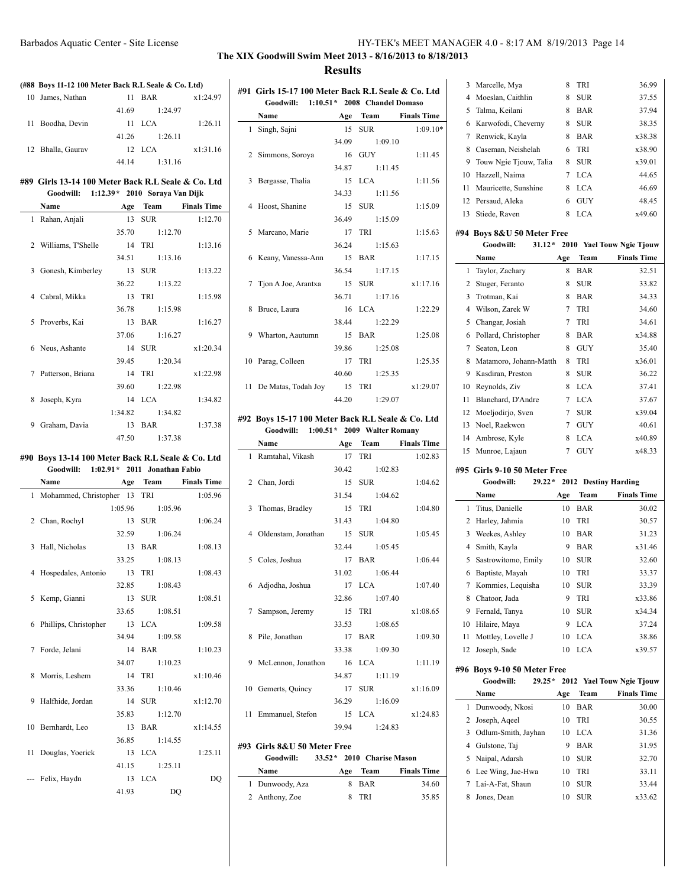## **The XIX Goodwill Swim Meet 2013 - 8/16/2013 to 8/18/2013 Results**

### **(#88 Boys 11-12 100 Meter Back R.L Seale & Co. Ltd)**

| 10 James, Nathan    | 11    | <b>BAR</b> | x1:24.97 |
|---------------------|-------|------------|----------|
|                     | 41.69 | 1:24.97    |          |
| Boodha, Devin<br>11 |       | 11 LCA     | 1:26.11  |
|                     | 41.26 | 1:26.11    |          |
| 12 Bhalla, Gaurav   |       | $12$ LCA   | x1:31.16 |
|                     | 44 14 | 1:31.16    |          |

#### **#89 Girls 13-14 100 Meter Back R.L Seale & Co. Ltd Goodwill: 1:12.39\* 2010 Soraya Van Dijk**

| Name                   | Age    | Team                | <b>Finals Time</b> |
|------------------------|--------|---------------------|--------------------|
| 1 Rahan, Anjali        | $13 -$ | <b>SUR</b>          | 1:12.70            |
|                        | 35.70  | 1:12.70             |                    |
| 2 Williams, T'Shelle   |        | 14 TRI              | 1:13.16            |
|                        |        | 34.51 1:13.16       |                    |
| Gonesh, Kimberley<br>3 | 13     | <b>SUR</b>          | 1:13.22            |
|                        | 36.22  | 1:13.22             |                    |
| 4 Cabral, Mikka        |        | 13 TRI              | 1:15.98            |
|                        |        | 36.78 1:15.98       |                    |
| Proverbs, Kai<br>5.    |        | 13 BAR              | 1:16.27            |
|                        | 37.06  | 1:16.27             |                    |
| 6 Neus, Ashante        |        | 14 SUR              | x1:20.34           |
|                        |        | 39.45 1:20.34       |                    |
| 7 Patterson, Briana    |        | 14 TRI              | x1:22.98           |
|                        |        | 39.60 1:22.98       |                    |
| 8<br>Joseph, Kyra      |        | 14 LCA              | 1:34.82            |
|                        |        | $1:34.82$ $1:34.82$ |                    |
| 9<br>Graham, Davia     |        | 13 BAR              | 1:37.38            |
|                        | 47.50  | 1:37.38             |                    |

#### **#90 Boys 13-14 100 Meter Back R.L Seale & Co. Ltd Goodwill: 1:02.91\* 2011 Jonathan Fabio**

| Name                           |       | Age Team        | <b>Finals Time</b> |
|--------------------------------|-------|-----------------|--------------------|
| 1 Mohammed, Christopher 13 TRI |       |                 | 1:05.96            |
|                                |       | 1:05.96 1:05.96 |                    |
| 2 Chan, Rochyl                 |       | 13 SUR          | 1:06.24            |
|                                |       | 32.59 1:06.24   |                    |
| 3 Hall, Nicholas               |       | $13$ BAR        | 1:08.13            |
|                                |       | 33.25 1:08.13   |                    |
| 4 Hospedales, Antonio 13 TRI   |       |                 | 1:08.43            |
|                                |       | 32.85 1:08.43   |                    |
| 5 Kemp, Gianni                 |       | 13 SUR          | 1:08.51            |
|                                |       | 33.65 1:08.51   |                    |
| 6 Phillips, Christopher 13 LCA |       |                 | 1:09.58            |
|                                |       | 34.94 1:09.58   |                    |
| 7 Forde, Jelani                |       | 14 BAR          | 1:10.23            |
|                                |       | 34.07 1:10.23   |                    |
| 8 Morris, Leshem               |       | 14 TRI          | x1:10.46           |
|                                |       | 33.36 1:10.46   |                    |
| 9 Halfhide, Jordan             |       | 14 SUR          | x1:12.70           |
|                                |       | 35.83 1:12.70   |                    |
| 10 Bernhardt, Leo              |       | 13 BAR          | x1:14.55           |
|                                |       | 36.85 1:14.55   |                    |
| 11 Douglas, Yoerick            |       | 13 LCA          | 1:25.11            |
|                                |       | 41.15 1:25.11   |                    |
| --- Felix, Haydn               |       | 13 LCA          | DO                 |
|                                | 41.93 | D <sub>O</sub>  |                    |

| #91 Girls 15-17 100 Meter Back R.L Seale & Co. Ltd |               |                      |
|----------------------------------------------------|---------------|----------------------|
| Goodwill: 1:10.51 * 2008 Chandel Domaso            |               |                      |
| <b>Name</b>                                        |               | Age Team Finals Time |
| 1 Singh, Sajni                                     |               | 15 SUR 1:09.10*      |
|                                                    | 34.09 1:09.10 |                      |
| 2 Simmons, Soroya                                  | 16 GUY        | 1:11.45              |
|                                                    | 34.87 1:11.45 |                      |
| 3 Bergasse, Thalia                                 | 15 LCA        | 1:11.56              |
|                                                    | 34.33 1:11.56 |                      |
| 4 Hoost, Shanine                                   | 15 SUR        | 1:15.09              |
|                                                    | 36.49 1:15.09 |                      |
| 5 Marcano, Marie                                   | 17 TRI        | 1:15.63              |
|                                                    | 36.24 1:15.63 |                      |
| 6 Keany, Vanessa-Ann 15 BAR                        |               | 1:17.15              |
|                                                    | 36.54 1:17.15 |                      |
| 7 Tjon A Joe, Arantxa 15 SUR                       |               | x1:17.16             |
|                                                    | 36.71 1:17.16 |                      |
| 8 Bruce, Laura                                     | 16 LCA        | 1:22.29              |
|                                                    | 38.44 1:22.29 |                      |
| 9 Wharton, Aautumn                                 | 15 BAR        | 1:25.08              |
|                                                    | 39.86 1:25.08 |                      |
| 10 Parag, Colleen                                  | 17 TRI        | 1:25.35              |
|                                                    | 40.60 1:25.35 |                      |
| 11 De Matas, Todah Joy 15 TRI                      |               | x1:29.07             |
|                                                    | 44.20 1:29.07 |                      |

## **#92 Boys 15-17 100 Meter Back R.L Seale & Co. Ltd**

**Goodwill: 1:00.51\* 2009 Walter Romany Name Age Team Finals Time**

| глашс                               | лgс каш       | тицану типе |
|-------------------------------------|---------------|-------------|
| 1 Ramtahal, Vikash 17 TRI           |               | 1:02.83     |
|                                     | 30.42 1:02.83 |             |
| 2 Chan, Jordi                       | 15 SUR        | 1:04.62     |
|                                     | 31.54 1:04.62 |             |
| 3 Thomas, Bradley 15 TRI            |               | 1:04.80     |
|                                     | 31.43 1:04.80 |             |
| 4 Oldenstam, Jonathan 15 SUR        |               | 1:05.45     |
|                                     | 32.44 1:05.45 |             |
| 5 Coles, Joshua                     | 17 BAR        | 1:06.44     |
|                                     | 31.02 1:06.44 |             |
| 6 Adjodha, Joshua 17 LCA            |               | 1:07.40     |
|                                     | 32.86 1:07.40 |             |
| 7 Sampson, Jeremy 15 TRI            |               | x1:08.65    |
|                                     | 33.53 1:08.65 |             |
| 8 Pile, Jonathan                    | 17 BAR        | 1:09.30     |
|                                     | 33.38 1:09.30 |             |
| 9 McLennon, Jonathon 16 LCA         |               | 1:11.19     |
|                                     | 34.87 1:11.19 |             |
| 10 Gemerts, Quincy 17 SUR x1:16.09  |               |             |
|                                     | 36.29 1:16.09 |             |
| 11 Emmanuel, Stefon 15 LCA x1:24.83 |               |             |
|                                     | 39.94 1:24.83 |             |
|                                     |               |             |

## **#93 Girls 8&U 50 Meter Free**

J.

## **Goodwill: 33.52\* 2010 Charise Mason**

| Name            | Age | Team  | <b>Finals Time</b> |
|-----------------|-----|-------|--------------------|
| 1 Dunwoody, Aza |     | 8 BAR | 34.60              |
| 2 Anthony, Zoe  | x   | TRI   | 35.85              |

|    | 3 Marcelle, Mya          | 8 | TRI        | 36.99  |
|----|--------------------------|---|------------|--------|
|    | 4 Moeslan, Caithlin      | 8 | <b>SUR</b> | 37.55  |
| 5. | Talma, Keilani           | 8 | <b>BAR</b> | 37.94  |
|    | 6 Karwofodi, Cheverny    | 8 | <b>SUR</b> | 38.35  |
| 7  | Renwick, Kayla           | 8 | <b>BAR</b> | x38.38 |
| 8  | Caseman, Neishelah       | 6 | <b>TRI</b> | x38.90 |
|    | 9 Touw Ngie Tiouw, Talia | 8 | <b>SUR</b> | x39.01 |
|    | 10 Hazzell, Naima        | 7 | LCA.       | 44.65  |
|    | 11 Mauricette, Sunshine  | 8 | LCA.       | 46.69  |
|    | 12 Persaud, Aleka        | 6 | <b>GUY</b> | 48.45  |
| 13 | Stiede, Raven            | 8 | LCA        | x49.60 |
|    |                          |   |            |        |

### **#94 Boys 8&U 50 Meter Free**

|                | Goodwill:<br>$31.12*$        |          |     |            | 2010 Yael Touw Ngie Tjouw |
|----------------|------------------------------|----------|-----|------------|---------------------------|
|                | Name                         |          | Age | Team       | <b>Finals Time</b>        |
| 1              | Taylor, Zachary              |          | 8   | <b>BAR</b> | 32.51                     |
| $\overline{2}$ | Stuger, Feranto              |          | 8   | <b>SUR</b> | 33.82                     |
| 3              | Trotman, Kai                 |          | 8   | <b>BAR</b> | 34.33                     |
| 4              | Wilson, Zarek W              |          | 7   | TRI        | 34.60                     |
| 5              | Changar, Josiah              |          | 7   | TRI        | 34.61                     |
| 6              | Pollard, Christopher         |          | 8   | <b>BAR</b> | x34.88                    |
| 7              | Seaton, Leon                 |          | 8   | <b>GUY</b> | 35.40                     |
| 8              | Matamoro, Johann-Matth       |          | 8   | TRI        | x36.01                    |
| 9              | Kasdiran, Preston            |          | 8   | <b>SUR</b> | 36.22                     |
| 10             | Reynolds, Ziv                |          | 8   | <b>LCA</b> | 37.41                     |
| 11             | Blanchard, D'Andre           |          | 7   | <b>LCA</b> | 37.67                     |
| 12             | Moeljodirjo, Sven            |          | 7   | <b>SUR</b> | x39.04                    |
| 13             | Noel, Raekwon                |          | 7   | <b>GUY</b> | 40.61                     |
| 14             | Ambrose, Kyle                |          | 8   | <b>LCA</b> | x40.89                    |
| 15             | Munroe, Lajaun               |          | 7   | <b>GUY</b> | x48.33                    |
|                | #95 Girls 9-10 50 Meter Free |          |     |            |                           |
|                | Goodwill:                    | $29.22*$ |     |            | 2012 Destiny Harding      |
|                | Name                         |          | Age | Team       | <b>Finals Time</b>        |
| 1              | Titus, Danielle              |          | 10  | <b>BAR</b> | 30.02                     |
| $\overline{2}$ | Harley, Jahmia               |          | 10  | TRI        | 30.57                     |
| 3              | Weekes, Ashley               |          | 10  | <b>BAR</b> | 31.23                     |
|                |                              |          |     |            |                           |

|    | 4 Smith, Kayla        | 9  | <b>BAR</b> | x31.46 |
|----|-----------------------|----|------------|--------|
|    | 5 Sastrowitomo, Emily | 10 | <b>SUR</b> | 32.60  |
| 6. | Baptiste, Mayah       | 10 | <b>TRI</b> | 33.37  |
|    | 7 Kommies, Lequisha   | 10 | <b>SUR</b> | 33.39  |
| 8  | Chatoor, Jada         | 9  | <b>TRI</b> | x33.86 |
|    | 9 Fernald, Tanya      | 10 | <b>SUR</b> | x34.34 |
| 10 | Hilaire, Maya         | 9  | LCA.       | 37.24  |
| 11 | Mottley, Lovelle J    | 10 | <b>LCA</b> | 38.86  |
| 12 | Joseph, Sade          | 10 | LCA.       | x39.57 |

#### **#96 Boys 9-10 50 Meter Free**

|   | <b>Goodwill:</b><br>$29.25*$ |     |             | 2012 Yael Touw Ngie Tjouw |
|---|------------------------------|-----|-------------|---------------------------|
|   | Name                         | Age | <b>Team</b> | <b>Finals Time</b>        |
| 1 | Dunwoody, Nkosi              | 10  | BAR         | 30.00                     |
| 2 | Joseph, Ageel                | 10  | TRI         | 30.55                     |
| 3 | Odlum-Smith, Jayhan          | 10  | LCA         | 31.36                     |
| 4 | Gulstone, Tai                | 9   | <b>BAR</b>  | 31.95                     |
| 5 | Naipal, Adarsh               | 10  | <b>SUR</b>  | 32.70                     |
|   | 6 Lee Wing, Jae-Hwa          | 10  | TRI         | 33.11                     |
| 7 | Lai-A-Fat, Shaun             | 10  | <b>SUR</b>  | 33.44                     |
| 8 | Jones, Dean                  | 10  | <b>SUR</b>  | x33.62                    |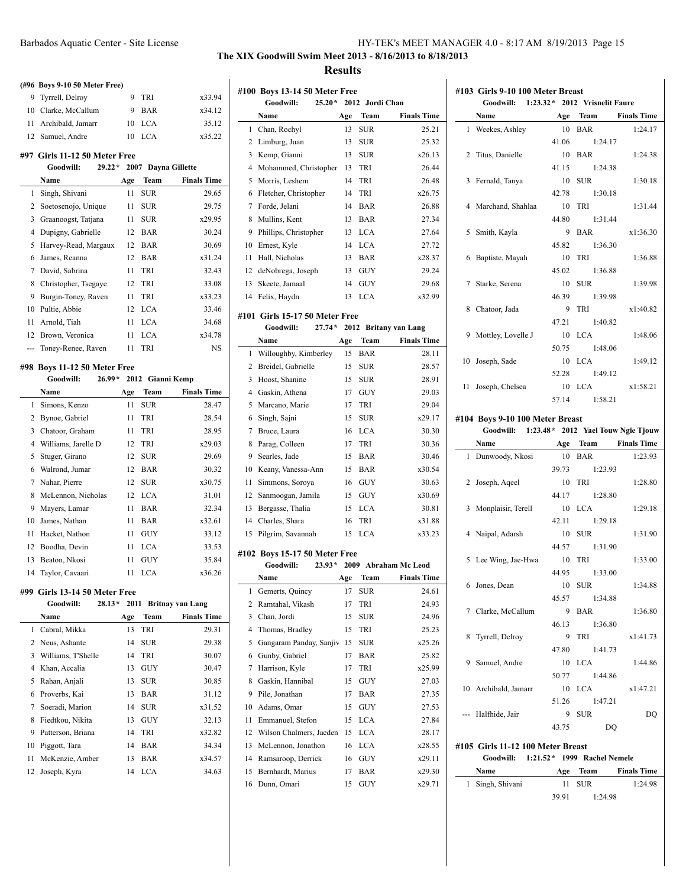|              | (#96 Boys 9-10 50 Meter Free) |     |            |                     |
|--------------|-------------------------------|-----|------------|---------------------|
|              | 9 Tyrrell, Delroy             | 9   | <b>TRI</b> | x33.94              |
|              | 10 Clarke, McCallum           | 9   | <b>BAR</b> | x34.12              |
| 11           | Archibald, Jamarr             | 10  | <b>LCA</b> | 35.12               |
|              | 12 Samuel, Andre              | 10  | <b>LCA</b> | x35.22              |
|              | #97 Girls 11-12 50 Meter Free |     |            |                     |
|              | Goodwill:<br>$29.22*$         |     |            | 2007 Dayna Gillette |
|              | Name                          | Age | Team       | <b>Finals Time</b>  |
| $\mathbf{1}$ | Singh, Shivani                | 11  | <b>SUR</b> | 29.65               |
| 2            | Soetosenojo, Unique           | 11  | <b>SUR</b> | 29.75               |
| 3            | Graanoogst, Tatjana           | 11  | <b>SUR</b> | x29.95              |
| 4            | Dupigny, Gabrielle            | 12  | <b>BAR</b> | 30.24               |
| 5            | Harvey-Read, Margaux          | 12  | <b>BAR</b> | 30.69               |
| 6            | James, Reanna                 | 12  | <b>BAR</b> | x31.24              |
| 7            | David, Sabrina                | 11  | TRI        | 32.43               |
| 8            | Christopher, Tsegaye          | 12  | TRI        | 33.08               |
| 9            | Burgin-Toney, Raven           | 11  | TRI        | x33.23              |

## James, Reanna 12 BAR x31.24 David, Sabrina 11 TRI 32.43 Christopher, Tsegaye 12 TRI 33.08 Burgin-Toney, Raven 11 TRI x33.23 Pultie, Abbie 12 LCA 33.46 Arnold, Tiah 11 LCA 34.68 Brown, Veronica 11 LCA x34.78 --- Toney-Renee, Raven 11 TRI NS

 $\overline{a}$ 

 $\overline{a}$ 

### **#98 Boys 11-12 50 Meter Free**

|    | Goodwill:<br>26.99* |     | 2012 Gianni Kemp |                    |
|----|---------------------|-----|------------------|--------------------|
|    | Name                | Age | <b>Team</b>      | <b>Finals Time</b> |
| 1. | Simons, Kenzo       | 11  | SUR              | 28.47              |
| 2  | Bynoe, Gabriel      | 11  | TRI              | 28.54              |
| 3  | Chatoor, Graham     | 11  | TRI              | 28.95              |
| 4  | Williams, Jarelle D | 12  | <b>TRI</b>       | x29.03             |
| 5  | Stuger, Girano      | 12  | <b>SUR</b>       | 29.69              |
| 6  | Walrond, Jumar      | 12  | BAR              | 30.32              |
| 7  | Nahar, Pierre       | 12  | <b>SUR</b>       | x30.75             |
| 8  | McLennon, Nicholas  | 12  | LCA              | 31.01              |
| 9  | Mayers, Lamar       | 11  | BAR              | 32.34              |
| 10 | James, Nathan       | 11  | BAR              | x32.61             |
| 11 | Hacket, Nathon      | 11  | GUY              | 33.12              |
| 12 | Boodha, Devin       | 11  | LCA              | 33.53              |
| 13 | Beaton, Nkosi       | 11  | GUY              | 35.84              |
| 14 | Taylor, Cavaari     | 11  | LCA              | x36.26             |

#### **#99 Girls 13-14 50 Meter Free**

|    | Goodwill:<br>$28.13*$ |     |            | 2011 Britnay van Lang |
|----|-----------------------|-----|------------|-----------------------|
|    | Name                  | Age | Team       | <b>Finals Time</b>    |
| 1. | Cabral, Mikka         | 13  | TRI        | 29.31                 |
|    | 2 Neus, Ashante       | 14  | <b>SUR</b> | 29.38                 |
| 3  | Williams, T'Shelle    | 14  | TRI        | 30.07                 |
| 4  | Khan, Accalia         | 13  | GUY        | 30.47                 |
| 5  | Rahan, Anjali         | 13  | SUR        | 30.85                 |
| 6  | Proverbs, Kai         | 13  | <b>BAR</b> | 31.12                 |
| 7  | Soeradi, Marion       | 14  | <b>SUR</b> | x31.52                |
| 8  | Fiedtkou, Nikita      | 13  | GUY        | 32.13                 |
| 9  | Patterson, Briana     | 14  | TRI        | x32.82                |
| 10 | Piggott, Tara         | 14  | <b>BAR</b> | 34.34                 |
| 11 | McKenzie, Amber       | 13  | <b>BAR</b> | x34.57                |
| 12 | Joseph, Kyra          | 14  | LCA.       | 34.63                 |

 $\mathbf{L}$ 

## **The XIX Goodwill Swim Meet 2013 - 8/16/2013 to 8/18/2013 Results**

|                | #100 Boys 13-14 50 Meter Free  |      |                 |                         |
|----------------|--------------------------------|------|-----------------|-------------------------|
|                | Goodwill:<br>$25.20*$          |      | 2012 Jordi Chan |                         |
|                | Name                           | Age  | <b>Team</b>     | <b>Finals Time</b>      |
| 1              | Chan, Rochyl                   | 13   | <b>SUR</b>      | 25.21                   |
| 2              | Limburg, Juan                  | 13   | <b>SUR</b>      | 25.32                   |
| 3              | Kemp, Gianni                   | 13   | <b>SUR</b>      | x26.13                  |
| $\overline{4}$ | Mohammed, Christopher          | 13   | TRI             | 26.44                   |
| 5              | Morris, Leshem                 | 14   | TRI             | 26.48                   |
| 6              | Fletcher, Christopher          | 14   | <b>TRI</b>      | x26.75                  |
| 7              | Forde, Jelani                  | 14   | <b>BAR</b>      | 26.88                   |
| 8              | Mullins, Kent                  | 13   | <b>BAR</b>      | 27.34                   |
| 9              | Phillips, Christopher          | 13   | <b>LCA</b>      | 27.64                   |
| 10             | Ernest, Kyle                   | 14   | <b>LCA</b>      | 27.72                   |
| 11             | Hall, Nicholas                 | 13   | <b>BAR</b>      | x28.37                  |
| 12             | deNobrega, Joseph              | 13   | GUY             | 29.24                   |
| 13             | Skeete, Jamaal                 | 14   | <b>GUY</b>      | 29.68                   |
| 14             | Felix, Haydn                   | 13   | <b>LCA</b>      | x32.99                  |
|                |                                |      |                 |                         |
|                | #101 Girls 15-17 50 Meter Free |      |                 |                         |
|                | $27.74*$<br>Goodwill:          | 2012 |                 | <b>Britany van Lang</b> |
|                | Name                           | Age  | Team            | <b>Finals Time</b>      |
| 1              | Willoughby, Kimberley          | 15   | <b>BAR</b>      | 28.11                   |
| 2              | Breidel, Gabrielle             | 15   | <b>SUR</b>      | 28.57                   |
| 3              | Hoost, Shanine                 | 15   | <b>SUR</b>      | 28.91                   |
| $\overline{4}$ | Gaskin, Athena                 | 17   | <b>GUY</b>      | 29.03                   |
| 5              | Marcano, Marie                 | 17   | <b>TRI</b>      | 29.04                   |
| 6              | Singh, Sajni                   | 15   | <b>SUR</b>      | x29.17                  |
| 7              | Bruce, Laura                   | 16   | <b>LCA</b>      | 30.30                   |
| 8              | Parag, Colleen                 | 17   | TRI             | 30.36                   |
| 9              | Searles, Jade                  | 15   | <b>BAR</b>      | 30.46                   |
| 10             | Keany, Vanessa-Ann             | 15   | <b>BAR</b>      | x30.54                  |
| 11             | Simmons, Soroya                | 16   | GUY             | 30.63                   |
| 12             | Sanmoogan, Jamila              | 15   | <b>GUY</b>      | x30.69                  |
| 13             | Bergasse, Thalia               | 15   | <b>LCA</b>      | 30.81                   |
| 14             | Charles, Shara                 | 16   | TRI             | x31.88                  |
| 15             | Pilgrim, Savannah              | 15   | <b>LCA</b>      | x33.23                  |
|                |                                |      |                 |                         |
|                | #102 Boys 15-17 50 Meter Free  |      |                 |                         |
|                | Goodwill:<br>$23.93*$          |      |                 | 2009 Abraham Mc Leod    |
|                | Name                           | Age  | <b>Team</b>     | <b>Finals Time</b>      |
| 1              | Gemerts, Quincy                | 17   | <b>SUR</b>      | 24.61                   |
| 2              | Ramtahal, Vikash               | 17   | TRI             | 24.93                   |
| 3              | Chan, Jordi                    | 15   | <b>SUR</b>      | 24.96                   |
| 4              | Thomas, Bradley                | 15   | TRI             | 25.23                   |
| 5              | Gangaram Panday, Sanjiv        | 15   | <b>SUR</b>      | x25.26                  |
| 6              | Gunby, Gabriel                 | 17   | <b>BAR</b>      | 25.82                   |
| 7              | Harrison, Kyle                 | 17   | TRI             | x25.99                  |
| 8              | Gaskin, Hannibal               | 15   | GUY             | 27.03                   |
| 9              | Pile, Jonathan                 | 17   | BAR             | 27.35                   |
| 10             | Adams, Omar                    | 15   | <b>GUY</b>      | 27.53                   |
| 11             | Emmanuel, Stefon               | 15   | <b>LCA</b>      | 27.84                   |
| 12             | Wilson Chalmers, Jaeden        | 15   | LCA             | 28.17                   |
| 13             | McLennon, Jonathon             | 16   | LCA             | x28.55                  |
| 14             | Ramsaroop, Derrick             | 16   | GUY             | x29.11                  |
| 15             | Bernhardt, Marius              | 17   | BAR             | x29.30                  |
| 16             | Dunn, Omari                    | 15   | GUY             | x29.71                  |
|                |                                |      |                 |                         |

|   | #103 Girls 9-10 100 Meter Breast<br>Goodwill: 1:23.32* 2012 Vrisnelit Faure |       |               |                      |
|---|-----------------------------------------------------------------------------|-------|---------------|----------------------|
|   | Name                                                                        |       | Age Team      | <b>Finals Time</b>   |
| 1 | Weekes, Ashley                                                              | 10    | <b>BAR</b>    | 1:24.17              |
|   |                                                                             | 41.06 | 1:24.17       |                      |
|   | 2 Titus, Danielle                                                           |       | 10 BAR        | 1:24.38              |
|   |                                                                             | 41.15 | 1:24.38       |                      |
|   | 3 Fernald, Tanya                                                            | 10    | SUR           | 1:30.18              |
|   |                                                                             | 42.78 | 1:30.18       |                      |
|   | 4 Marchand, Shahlaa                                                         | 10    | TRI           | 1:31.44              |
|   |                                                                             | 44.80 | 1:31.44       |                      |
|   | 5 Smith, Kayla                                                              |       | 9 BAR         | x1:36.30             |
|   |                                                                             | 45.82 | 1:36.30       |                      |
|   | 6 Baptiste, Mayah                                                           | 10    | TRI           | 1:36.88              |
|   |                                                                             | 45.02 | 1:36.88       |                      |
|   | 7 Starke, Serena                                                            | 10    | <b>SUR</b>    | 1:39.98              |
|   |                                                                             | 46.39 | 1:39.98       |                      |
|   | 8 Chatoor, Jada                                                             | 9     | TRI           | x1:40.82             |
|   |                                                                             | 47.21 | 1:40.82       |                      |
|   | 9 Mottley, Lovelle J                                                        |       | 10 LCA        | 1:48.06              |
|   |                                                                             | 50.75 | 1:48.06       |                      |
|   | 10 Joseph, Sade                                                             |       | 10 LCA        | 1:49.12              |
|   |                                                                             | 52.28 | 1:49.12       |                      |
|   | 11 Joseph, Chelsea                                                          |       | 10 LCA        | x1:58.21             |
|   |                                                                             | 57.14 | 1:58.21       |                      |
|   | #104 Boys 9-10 100 Meter Breast                                             |       |               |                      |
|   | Goodwill: 1:23.48* 2012 Yael Touw Ngie Tjouw                                |       |               |                      |
|   | Name                                                                        |       |               | Age Team Finals Time |
|   | 1 Dunwoody, Nkosi                                                           |       | 10 BAR        | 1:23.93              |
|   |                                                                             | 39.73 | 1:23.93       |                      |
|   | 2 Joseph, Aqeel                                                             |       | 10 TRI        | 1:28.80              |
|   |                                                                             | 44.17 | 1:28.80       |                      |
|   | 3 Monplaisir, Terell                                                        |       | 10 LCA        | 1:29.18              |
|   |                                                                             | 42.11 | 1:29.18       |                      |
|   | 4 Naipal, Adarsh                                                            | 10    | <b>SUR</b>    | 1:31.90              |
|   |                                                                             |       | 44.57 1:31.90 |                      |
|   | 5 Lee Wing, Jae-Hwa                                                         | 10    | TRI           | 1:33.00              |
|   |                                                                             | 44.95 | 1:33.00       |                      |
|   | 6 Jones, Dean                                                               | 10    | <b>SUR</b>    | 1:34.88              |
|   |                                                                             | 45.57 | 1:34.88       |                      |
|   | 7 Clarke, McCallum                                                          | 9     | <b>BAR</b>    | 1:36.80              |

| 8 | Tyrrell, Delroy                                | 9     | TRI                         | x1:41.73           |
|---|------------------------------------------------|-------|-----------------------------|--------------------|
|   |                                                | 47.80 | 1:41.73                     |                    |
| 9 | Samuel, Andre                                  |       | $10$ LCA                    | 1:44.86            |
|   |                                                | 50.77 | 1:44.86                     |                    |
|   | 10 Archibald, Jamarr                           |       | $10$ LCA                    | x1:47.21           |
|   |                                                | 51.26 | 1:47.21                     |                    |
|   | --- Halfhide, Jair                             | 9     | <b>SUR</b>                  | DO                 |
|   |                                                | 43.75 | DO                          |                    |
|   | #105 Girls 11-12 100 Meter Breast<br>Goodwill: |       | 1:21.52* 1999 Rachel Nemele |                    |
|   | Name                                           |       | Age Team                    | <b>Finals Time</b> |

46.13 1:36.80

| .                | $T^*$ | теат       | т шаю типе |
|------------------|-------|------------|------------|
| 1 Singh, Shivani | 11    | <b>SUR</b> | 1:24.98    |
|                  | 39.91 | 1:24.98    |            |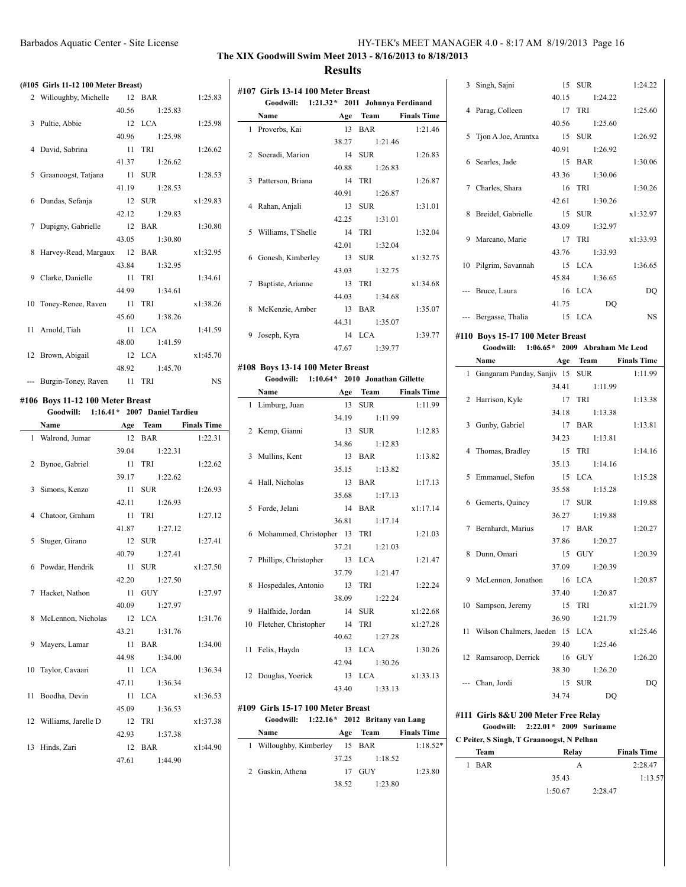## **The XIX Goodwill Swim Meet 2013 - 8/16/2013 to 8/18/2013 Results**

#### **(#105 Girls 11-12 100 Meter Breast)**

| 2 Willoughby, Michelle 12 BAR       |                | 1:25.83   |
|-------------------------------------|----------------|-----------|
|                                     | 40.56 1:25.83  |           |
| 3 Pultie, Abbie                     | 12 LCA 1:25.98 |           |
|                                     | 40.96 1:25.98  |           |
| 4 David, Sabrina                    | 11 TRI         | 1:26.62   |
|                                     | 41.37 1:26.62  |           |
| 5 Graanoogst, Tatjana 11 SUR        |                | 1:28.53   |
|                                     | 41.19 1:28.53  |           |
| 6 Dundas, Sefanja 12 SUR x1:29.83   |                |           |
|                                     | 42.12 1:29.83  |           |
| 7 Dupigny, Gabrielle 12 BAR 1:30.80 |                |           |
|                                     | 43.05 1:30.80  |           |
| 8 Harvey-Read, Margaux 12 BAR       |                | x1:32.95  |
|                                     | 43.84 1:32.95  |           |
| 9 Clarke, Danielle 11 TRI           |                | 1:34.61   |
|                                     | 44.99 1:34.61  |           |
| 10 Toney-Renee, Raven 11 TRI        |                | x1:38.26  |
|                                     | 45.60 1:38.26  |           |
| 11 Arnold, Tiah                     | 11 LCA         | 1:41.59   |
|                                     | 48.00 1:41.59  |           |
| 12 Brown, Abigail 12 LCA x1:45.70   |                |           |
|                                     | 48.92 1:45.70  |           |
| --- Burgin-Toney, Raven 11 TRI      |                | <b>NS</b> |

## **#106 Boys 11-12 100 Meter Breast**

| Goodwill: 1:16.41* 2007 Daniel Tardieu |               |          |
|----------------------------------------|---------------|----------|
| Name Age Team Finals Time              |               |          |
| 1 Walrond, Jumar                       | 12 BAR        | 1:22.31  |
|                                        | 39.04 1:22.31 |          |
| 2 Bynoe, Gabriel                       | 11 TRI        | 1:22.62  |
|                                        | 39.17 1:22.62 |          |
| 3 Simons, Kenzo                        | 11 SUR        | 1:26.93  |
|                                        | 42.11 1:26.93 |          |
| 4 Chatoor, Graham                      | 11 TRI        | 1:27.12  |
|                                        | 41.87 1:27.12 |          |
| 5 Stuger, Girano                       | 12 SUR        | 1:27.41  |
|                                        | 40.79 1:27.41 |          |
| 6 Powdar, Hendrik                      | 11 SUR        | x1:27.50 |
|                                        | 42.20 1:27.50 |          |
| 7 Hacket, Nathon                       | 11 GUY        | 1:27.97  |
|                                        | 40.09 1:27.97 |          |
| 8 McLennon, Nicholas 12 LCA            |               | 1:31.76  |
|                                        | 43.21 1:31.76 |          |
| 9 Mayers, Lamar                        | 11 <b>BAR</b> | 1:34.00  |
|                                        | 44.98 1:34.00 |          |
| 10 Taylor, Cavaari                     | 11 LCA        | 1:36.34  |
|                                        | 47.11 1:36.34 |          |
| 11 Boodha, Devin                       | 11 LCA        | x1:36.53 |
|                                        | 45.09 1:36.53 |          |
| 12 Williams, Jarelle D                 | 12 TRI        | x1:37.38 |
|                                        | 42.93 1:37.38 |          |
| 13 Hinds, Zari                         | 12 BAR        | x1:44.90 |
|                                        | 47.61 1:44.90 |          |

|   | #107 Girls 13-14 100 Meter Breast          |                 |               |                    |
|---|--------------------------------------------|-----------------|---------------|--------------------|
|   | Goodwill: 1:21.32 * 2011 Johnnya Ferdinand |                 |               |                    |
|   | Name                                       | Age             | <b>Team</b>   | <b>Finals Time</b> |
|   | 1 Proverbs, Kai                            | 13 <sup>7</sup> | BAR           | 1:21.46            |
|   |                                            |                 | 38.27 1:21.46 |                    |
|   | 2 Soeradi, Marion                          |                 | 14 SUR        | 1:26.83            |
|   |                                            |                 | 40.88 1:26.83 |                    |
| 3 | Patterson, Briana                          |                 | 14 TRI        | 1:26.87            |
|   |                                            |                 | 40.91 1:26.87 |                    |
|   | 4 Rahan, Anjali                            |                 | 13 SUR        | 1:31.01            |
|   |                                            | 42.25           | 1:31.01       |                    |
|   | 5 Williams, T'Shelle                       |                 | 14 TRI        | 1:32.04            |
|   |                                            |                 | 42.01 1:32.04 |                    |
|   | 6 Gonesh, Kimberley                        |                 | 13 SUR        | x1:32.75           |
|   |                                            |                 | 43.03 1:32.75 |                    |
|   | 7 Baptiste, Arianne                        | 13              | TRI           | x1:34.68           |
|   |                                            |                 | 44.03 1:34.68 |                    |
| 8 | McKenzie, Amber                            |                 | 13 BAR        | 1:35.07            |
|   |                                            |                 | 44.31 1:35.07 |                    |
| 9 | Joseph, Kyra                               |                 | $14$ $LCA$    | 1:39.77            |
|   |                                            | 47.67           | 1:39.77       |                    |

#### **#108 Boys 13-14 100 Meter Breast**

 $\overline{\phantom{0}}$ 

 $\sim$ 

| Goodwill: 1:10.64* 2010 Jonathan Gillette |               |                      |
|-------------------------------------------|---------------|----------------------|
| Name                                      |               | Age Team Finals Time |
| 1 Limburg, Juan                           | 13 SUR        | 1:11.99              |
|                                           | 34.19 1:11.99 |                      |
| 2 Kemp, Gianni                            | 13 SUR        | 1:12.83              |
|                                           | 34.86 1:12.83 |                      |
| 3 Mullins, Kent                           | 13 BAR        | 1:13.82              |
|                                           | 35.15 1:13.82 |                      |
| 4 Hall, Nicholas                          | 13 BAR        | 1:17.13              |
|                                           | 35.68 1:17.13 |                      |
| 5 Forde, Jelani                           | 14 BAR        | x1:17.14             |
|                                           | 36.81 1:17.14 |                      |
| 6 Mohammed, Christopher 13 TRI            |               | 1:21.03              |
|                                           | 37.21 1:21.03 |                      |
| 7 Phillips, Christopher 13 LCA            |               | 1:21.47              |
|                                           | 37.79 1:21.47 |                      |
| 8 Hospedales, Antonio 13 TRI              |               | 1:22.24              |
|                                           | 38.09 1:22.24 |                      |
| 9 Halfhide, Jordan                        | 14 SUR        | x1:22.68             |
| 10 Fletcher, Christopher 14 TRI           |               | x1:27.28             |
|                                           | 40.62 1:27.28 |                      |
| 11 Felix, Haydn                           | 13 LCA        | 1:30.26              |
|                                           | 42.94 1:30.26 |                      |
| 12 Douglas, Yoerick                       | 13 LCA        | x1:33.13             |
|                                           | 43.40 1:33.13 |                      |

#### **#109 Girls 15-17 100 Meter Breast Goodwill: 1:22.16\* 2012 Britany van Lang**

| Name                           | Age   | Team    | <b>Finals Time</b> |
|--------------------------------|-------|---------|--------------------|
| 1 Willoughby, Kimberley 15 BAR |       |         | $1:18.52*$         |
|                                | 37.25 | 1:18.52 |                    |
| 2 Gaskin, Athena               |       | 17 GUY  | 1:23.80            |
|                                | 38.52 | 1:23.80 |                    |
|                                |       |         |                    |

|    | 3 Singh, Sajni                          |             | 15 SUR     | 1:24.22   |
|----|-----------------------------------------|-------------|------------|-----------|
|    |                                         | 40.15       | 1:24.22    |           |
|    | 4 Parag, Colleen                        |             | 17 TRI     | 1:25.60   |
|    |                                         | 40.56       | 1:25.60    |           |
|    | 5 Tjon A Joe, Arantxa                   |             | 15 SUR     | 1:26.92   |
|    |                                         | 40.91       | 1:26.92    |           |
|    | 6 Searles, Jade                         |             | 15 BAR     | 1:30.06   |
|    |                                         | 43.36       | 1:30.06    |           |
|    | 7 Charles, Shara                        |             | 16 TRI     | 1:30.26   |
|    |                                         | 42.61       | 1:30.26    |           |
| 8  | Breidel, Gabrielle                      |             | 15 SUR     | x1:32.97  |
|    |                                         | 43.09       | 1:32.97    |           |
|    | 9 Marcano, Marie                        |             | 17 TRI     | x1:33.93  |
|    |                                         | 43.76       | 1:33.93    |           |
|    | 10 Pilgrim, Savannah                    |             | 15 LCA     | 1:36.65   |
|    |                                         | 45.84       | 1:36.65    |           |
|    |                                         |             | 16 LCA     | DQ        |
|    | --- Bruce, Laura                        |             |            |           |
|    |                                         | 41.75       | DQ         |           |
|    | --- Bergasse, Thalia                    | 15 LCA      |            | <b>NS</b> |
|    | #110 Boys 15-17 100 Meter Breast        |             |            |           |
|    | Goodwill: 1:06.65* 2009 Abraham Mc Leod |             |            |           |
|    | Name Age Team Finals Time               |             |            |           |
|    | 1 Gangaram Panday, Sanjiv 15 SUR        |             |            | 1:11.99   |
|    |                                         |             |            |           |
|    |                                         | 34.41       | 1:11.99    |           |
|    | 2 Harrison, Kyle                        |             | 17 TRI     | 1:13.38   |
|    |                                         | 34.18       | 1:13.38    |           |
|    | 3 Gunby, Gabriel                        |             | 17 BAR     | 1:13.81   |
|    |                                         | 34.23       | 1:13.81    |           |
|    | 4 Thomas, Bradley                       |             | 15 TRI     | 1:14.16   |
|    |                                         | 35.13       | 1:14.16    |           |
|    |                                         |             | 15 LCA     |           |
|    | 5 Emmanuel, Stefon                      |             |            | 1:15.28   |
|    |                                         | 35.58       | 1:15.28    |           |
|    | 6 Gemerts, Quincy                       |             | 17 SUR     | 1:19.88   |
|    |                                         | 36.27       | 1:19.88    |           |
|    | 7 Bernhardt, Marius                     | 37.86       | 17 BAR     | 1:20.27   |
|    |                                         |             | 1:20.27    |           |
|    | 8 Dunn, Omari                           |             | 15 GUY     | 1:20.39   |
|    |                                         | 37.09       | 1:20.39    |           |
|    | 9 McLennon, Jonathon 16 LCA             |             |            | 1:20.87   |
|    |                                         | 37.40       | 1:20.87    |           |
| 10 | Sampson, Jeremy                         | 15          | TRI        | x1:21.79  |
|    |                                         | 36.90       | 1:21.79    |           |
| 11 | Wilson Chalmers, Jaeden 15              |             | LCA        | x1:25.46  |
|    |                                         | 39.40       | 1:25.46    |           |
| 12 | Ramsaroop, Derrick                      | 16          | <b>GUY</b> | 1:26.20   |
|    |                                         | 38.30       | 1:26.20    |           |
|    | Chan, Jordi                             | 15<br>34.74 | SUR<br>DQ  | DQ        |

#### **#111 Girls 8&U 200 Meter Free Relay Goodwill: 2:22.01\* 2009 Suriname**

## **C Peiter, S Singh, T Graanoogst, N Pelhan**

|   | Team       | Relay   |         | <b>Finals Time</b> |
|---|------------|---------|---------|--------------------|
| 1 | <b>BAR</b> | А       |         | 2:28.47            |
|   |            | 35.43   |         | 1:13.57            |
|   |            | 1:50.67 | 2:28.47 |                    |